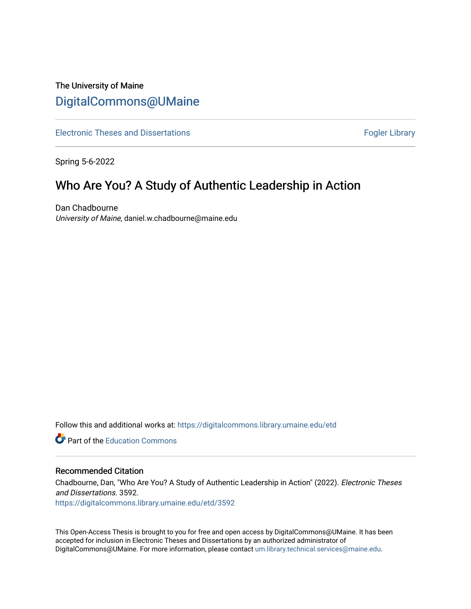# The University of Maine [DigitalCommons@UMaine](https://digitalcommons.library.umaine.edu/)

[Electronic Theses and Dissertations](https://digitalcommons.library.umaine.edu/etd) **Fogler Library** Fogler Library

Spring 5-6-2022

# Who Are You? A Study of Authentic Leadership in Action

Dan Chadbourne University of Maine, daniel.w.chadbourne@maine.edu

Follow this and additional works at: [https://digitalcommons.library.umaine.edu/etd](https://digitalcommons.library.umaine.edu/etd?utm_source=digitalcommons.library.umaine.edu%2Fetd%2F3592&utm_medium=PDF&utm_campaign=PDFCoverPages) 

**C** Part of the [Education Commons](https://network.bepress.com/hgg/discipline/784?utm_source=digitalcommons.library.umaine.edu%2Fetd%2F3592&utm_medium=PDF&utm_campaign=PDFCoverPages)

#### Recommended Citation

Chadbourne, Dan, "Who Are You? A Study of Authentic Leadership in Action" (2022). Electronic Theses and Dissertations. 3592.

[https://digitalcommons.library.umaine.edu/etd/3592](https://digitalcommons.library.umaine.edu/etd/3592?utm_source=digitalcommons.library.umaine.edu%2Fetd%2F3592&utm_medium=PDF&utm_campaign=PDFCoverPages)

This Open-Access Thesis is brought to you for free and open access by DigitalCommons@UMaine. It has been accepted for inclusion in Electronic Theses and Dissertations by an authorized administrator of DigitalCommons@UMaine. For more information, please contact [um.library.technical.services@maine.edu](mailto:um.library.technical.services@maine.edu).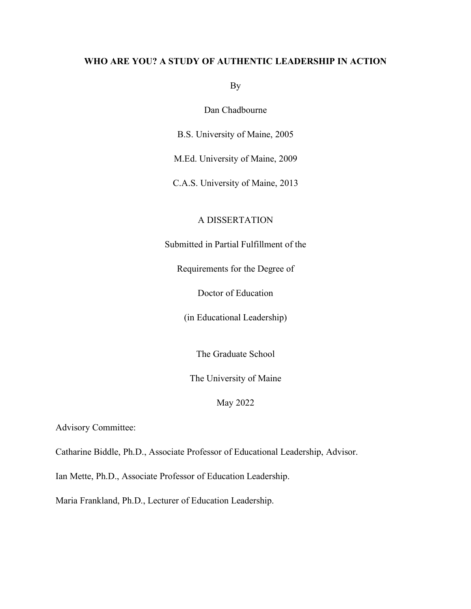# **WHO ARE YOU? A STUDY OF AUTHENTIC LEADERSHIP IN ACTION**

By

Dan Chadbourne

B.S. University of Maine, 2005

M.Ed. University of Maine, 2009

C.A.S. University of Maine, 2013

# A DISSERTATION

Submitted in Partial Fulfillment of the

Requirements for the Degree of

Doctor of Education

(in Educational Leadership)

The Graduate School

The University of Maine

May 2022

Advisory Committee:

Catharine Biddle, Ph.D., Associate Professor of Educational Leadership, Advisor.

Ian Mette, Ph.D., Associate Professor of Education Leadership.

Maria Frankland, Ph.D., Lecturer of Education Leadership.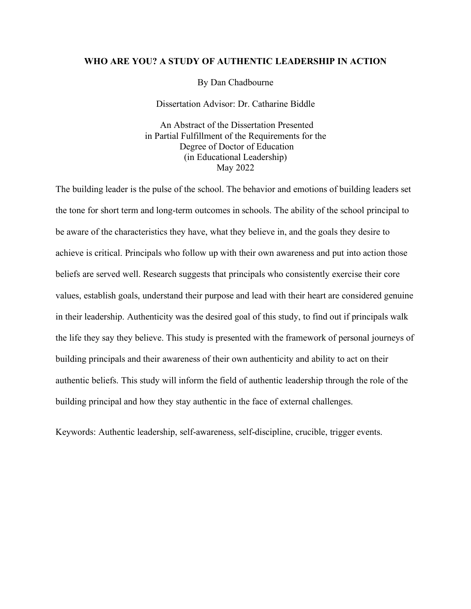### **WHO ARE YOU? A STUDY OF AUTHENTIC LEADERSHIP IN ACTION**

By Dan Chadbourne

Dissertation Advisor: Dr. Catharine Biddle

An Abstract of the Dissertation Presented in Partial Fulfillment of the Requirements for the Degree of Doctor of Education (in Educational Leadership) May 2022

The building leader is the pulse of the school. The behavior and emotions of building leaders set the tone for short term and long-term outcomes in schools. The ability of the school principal to be aware of the characteristics they have, what they believe in, and the goals they desire to achieve is critical. Principals who follow up with their own awareness and put into action those beliefs are served well. Research suggests that principals who consistently exercise their core values, establish goals, understand their purpose and lead with their heart are considered genuine in their leadership. Authenticity was the desired goal of this study, to find out if principals walk the life they say they believe. This study is presented with the framework of personal journeys of building principals and their awareness of their own authenticity and ability to act on their authentic beliefs. This study will inform the field of authentic leadership through the role of the building principal and how they stay authentic in the face of external challenges.

Keywords: Authentic leadership, self-awareness, self-discipline, crucible, trigger events.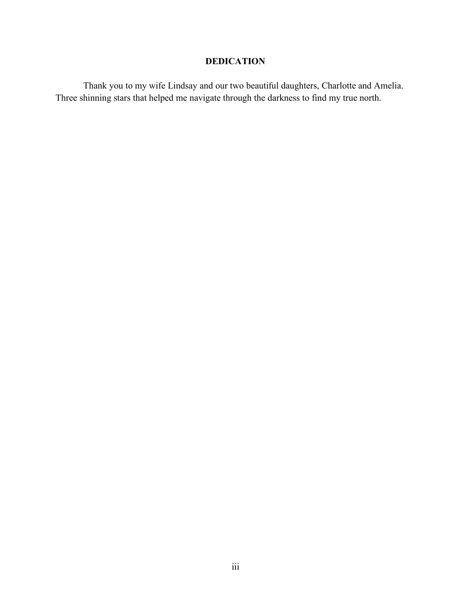# **DEDICATION**

Thank you to my wife Lindsay and our two beautiful daughters, Charlotte and Amelia. Three shinning stars that helped me navigate through the darkness to find my true north.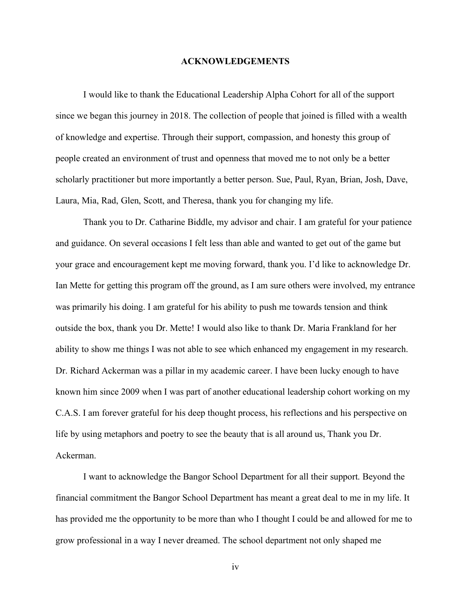#### **ACKNOWLEDGEMENTS**

I would like to thank the Educational Leadership Alpha Cohort for all of the support since we began this journey in 2018. The collection of people that joined is filled with a wealth of knowledge and expertise. Through their support, compassion, and honesty this group of people created an environment of trust and openness that moved me to not only be a better scholarly practitioner but more importantly a better person. Sue, Paul, Ryan, Brian, Josh, Dave, Laura, Mia, Rad, Glen, Scott, and Theresa, thank you for changing my life.

Thank you to Dr. Catharine Biddle, my advisor and chair. I am grateful for your patience and guidance. On several occasions I felt less than able and wanted to get out of the game but your grace and encouragement kept me moving forward, thank you. I'd like to acknowledge Dr. Ian Mette for getting this program off the ground, as I am sure others were involved, my entrance was primarily his doing. I am grateful for his ability to push me towards tension and think outside the box, thank you Dr. Mette! I would also like to thank Dr. Maria Frankland for her ability to show me things I was not able to see which enhanced my engagement in my research. Dr. Richard Ackerman was a pillar in my academic career. I have been lucky enough to have known him since 2009 when I was part of another educational leadership cohort working on my C.A.S. I am forever grateful for his deep thought process, his reflections and his perspective on life by using metaphors and poetry to see the beauty that is all around us, Thank you Dr. Ackerman.

I want to acknowledge the Bangor School Department for all their support. Beyond the financial commitment the Bangor School Department has meant a great deal to me in my life. It has provided me the opportunity to be more than who I thought I could be and allowed for me to grow professional in a way I never dreamed. The school department not only shaped me

iv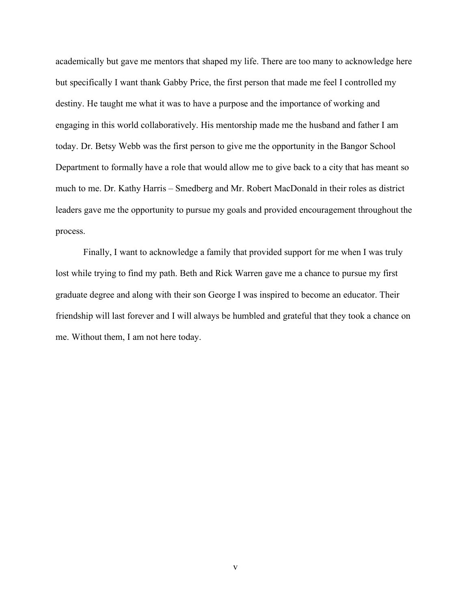academically but gave me mentors that shaped my life. There are too many to acknowledge here but specifically I want thank Gabby Price, the first person that made me feel I controlled my destiny. He taught me what it was to have a purpose and the importance of working and engaging in this world collaboratively. His mentorship made me the husband and father I am today. Dr. Betsy Webb was the first person to give me the opportunity in the Bangor School Department to formally have a role that would allow me to give back to a city that has meant so much to me. Dr. Kathy Harris – Smedberg and Mr. Robert MacDonald in their roles as district leaders gave me the opportunity to pursue my goals and provided encouragement throughout the process.

Finally, I want to acknowledge a family that provided support for me when I was truly lost while trying to find my path. Beth and Rick Warren gave me a chance to pursue my first graduate degree and along with their son George I was inspired to become an educator. Their friendship will last forever and I will always be humbled and grateful that they took a chance on me. Without them, I am not here today.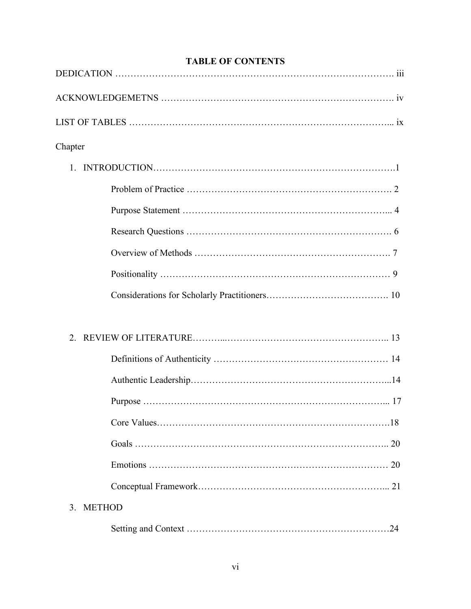| Chapter        |    |
|----------------|----|
|                |    |
|                |    |
|                |    |
|                |    |
|                |    |
|                |    |
|                |    |
| $\overline{2}$ |    |
|                |    |
|                |    |
|                |    |
|                |    |
|                |    |
|                | 20 |
|                |    |
| 3. METHOD      |    |
|                | 24 |

# **TABLE OF CONTENTS**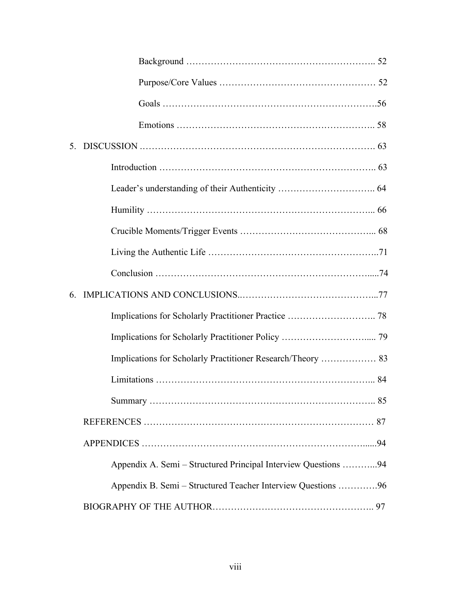| 5. |                                                                |  |
|----|----------------------------------------------------------------|--|
|    |                                                                |  |
|    |                                                                |  |
|    |                                                                |  |
|    |                                                                |  |
|    |                                                                |  |
|    |                                                                |  |
| 6. |                                                                |  |
|    |                                                                |  |
|    |                                                                |  |
|    | Implications for Scholarly Practitioner Research/Theory  83    |  |
|    |                                                                |  |
|    |                                                                |  |
|    |                                                                |  |
|    |                                                                |  |
|    | Appendix A. Semi - Structured Principal Interview Questions 94 |  |
|    | Appendix B. Semi - Structured Teacher Interview Questions 96   |  |
|    |                                                                |  |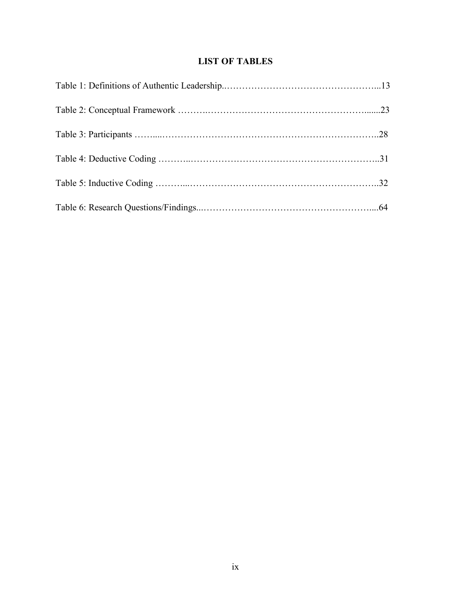# **LIST OF TABLES**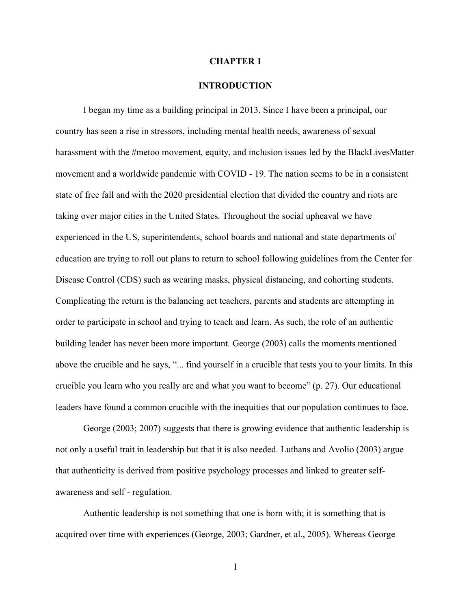#### **CHAPTER 1**

# **INTRODUCTION**

I began my time as a building principal in 2013. Since I have been a principal, our country has seen a rise in stressors, including mental health needs, awareness of sexual harassment with the #metoo movement, equity, and inclusion issues led by the BlackLivesMatter movement and a worldwide pandemic with COVID - 19. The nation seems to be in a consistent state of free fall and with the 2020 presidential election that divided the country and riots are taking over major cities in the United States. Throughout the social upheaval we have experienced in the US, superintendents, school boards and national and state departments of education are trying to roll out plans to return to school following guidelines from the Center for Disease Control (CDS) such as wearing masks, physical distancing, and cohorting students. Complicating the return is the balancing act teachers, parents and students are attempting in order to participate in school and trying to teach and learn. As such, the role of an authentic building leader has never been more important. George (2003) calls the moments mentioned above the crucible and he says, "... find yourself in a crucible that tests you to your limits. In this crucible you learn who you really are and what you want to become" (p. 27). Our educational leaders have found a common crucible with the inequities that our population continues to face.

George (2003; 2007) suggests that there is growing evidence that authentic leadership is not only a useful trait in leadership but that it is also needed. Luthans and Avolio (2003) argue that authenticity is derived from positive psychology processes and linked to greater selfawareness and self - regulation.

Authentic leadership is not something that one is born with; it is something that is acquired over time with experiences (George, 2003; Gardner, et al., 2005). Whereas George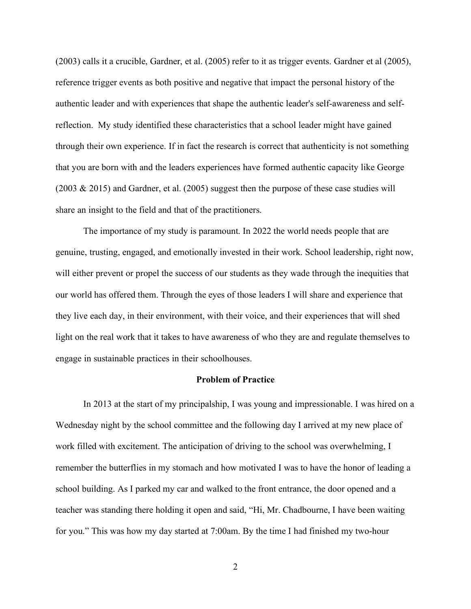(2003) calls it a crucible, Gardner, et al. (2005) refer to it as trigger events. Gardner et al (2005), reference trigger events as both positive and negative that impact the personal history of the authentic leader and with experiences that shape the authentic leader's self-awareness and selfreflection. My study identified these characteristics that a school leader might have gained through their own experience. If in fact the research is correct that authenticity is not something that you are born with and the leaders experiences have formed authentic capacity like George (2003 & 2015) and Gardner, et al. (2005) suggest then the purpose of these case studies will share an insight to the field and that of the practitioners.

The importance of my study is paramount. In 2022 the world needs people that are genuine, trusting, engaged, and emotionally invested in their work. School leadership, right now, will either prevent or propel the success of our students as they wade through the inequities that our world has offered them. Through the eyes of those leaders I will share and experience that they live each day, in their environment, with their voice, and their experiences that will shed light on the real work that it takes to have awareness of who they are and regulate themselves to engage in sustainable practices in their schoolhouses.

#### **Problem of Practice**

In 2013 at the start of my principalship, I was young and impressionable. I was hired on a Wednesday night by the school committee and the following day I arrived at my new place of work filled with excitement. The anticipation of driving to the school was overwhelming, I remember the butterflies in my stomach and how motivated I was to have the honor of leading a school building. As I parked my car and walked to the front entrance, the door opened and a teacher was standing there holding it open and said, "Hi, Mr. Chadbourne, I have been waiting for you." This was how my day started at 7:00am. By the time I had finished my two-hour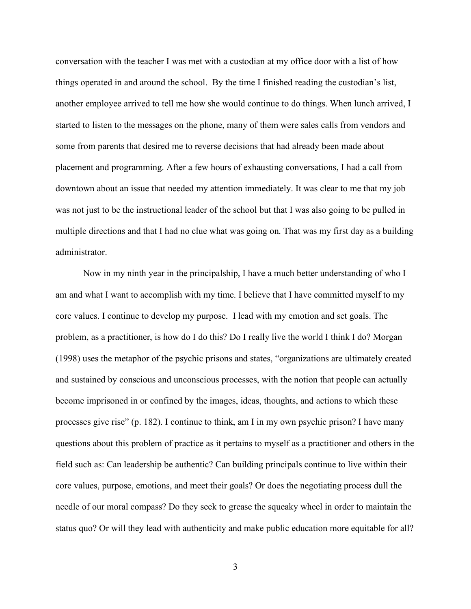conversation with the teacher I was met with a custodian at my office door with a list of how things operated in and around the school. By the time I finished reading the custodian's list, another employee arrived to tell me how she would continue to do things. When lunch arrived, I started to listen to the messages on the phone, many of them were sales calls from vendors and some from parents that desired me to reverse decisions that had already been made about placement and programming. After a few hours of exhausting conversations, I had a call from downtown about an issue that needed my attention immediately. It was clear to me that my job was not just to be the instructional leader of the school but that I was also going to be pulled in multiple directions and that I had no clue what was going on. That was my first day as a building administrator.

Now in my ninth year in the principalship, I have a much better understanding of who I am and what I want to accomplish with my time. I believe that I have committed myself to my core values. I continue to develop my purpose. I lead with my emotion and set goals. The problem, as a practitioner, is how do I do this? Do I really live the world I think I do? Morgan (1998) uses the metaphor of the psychic prisons and states, "organizations are ultimately created and sustained by conscious and unconscious processes, with the notion that people can actually become imprisoned in or confined by the images, ideas, thoughts, and actions to which these processes give rise" (p. 182). I continue to think, am I in my own psychic prison? I have many questions about this problem of practice as it pertains to myself as a practitioner and others in the field such as: Can leadership be authentic? Can building principals continue to live within their core values, purpose, emotions, and meet their goals? Or does the negotiating process dull the needle of our moral compass? Do they seek to grease the squeaky wheel in order to maintain the status quo? Or will they lead with authenticity and make public education more equitable for all?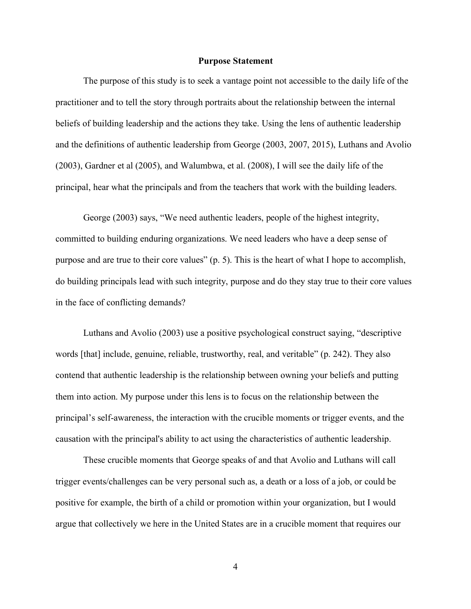#### **Purpose Statement**

The purpose of this study is to seek a vantage point not accessible to the daily life of the practitioner and to tell the story through portraits about the relationship between the internal beliefs of building leadership and the actions they take. Using the lens of authentic leadership and the definitions of authentic leadership from George (2003, 2007, 2015), Luthans and Avolio (2003), Gardner et al (2005), and Walumbwa, et al. (2008), I will see the daily life of the principal, hear what the principals and from the teachers that work with the building leaders.

George (2003) says, "We need authentic leaders, people of the highest integrity, committed to building enduring organizations. We need leaders who have a deep sense of purpose and are true to their core values" (p. 5). This is the heart of what I hope to accomplish, do building principals lead with such integrity, purpose and do they stay true to their core values in the face of conflicting demands?

Luthans and Avolio (2003) use a positive psychological construct saying, "descriptive words [that] include, genuine, reliable, trustworthy, real, and veritable" (p. 242). They also contend that authentic leadership is the relationship between owning your beliefs and putting them into action. My purpose under this lens is to focus on the relationship between the principal's self-awareness, the interaction with the crucible moments or trigger events, and the causation with the principal's ability to act using the characteristics of authentic leadership.

These crucible moments that George speaks of and that Avolio and Luthans will call trigger events/challenges can be very personal such as, a death or a loss of a job, or could be positive for example, the birth of a child or promotion within your organization, but I would argue that collectively we here in the United States are in a crucible moment that requires our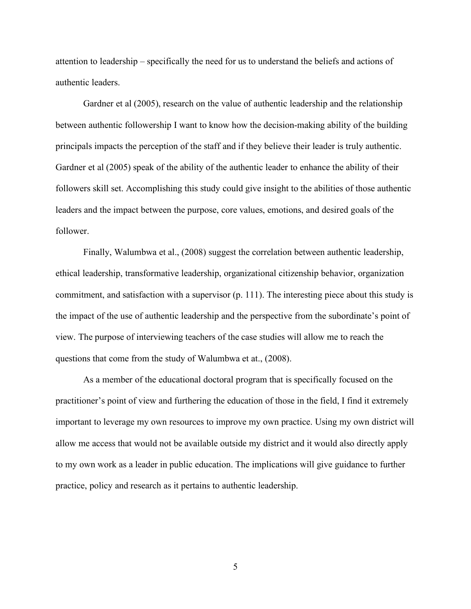attention to leadership – specifically the need for us to understand the beliefs and actions of authentic leaders.

Gardner et al (2005), research on the value of authentic leadership and the relationship between authentic followership I want to know how the decision-making ability of the building principals impacts the perception of the staff and if they believe their leader is truly authentic. Gardner et al (2005) speak of the ability of the authentic leader to enhance the ability of their followers skill set. Accomplishing this study could give insight to the abilities of those authentic leaders and the impact between the purpose, core values, emotions, and desired goals of the follower.

Finally, Walumbwa et al., (2008) suggest the correlation between authentic leadership, ethical leadership, transformative leadership, organizational citizenship behavior, organization commitment, and satisfaction with a supervisor (p. 111). The interesting piece about this study is the impact of the use of authentic leadership and the perspective from the subordinate's point of view. The purpose of interviewing teachers of the case studies will allow me to reach the questions that come from the study of Walumbwa et at., (2008).

As a member of the educational doctoral program that is specifically focused on the practitioner's point of view and furthering the education of those in the field, I find it extremely important to leverage my own resources to improve my own practice. Using my own district will allow me access that would not be available outside my district and it would also directly apply to my own work as a leader in public education. The implications will give guidance to further practice, policy and research as it pertains to authentic leadership.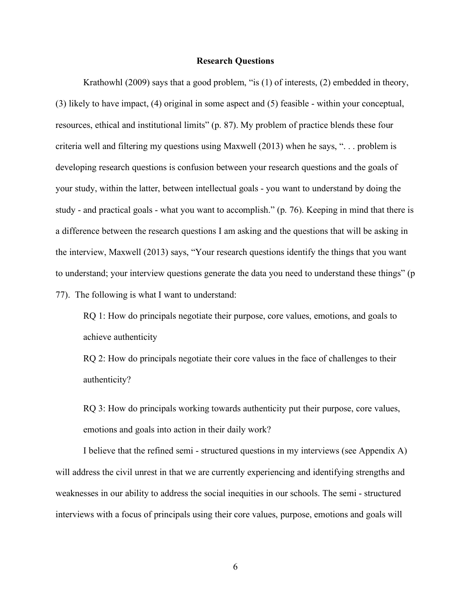#### **Research Questions**

Krathowhl (2009) says that a good problem, "is (1) of interests, (2) embedded in theory, (3) likely to have impact, (4) original in some aspect and (5) feasible - within your conceptual, resources, ethical and institutional limits" (p. 87). My problem of practice blends these four criteria well and filtering my questions using Maxwell (2013) when he says, ". . . problem is developing research questions is confusion between your research questions and the goals of your study, within the latter, between intellectual goals - you want to understand by doing the study - and practical goals - what you want to accomplish." (p. 76). Keeping in mind that there is a difference between the research questions I am asking and the questions that will be asking in the interview, Maxwell (2013) says, "Your research questions identify the things that you want to understand; your interview questions generate the data you need to understand these things" (p 77). The following is what I want to understand:

RQ 1: How do principals negotiate their purpose, core values, emotions, and goals to achieve authenticity

RQ 2: How do principals negotiate their core values in the face of challenges to their authenticity?

RQ 3: How do principals working towards authenticity put their purpose, core values, emotions and goals into action in their daily work?

I believe that the refined semi - structured questions in my interviews (see Appendix A) will address the civil unrest in that we are currently experiencing and identifying strengths and weaknesses in our ability to address the social inequities in our schools. The semi - structured interviews with a focus of principals using their core values, purpose, emotions and goals will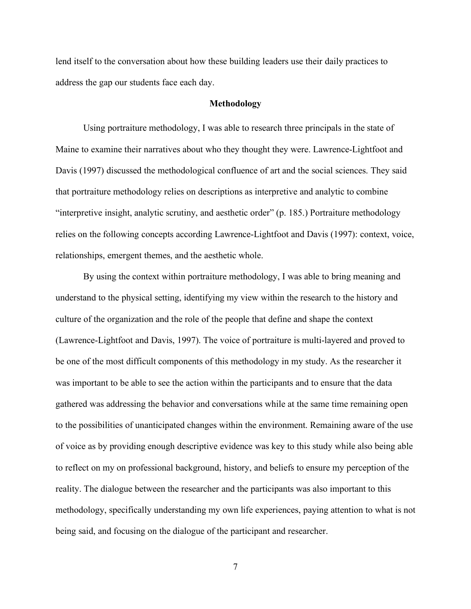lend itself to the conversation about how these building leaders use their daily practices to address the gap our students face each day.

#### **Methodology**

Using portraiture methodology, I was able to research three principals in the state of Maine to examine their narratives about who they thought they were. Lawrence-Lightfoot and Davis (1997) discussed the methodological confluence of art and the social sciences. They said that portraiture methodology relies on descriptions as interpretive and analytic to combine "interpretive insight, analytic scrutiny, and aesthetic order" (p. 185.) Portraiture methodology relies on the following concepts according Lawrence-Lightfoot and Davis (1997): context, voice, relationships, emergent themes, and the aesthetic whole.

By using the context within portraiture methodology, I was able to bring meaning and understand to the physical setting, identifying my view within the research to the history and culture of the organization and the role of the people that define and shape the context (Lawrence-Lightfoot and Davis, 1997). The voice of portraiture is multi-layered and proved to be one of the most difficult components of this methodology in my study. As the researcher it was important to be able to see the action within the participants and to ensure that the data gathered was addressing the behavior and conversations while at the same time remaining open to the possibilities of unanticipated changes within the environment. Remaining aware of the use of voice as by providing enough descriptive evidence was key to this study while also being able to reflect on my on professional background, history, and beliefs to ensure my perception of the reality. The dialogue between the researcher and the participants was also important to this methodology, specifically understanding my own life experiences, paying attention to what is not being said, and focusing on the dialogue of the participant and researcher.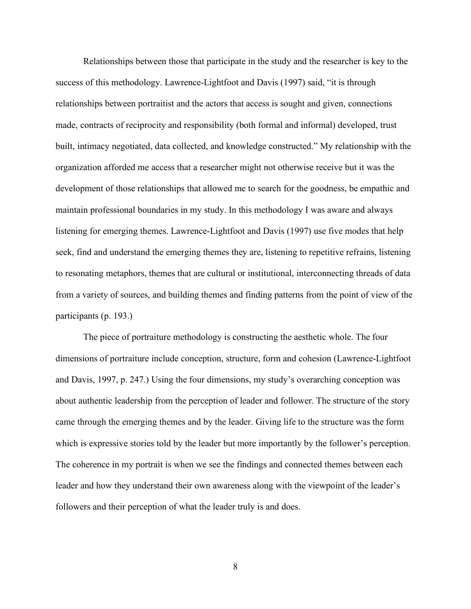Relationships between those that participate in the study and the researcher is key to the success of this methodology. Lawrence-Lightfoot and Davis (1997) said, "it is through relationships between portraitist and the actors that access is sought and given, connections made, contracts of reciprocity and responsibility (both formal and informal) developed, trust built, intimacy negotiated, data collected, and knowledge constructed." My relationship with the organization afforded me access that a researcher might not otherwise receive but it was the development of those relationships that allowed me to search for the goodness, be empathic and maintain professional boundaries in my study. In this methodology I was aware and always listening for emerging themes. Lawrence-Lightfoot and Davis (1997) use five modes that help seek, find and understand the emerging themes they are, listening to repetitive refrains, listening to resonating metaphors, themes that are cultural or institutional, interconnecting threads of data from a variety of sources, and building themes and finding patterns from the point of view of the participants (p. 193.)

The piece of portraiture methodology is constructing the aesthetic whole. The four dimensions of portraiture include conception, structure, form and cohesion (Lawrence-Lightfoot and Davis, 1997, p. 247.) Using the four dimensions, my study's overarching conception was about authentic leadership from the perception of leader and follower. The structure of the story came through the emerging themes and by the leader. Giving life to the structure was the form which is expressive stories told by the leader but more importantly by the follower's perception. The coherence in my portrait is when we see the findings and connected themes between each leader and how they understand their own awareness along with the viewpoint of the leader's followers and their perception of what the leader truly is and does.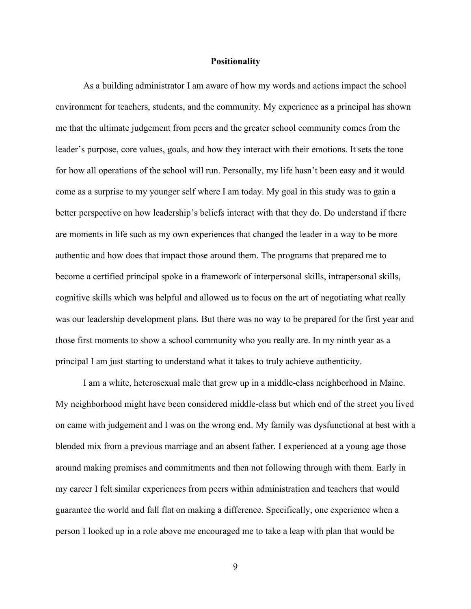#### **Positionality**

As a building administrator I am aware of how my words and actions impact the school environment for teachers, students, and the community. My experience as a principal has shown me that the ultimate judgement from peers and the greater school community comes from the leader's purpose, core values, goals, and how they interact with their emotions. It sets the tone for how all operations of the school will run. Personally, my life hasn't been easy and it would come as a surprise to my younger self where I am today. My goal in this study was to gain a better perspective on how leadership's beliefs interact with that they do. Do understand if there are moments in life such as my own experiences that changed the leader in a way to be more authentic and how does that impact those around them. The programs that prepared me to become a certified principal spoke in a framework of interpersonal skills, intrapersonal skills, cognitive skills which was helpful and allowed us to focus on the art of negotiating what really was our leadership development plans. But there was no way to be prepared for the first year and those first moments to show a school community who you really are. In my ninth year as a principal I am just starting to understand what it takes to truly achieve authenticity.

I am a white, heterosexual male that grew up in a middle-class neighborhood in Maine. My neighborhood might have been considered middle-class but which end of the street you lived on came with judgement and I was on the wrong end. My family was dysfunctional at best with a blended mix from a previous marriage and an absent father. I experienced at a young age those around making promises and commitments and then not following through with them. Early in my career I felt similar experiences from peers within administration and teachers that would guarantee the world and fall flat on making a difference. Specifically, one experience when a person I looked up in a role above me encouraged me to take a leap with plan that would be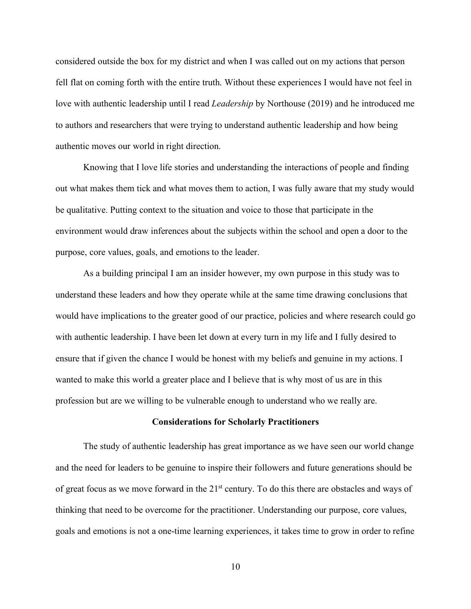considered outside the box for my district and when I was called out on my actions that person fell flat on coming forth with the entire truth. Without these experiences I would have not feel in love with authentic leadership until I read *Leadership* by Northouse (2019) and he introduced me to authors and researchers that were trying to understand authentic leadership and how being authentic moves our world in right direction.

Knowing that I love life stories and understanding the interactions of people and finding out what makes them tick and what moves them to action, I was fully aware that my study would be qualitative. Putting context to the situation and voice to those that participate in the environment would draw inferences about the subjects within the school and open a door to the purpose, core values, goals, and emotions to the leader.

As a building principal I am an insider however, my own purpose in this study was to understand these leaders and how they operate while at the same time drawing conclusions that would have implications to the greater good of our practice, policies and where research could go with authentic leadership. I have been let down at every turn in my life and I fully desired to ensure that if given the chance I would be honest with my beliefs and genuine in my actions. I wanted to make this world a greater place and I believe that is why most of us are in this profession but are we willing to be vulnerable enough to understand who we really are.

#### **Considerations for Scholarly Practitioners**

The study of authentic leadership has great importance as we have seen our world change and the need for leaders to be genuine to inspire their followers and future generations should be of great focus as we move forward in the 21st century. To do this there are obstacles and ways of thinking that need to be overcome for the practitioner. Understanding our purpose, core values, goals and emotions is not a one-time learning experiences, it takes time to grow in order to refine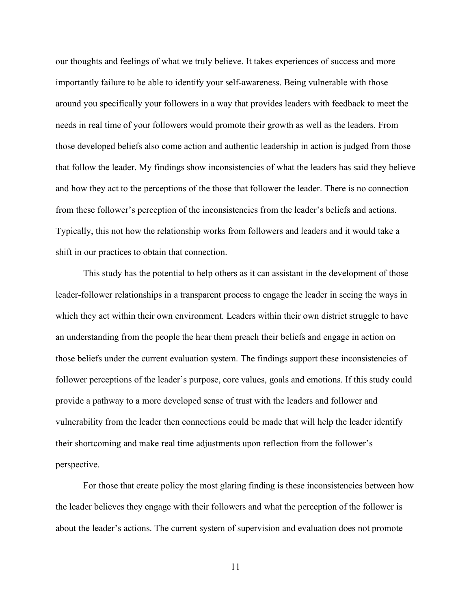our thoughts and feelings of what we truly believe. It takes experiences of success and more importantly failure to be able to identify your self-awareness. Being vulnerable with those around you specifically your followers in a way that provides leaders with feedback to meet the needs in real time of your followers would promote their growth as well as the leaders. From those developed beliefs also come action and authentic leadership in action is judged from those that follow the leader. My findings show inconsistencies of what the leaders has said they believe and how they act to the perceptions of the those that follower the leader. There is no connection from these follower's perception of the inconsistencies from the leader's beliefs and actions. Typically, this not how the relationship works from followers and leaders and it would take a shift in our practices to obtain that connection.

This study has the potential to help others as it can assistant in the development of those leader-follower relationships in a transparent process to engage the leader in seeing the ways in which they act within their own environment. Leaders within their own district struggle to have an understanding from the people the hear them preach their beliefs and engage in action on those beliefs under the current evaluation system. The findings support these inconsistencies of follower perceptions of the leader's purpose, core values, goals and emotions. If this study could provide a pathway to a more developed sense of trust with the leaders and follower and vulnerability from the leader then connections could be made that will help the leader identify their shortcoming and make real time adjustments upon reflection from the follower's perspective.

For those that create policy the most glaring finding is these inconsistencies between how the leader believes they engage with their followers and what the perception of the follower is about the leader's actions. The current system of supervision and evaluation does not promote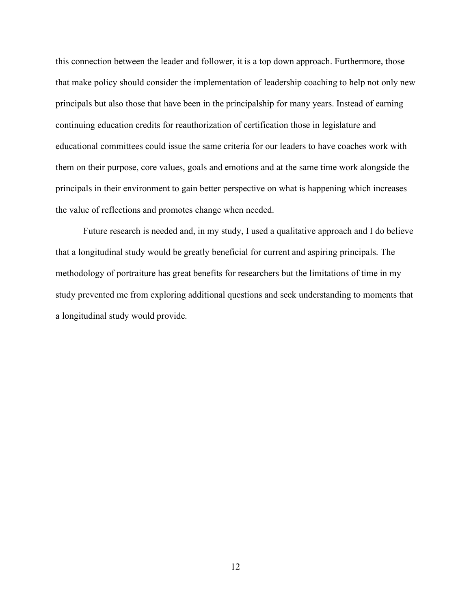this connection between the leader and follower, it is a top down approach. Furthermore, those that make policy should consider the implementation of leadership coaching to help not only new principals but also those that have been in the principalship for many years. Instead of earning continuing education credits for reauthorization of certification those in legislature and educational committees could issue the same criteria for our leaders to have coaches work with them on their purpose, core values, goals and emotions and at the same time work alongside the principals in their environment to gain better perspective on what is happening which increases the value of reflections and promotes change when needed.

Future research is needed and, in my study, I used a qualitative approach and I do believe that a longitudinal study would be greatly beneficial for current and aspiring principals. The methodology of portraiture has great benefits for researchers but the limitations of time in my study prevented me from exploring additional questions and seek understanding to moments that a longitudinal study would provide.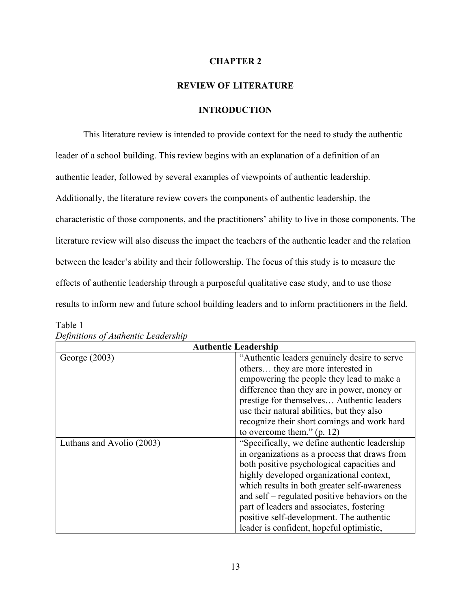#### **CHAPTER 2**

# **REVIEW OF LITERATURE**

# **INTRODUCTION**

This literature review is intended to provide context for the need to study the authentic leader of a school building. This review begins with an explanation of a definition of an authentic leader, followed by several examples of viewpoints of authentic leadership. Additionally, the literature review covers the components of authentic leadership, the characteristic of those components, and the practitioners' ability to live in those components. The literature review will also discuss the impact the teachers of the authentic leader and the relation between the leader's ability and their followership. The focus of this study is to measure the effects of authentic leadership through a purposeful qualitative case study, and to use those results to inform new and future school building leaders and to inform practitioners in the field.

| <b>Authentic Leadership</b> |                                                |  |  |
|-----------------------------|------------------------------------------------|--|--|
| George (2003)               | "Authentic leaders genuinely desire to serve   |  |  |
|                             | others they are more interested in             |  |  |
|                             | empowering the people they lead to make a      |  |  |
|                             | difference than they are in power, money or    |  |  |
|                             | prestige for themselves Authentic leaders      |  |  |
|                             | use their natural abilities, but they also     |  |  |
|                             | recognize their short comings and work hard    |  |  |
|                             | to overcome them." $(p. 12)$                   |  |  |
| Luthans and Avolio (2003)   | "Specifically, we define authentic leadership  |  |  |
|                             | in organizations as a process that draws from  |  |  |
|                             | both positive psychological capacities and     |  |  |
|                             | highly developed organizational context,       |  |  |
|                             | which results in both greater self-awareness   |  |  |
|                             | and self – regulated positive behaviors on the |  |  |
|                             | part of leaders and associates, fostering      |  |  |
|                             | positive self-development. The authentic       |  |  |
|                             | leader is confident, hopeful optimistic,       |  |  |

*Definitions of Authentic Leadership*

Table 1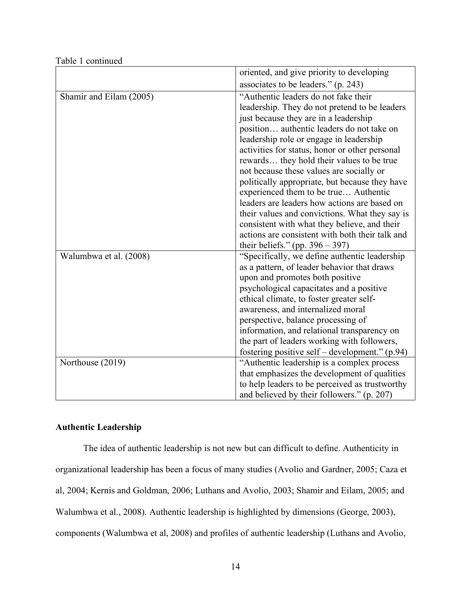|                         | oriented, and give priority to developing                                         |
|-------------------------|-----------------------------------------------------------------------------------|
|                         | associates to be leaders." (p. 243)                                               |
| Shamir and Eilam (2005) | "Authentic leaders do not fake their                                              |
|                         | leadership. They do not pretend to be leaders                                     |
|                         | just because they are in a leadership                                             |
|                         | position authentic leaders do not take on                                         |
|                         | leadership role or engage in leadership                                           |
|                         | activities for status, honor or other personal                                    |
|                         | rewards they hold their values to be true                                         |
|                         | not because these values are socially or                                          |
|                         | politically appropriate, but because they have                                    |
|                         | experienced them to be true Authentic                                             |
|                         | leaders are leaders how actions are based on                                      |
|                         | their values and convictions. What they say is                                    |
|                         | consistent with what they believe, and their                                      |
|                         | actions are consistent with both their talk and                                   |
|                         | their beliefs." (pp. $396 - 397$ )                                                |
| Walumbwa et al. (2008)  | "Specifically, we define authentic leadership                                     |
|                         | as a pattern, of leader behavior that draws                                       |
|                         | upon and promotes both positive                                                   |
|                         | psychological capacitates and a positive                                          |
|                         | ethical climate, to foster greater self-                                          |
|                         | awareness, and internalized moral                                                 |
|                         | perspective, balance processing of<br>information, and relational transparency on |
|                         | the part of leaders working with followers,                                       |
|                         | fostering positive self – development." (p.94)                                    |
| Northouse (2019)        | "Authentic leadership is a complex process                                        |
|                         | that emphasizes the development of qualities                                      |
|                         | to help leaders to be perceived as trustworthy                                    |
|                         | and believed by their followers." (p. 207)                                        |
|                         |                                                                                   |

Table 1 continued

# **Authentic Leadership**

The idea of authentic leadership is not new but can difficult to define. Authenticity in organizational leadership has been a focus of many studies (Avolio and Gardner, 2005; Caza et al, 2004; Kernis and Goldman, 2006; Luthans and Avolio, 2003; Shamir and Eilam, 2005; and Walumbwa et al., 2008). Authentic leadership is highlighted by dimensions (George, 2003), components (Walumbwa et al, 2008) and profiles of authentic leadership (Luthans and Avolio,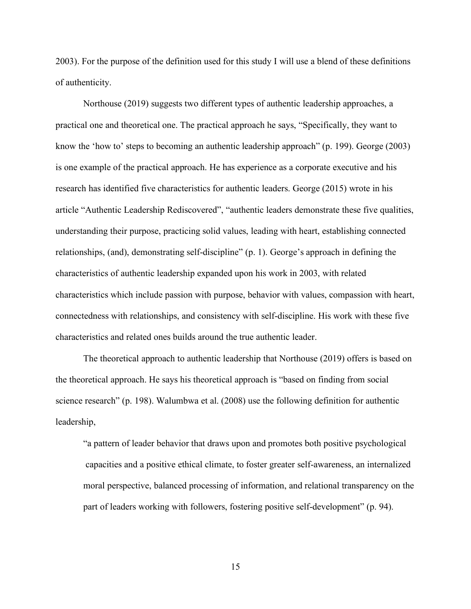2003). For the purpose of the definition used for this study I will use a blend of these definitions of authenticity.

Northouse (2019) suggests two different types of authentic leadership approaches, a practical one and theoretical one. The practical approach he says, "Specifically, they want to know the 'how to' steps to becoming an authentic leadership approach" (p. 199). George (2003) is one example of the practical approach. He has experience as a corporate executive and his research has identified five characteristics for authentic leaders. George (2015) wrote in his article "Authentic Leadership Rediscovered", "authentic leaders demonstrate these five qualities, understanding their purpose, practicing solid values, leading with heart, establishing connected relationships, (and), demonstrating self-discipline" (p. 1). George's approach in defining the characteristics of authentic leadership expanded upon his work in 2003, with related characteristics which include passion with purpose, behavior with values, compassion with heart, connectedness with relationships, and consistency with self-discipline. His work with these five characteristics and related ones builds around the true authentic leader.

The theoretical approach to authentic leadership that Northouse (2019) offers is based on the theoretical approach. He says his theoretical approach is "based on finding from social science research" (p. 198). Walumbwa et al. (2008) use the following definition for authentic leadership,

"a pattern of leader behavior that draws upon and promotes both positive psychological capacities and a positive ethical climate, to foster greater self-awareness, an internalized moral perspective, balanced processing of information, and relational transparency on the part of leaders working with followers, fostering positive self-development" (p. 94).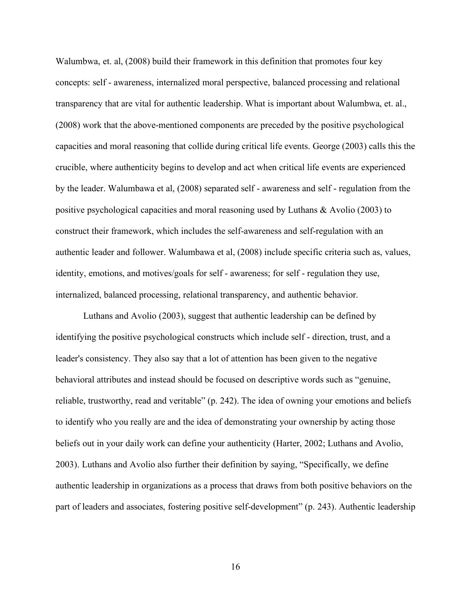Walumbwa, et. al, (2008) build their framework in this definition that promotes four key concepts: self - awareness, internalized moral perspective, balanced processing and relational transparency that are vital for authentic leadership. What is important about Walumbwa, et. al., (2008) work that the above-mentioned components are preceded by the positive psychological capacities and moral reasoning that collide during critical life events. George (2003) calls this the crucible, where authenticity begins to develop and act when critical life events are experienced by the leader. Walumbawa et al, (2008) separated self - awareness and self - regulation from the positive psychological capacities and moral reasoning used by Luthans & Avolio (2003) to construct their framework, which includes the self-awareness and self-regulation with an authentic leader and follower. Walumbawa et al, (2008) include specific criteria such as, values, identity, emotions, and motives/goals for self - awareness; for self - regulation they use, internalized, balanced processing, relational transparency, and authentic behavior.

Luthans and Avolio (2003), suggest that authentic leadership can be defined by identifying the positive psychological constructs which include self - direction, trust, and a leader's consistency. They also say that a lot of attention has been given to the negative behavioral attributes and instead should be focused on descriptive words such as "genuine, reliable, trustworthy, read and veritable" (p. 242). The idea of owning your emotions and beliefs to identify who you really are and the idea of demonstrating your ownership by acting those beliefs out in your daily work can define your authenticity (Harter, 2002; Luthans and Avolio, 2003). Luthans and Avolio also further their definition by saying, "Specifically, we define authentic leadership in organizations as a process that draws from both positive behaviors on the part of leaders and associates, fostering positive self-development" (p. 243). Authentic leadership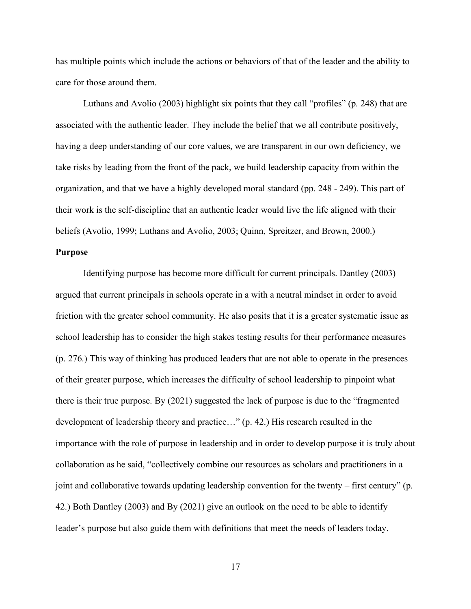has multiple points which include the actions or behaviors of that of the leader and the ability to care for those around them.

Luthans and Avolio (2003) highlight six points that they call "profiles" (p. 248) that are associated with the authentic leader. They include the belief that we all contribute positively, having a deep understanding of our core values, we are transparent in our own deficiency, we take risks by leading from the front of the pack, we build leadership capacity from within the organization, and that we have a highly developed moral standard (pp. 248 - 249). This part of their work is the self-discipline that an authentic leader would live the life aligned with their beliefs (Avolio, 1999; Luthans and Avolio, 2003; Quinn, Spreitzer, and Brown, 2000.)

## **Purpose**

Identifying purpose has become more difficult for current principals. Dantley (2003) argued that current principals in schools operate in a with a neutral mindset in order to avoid friction with the greater school community. He also posits that it is a greater systematic issue as school leadership has to consider the high stakes testing results for their performance measures (p. 276.) This way of thinking has produced leaders that are not able to operate in the presences of their greater purpose, which increases the difficulty of school leadership to pinpoint what there is their true purpose. By (2021) suggested the lack of purpose is due to the "fragmented development of leadership theory and practice…" (p. 42.) His research resulted in the importance with the role of purpose in leadership and in order to develop purpose it is truly about collaboration as he said, "collectively combine our resources as scholars and practitioners in a joint and collaborative towards updating leadership convention for the twenty – first century" (p. 42.) Both Dantley (2003) and By (2021) give an outlook on the need to be able to identify leader's purpose but also guide them with definitions that meet the needs of leaders today.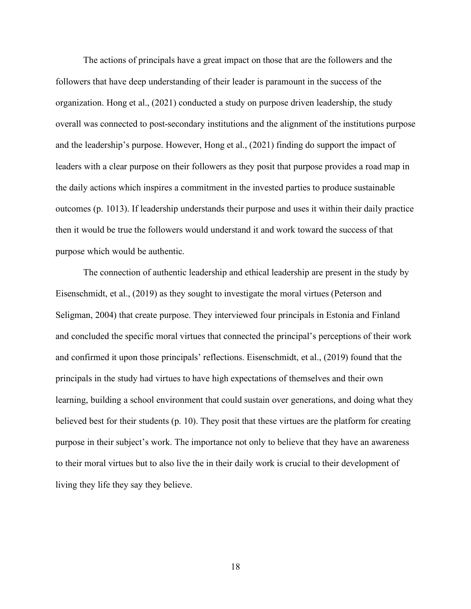The actions of principals have a great impact on those that are the followers and the followers that have deep understanding of their leader is paramount in the success of the organization. Hong et al., (2021) conducted a study on purpose driven leadership, the study overall was connected to post-secondary institutions and the alignment of the institutions purpose and the leadership's purpose. However, Hong et al., (2021) finding do support the impact of leaders with a clear purpose on their followers as they posit that purpose provides a road map in the daily actions which inspires a commitment in the invested parties to produce sustainable outcomes (p. 1013). If leadership understands their purpose and uses it within their daily practice then it would be true the followers would understand it and work toward the success of that purpose which would be authentic.

The connection of authentic leadership and ethical leadership are present in the study by Eisenschmidt, et al., (2019) as they sought to investigate the moral virtues (Peterson and Seligman, 2004) that create purpose. They interviewed four principals in Estonia and Finland and concluded the specific moral virtues that connected the principal's perceptions of their work and confirmed it upon those principals' reflections. Eisenschmidt, et al., (2019) found that the principals in the study had virtues to have high expectations of themselves and their own learning, building a school environment that could sustain over generations, and doing what they believed best for their students (p. 10). They posit that these virtues are the platform for creating purpose in their subject's work. The importance not only to believe that they have an awareness to their moral virtues but to also live the in their daily work is crucial to their development of living they life they say they believe.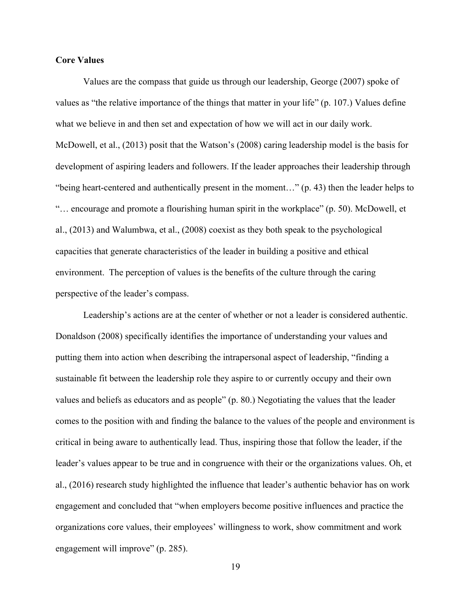# **Core Values**

Values are the compass that guide us through our leadership, George (2007) spoke of values as "the relative importance of the things that matter in your life" (p. 107.) Values define what we believe in and then set and expectation of how we will act in our daily work. McDowell, et al., (2013) posit that the Watson's (2008) caring leadership model is the basis for development of aspiring leaders and followers. If the leader approaches their leadership through "being heart-centered and authentically present in the moment…" (p. 43) then the leader helps to "… encourage and promote a flourishing human spirit in the workplace" (p. 50). McDowell, et al., (2013) and Walumbwa, et al., (2008) coexist as they both speak to the psychological capacities that generate characteristics of the leader in building a positive and ethical environment. The perception of values is the benefits of the culture through the caring perspective of the leader's compass.

Leadership's actions are at the center of whether or not a leader is considered authentic. Donaldson (2008) specifically identifies the importance of understanding your values and putting them into action when describing the intrapersonal aspect of leadership, "finding a sustainable fit between the leadership role they aspire to or currently occupy and their own values and beliefs as educators and as people" (p. 80.) Negotiating the values that the leader comes to the position with and finding the balance to the values of the people and environment is critical in being aware to authentically lead. Thus, inspiring those that follow the leader, if the leader's values appear to be true and in congruence with their or the organizations values. Oh, et al., (2016) research study highlighted the influence that leader's authentic behavior has on work engagement and concluded that "when employers become positive influences and practice the organizations core values, their employees' willingness to work, show commitment and work engagement will improve" (p. 285).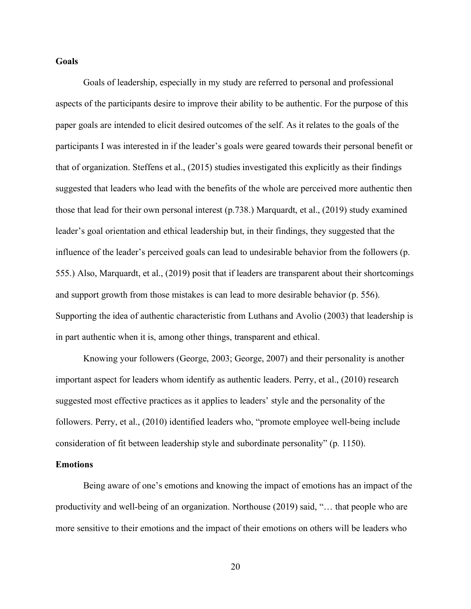#### **Goals**

Goals of leadership, especially in my study are referred to personal and professional aspects of the participants desire to improve their ability to be authentic. For the purpose of this paper goals are intended to elicit desired outcomes of the self. As it relates to the goals of the participants I was interested in if the leader's goals were geared towards their personal benefit or that of organization. Steffens et al., (2015) studies investigated this explicitly as their findings suggested that leaders who lead with the benefits of the whole are perceived more authentic then those that lead for their own personal interest (p.738.) Marquardt, et al., (2019) study examined leader's goal orientation and ethical leadership but, in their findings, they suggested that the influence of the leader's perceived goals can lead to undesirable behavior from the followers (p. 555.) Also, Marquardt, et al., (2019) posit that if leaders are transparent about their shortcomings and support growth from those mistakes is can lead to more desirable behavior (p. 556). Supporting the idea of authentic characteristic from Luthans and Avolio (2003) that leadership is in part authentic when it is, among other things, transparent and ethical.

Knowing your followers (George, 2003; George, 2007) and their personality is another important aspect for leaders whom identify as authentic leaders. Perry, et al., (2010) research suggested most effective practices as it applies to leaders' style and the personality of the followers. Perry, et al., (2010) identified leaders who, "promote employee well-being include consideration of fit between leadership style and subordinate personality" (p. 1150).

#### **Emotions**

Being aware of one's emotions and knowing the impact of emotions has an impact of the productivity and well-being of an organization. Northouse (2019) said, "… that people who are more sensitive to their emotions and the impact of their emotions on others will be leaders who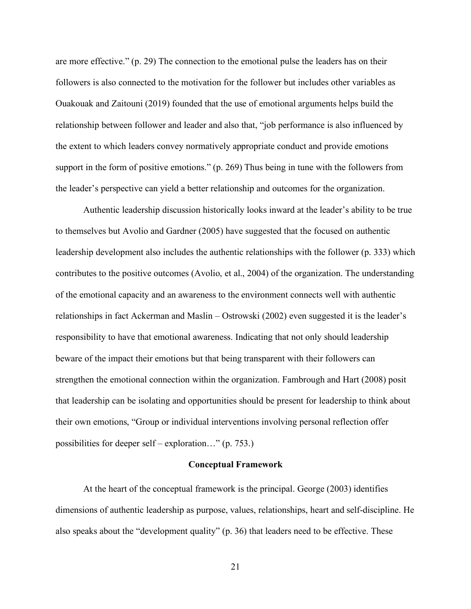are more effective." (p. 29) The connection to the emotional pulse the leaders has on their followers is also connected to the motivation for the follower but includes other variables as Ouakouak and Zaitouni (2019) founded that the use of emotional arguments helps build the relationship between follower and leader and also that, "job performance is also influenced by the extent to which leaders convey normatively appropriate conduct and provide emotions support in the form of positive emotions." (p. 269) Thus being in tune with the followers from the leader's perspective can yield a better relationship and outcomes for the organization.

Authentic leadership discussion historically looks inward at the leader's ability to be true to themselves but Avolio and Gardner (2005) have suggested that the focused on authentic leadership development also includes the authentic relationships with the follower (p. 333) which contributes to the positive outcomes (Avolio, et al., 2004) of the organization. The understanding of the emotional capacity and an awareness to the environment connects well with authentic relationships in fact Ackerman and Maslin – Ostrowski (2002) even suggested it is the leader's responsibility to have that emotional awareness. Indicating that not only should leadership beware of the impact their emotions but that being transparent with their followers can strengthen the emotional connection within the organization. Fambrough and Hart (2008) posit that leadership can be isolating and opportunities should be present for leadership to think about their own emotions, "Group or individual interventions involving personal reflection offer possibilities for deeper self – exploration…" (p. 753.)

## **Conceptual Framework**

At the heart of the conceptual framework is the principal. George (2003) identifies dimensions of authentic leadership as purpose, values, relationships, heart and self-discipline. He also speaks about the "development quality" (p. 36) that leaders need to be effective. These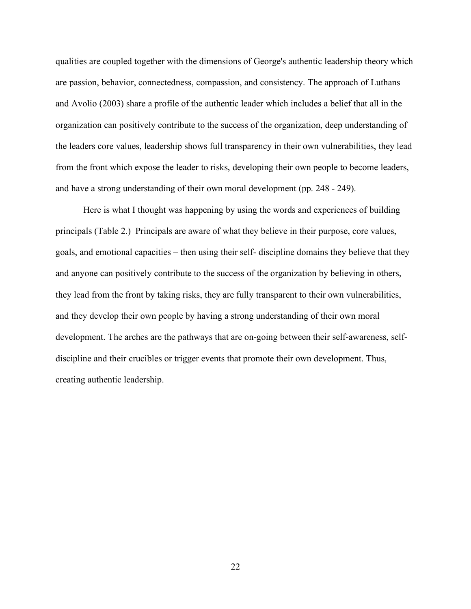qualities are coupled together with the dimensions of George's authentic leadership theory which are passion, behavior, connectedness, compassion, and consistency. The approach of Luthans and Avolio (2003) share a profile of the authentic leader which includes a belief that all in the organization can positively contribute to the success of the organization, deep understanding of the leaders core values, leadership shows full transparency in their own vulnerabilities, they lead from the front which expose the leader to risks, developing their own people to become leaders, and have a strong understanding of their own moral development (pp. 248 - 249).

Here is what I thought was happening by using the words and experiences of building principals (Table 2.) Principals are aware of what they believe in their purpose, core values, goals, and emotional capacities – then using their self- discipline domains they believe that they and anyone can positively contribute to the success of the organization by believing in others, they lead from the front by taking risks, they are fully transparent to their own vulnerabilities, and they develop their own people by having a strong understanding of their own moral development. The arches are the pathways that are on-going between their self-awareness, selfdiscipline and their crucibles or trigger events that promote their own development. Thus, creating authentic leadership.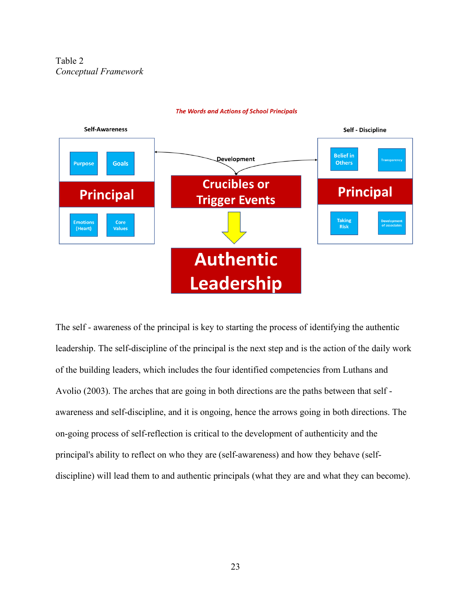Table 2 *Conceptual Framework*



#### **The Words and Actions of School Principals**

The self - awareness of the principal is key to starting the process of identifying the authentic leadership. The self-discipline of the principal is the next step and is the action of the daily work of the building leaders, which includes the four identified competencies from Luthans and Avolio (2003). The arches that are going in both directions are the paths between that self awareness and self-discipline, and it is ongoing, hence the arrows going in both directions. The on-going process of self-reflection is critical to the development of authenticity and the principal's ability to reflect on who they are (self-awareness) and how they behave (selfdiscipline) will lead them to and authentic principals (what they are and what they can become).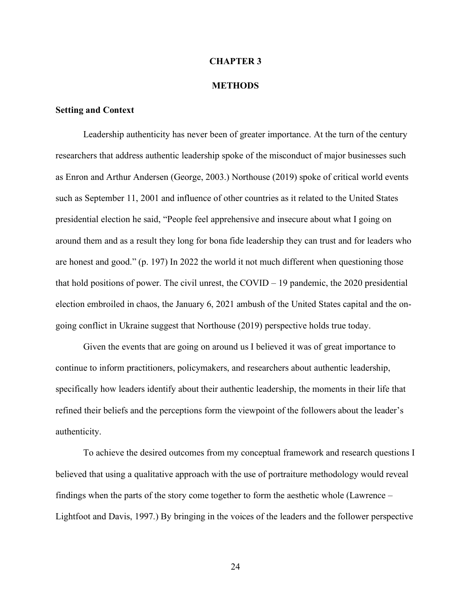#### **CHAPTER 3**

#### **METHODS**

## **Setting and Context**

Leadership authenticity has never been of greater importance. At the turn of the century researchers that address authentic leadership spoke of the misconduct of major businesses such as Enron and Arthur Andersen (George, 2003.) Northouse (2019) spoke of critical world events such as September 11, 2001 and influence of other countries as it related to the United States presidential election he said, "People feel apprehensive and insecure about what I going on around them and as a result they long for bona fide leadership they can trust and for leaders who are honest and good." (p. 197) In 2022 the world it not much different when questioning those that hold positions of power. The civil unrest, the COVID – 19 pandemic, the 2020 presidential election embroiled in chaos, the January 6, 2021 ambush of the United States capital and the ongoing conflict in Ukraine suggest that Northouse (2019) perspective holds true today.

Given the events that are going on around us I believed it was of great importance to continue to inform practitioners, policymakers, and researchers about authentic leadership, specifically how leaders identify about their authentic leadership, the moments in their life that refined their beliefs and the perceptions form the viewpoint of the followers about the leader's authenticity.

To achieve the desired outcomes from my conceptual framework and research questions I believed that using a qualitative approach with the use of portraiture methodology would reveal findings when the parts of the story come together to form the aesthetic whole (Lawrence – Lightfoot and Davis, 1997.) By bringing in the voices of the leaders and the follower perspective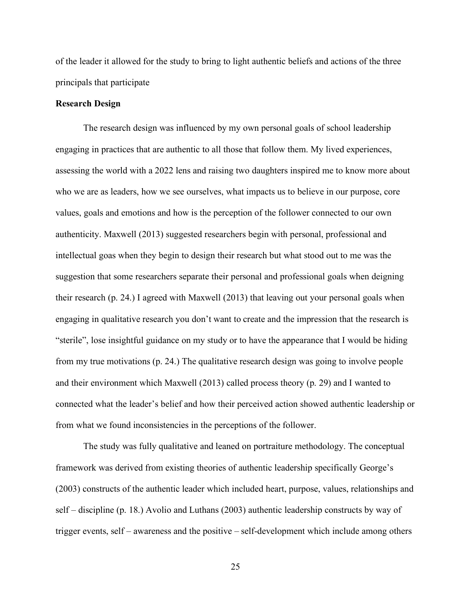of the leader it allowed for the study to bring to light authentic beliefs and actions of the three principals that participate

### **Research Design**

The research design was influenced by my own personal goals of school leadership engaging in practices that are authentic to all those that follow them. My lived experiences, assessing the world with a 2022 lens and raising two daughters inspired me to know more about who we are as leaders, how we see ourselves, what impacts us to believe in our purpose, core values, goals and emotions and how is the perception of the follower connected to our own authenticity. Maxwell (2013) suggested researchers begin with personal, professional and intellectual goas when they begin to design their research but what stood out to me was the suggestion that some researchers separate their personal and professional goals when deigning their research (p. 24.) I agreed with Maxwell (2013) that leaving out your personal goals when engaging in qualitative research you don't want to create and the impression that the research is "sterile", lose insightful guidance on my study or to have the appearance that I would be hiding from my true motivations (p. 24.) The qualitative research design was going to involve people and their environment which Maxwell (2013) called process theory (p. 29) and I wanted to connected what the leader's belief and how their perceived action showed authentic leadership or from what we found inconsistencies in the perceptions of the follower.

The study was fully qualitative and leaned on portraiture methodology. The conceptual framework was derived from existing theories of authentic leadership specifically George's (2003) constructs of the authentic leader which included heart, purpose, values, relationships and self – discipline (p. 18.) Avolio and Luthans (2003) authentic leadership constructs by way of trigger events, self – awareness and the positive – self-development which include among others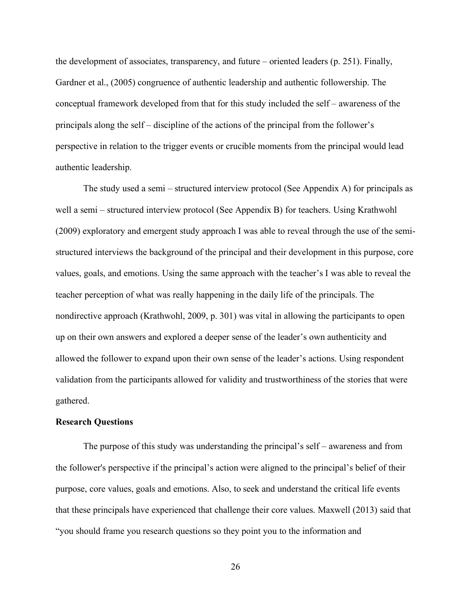the development of associates, transparency, and future – oriented leaders (p. 251). Finally, Gardner et al., (2005) congruence of authentic leadership and authentic followership. The conceptual framework developed from that for this study included the self – awareness of the principals along the self – discipline of the actions of the principal from the follower's perspective in relation to the trigger events or crucible moments from the principal would lead authentic leadership.

The study used a semi – structured interview protocol (See Appendix A) for principals as well a semi – structured interview protocol (See Appendix B) for teachers. Using Krathwohl (2009) exploratory and emergent study approach I was able to reveal through the use of the semistructured interviews the background of the principal and their development in this purpose, core values, goals, and emotions. Using the same approach with the teacher's I was able to reveal the teacher perception of what was really happening in the daily life of the principals. The nondirective approach (Krathwohl, 2009, p. 301) was vital in allowing the participants to open up on their own answers and explored a deeper sense of the leader's own authenticity and allowed the follower to expand upon their own sense of the leader's actions. Using respondent validation from the participants allowed for validity and trustworthiness of the stories that were gathered.

#### **Research Questions**

The purpose of this study was understanding the principal's self – awareness and from the follower's perspective if the principal's action were aligned to the principal's belief of their purpose, core values, goals and emotions. Also, to seek and understand the critical life events that these principals have experienced that challenge their core values. Maxwell (2013) said that "you should frame you research questions so they point you to the information and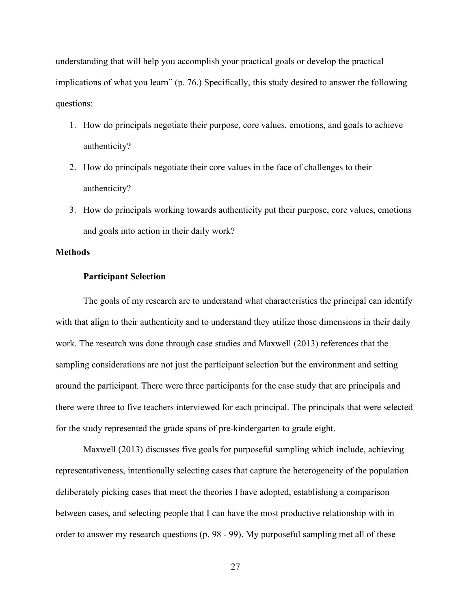understanding that will help you accomplish your practical goals or develop the practical implications of what you learn" (p. 76.) Specifically, this study desired to answer the following questions:

- 1. How do principals negotiate their purpose, core values, emotions, and goals to achieve authenticity?
- 2. How do principals negotiate their core values in the face of challenges to their authenticity?
- 3. How do principals working towards authenticity put their purpose, core values, emotions and goals into action in their daily work?

## **Methods**

## **Participant Selection**

The goals of my research are to understand what characteristics the principal can identify with that align to their authenticity and to understand they utilize those dimensions in their daily work. The research was done through case studies and Maxwell (2013) references that the sampling considerations are not just the participant selection but the environment and setting around the participant. There were three participants for the case study that are principals and there were three to five teachers interviewed for each principal. The principals that were selected for the study represented the grade spans of pre-kindergarten to grade eight.

Maxwell (2013) discusses five goals for purposeful sampling which include, achieving representativeness, intentionally selecting cases that capture the heterogeneity of the population deliberately picking cases that meet the theories I have adopted, establishing a comparison between cases, and selecting people that I can have the most productive relationship with in order to answer my research questions (p. 98 - 99). My purposeful sampling met all of these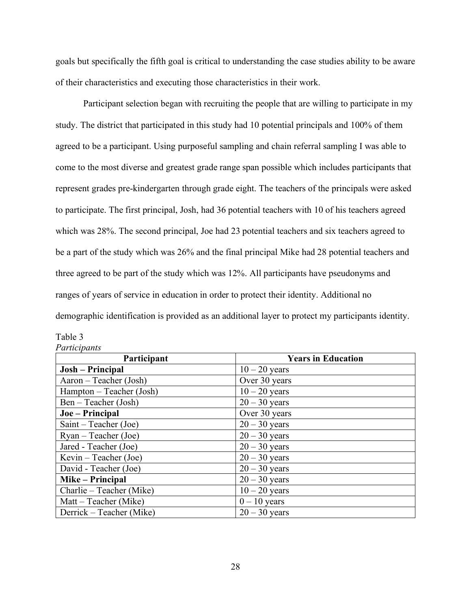goals but specifically the fifth goal is critical to understanding the case studies ability to be aware of their characteristics and executing those characteristics in their work.

Participant selection began with recruiting the people that are willing to participate in my study. The district that participated in this study had 10 potential principals and 100% of them agreed to be a participant. Using purposeful sampling and chain referral sampling I was able to come to the most diverse and greatest grade range span possible which includes participants that represent grades pre-kindergarten through grade eight. The teachers of the principals were asked to participate. The first principal, Josh, had 36 potential teachers with 10 of his teachers agreed which was 28%. The second principal, Joe had 23 potential teachers and six teachers agreed to be a part of the study which was 26% and the final principal Mike had 28 potential teachers and three agreed to be part of the study which was 12%. All participants have pseudonyms and ranges of years of service in education in order to protect their identity. Additional no demographic identification is provided as an additional layer to protect my participants identity.

| Table 3      |
|--------------|
| Participants |

| Participant              | <b>Years in Education</b> |
|--------------------------|---------------------------|
| Josh – Principal         | $10 - 20$ years           |
| Aaron – Teacher (Josh)   | Over 30 years             |
| Hampton – Teacher (Josh) | $10 - 20$ years           |
| Ben – Teacher (Josh)     | $20 - 30$ years           |
| Joe – Principal          | Over 30 years             |
| Saint – Teacher (Joe)    | $20 - 30$ years           |
| $Ryan - Teacher (Joe)$   | $20 - 30$ years           |
| Jared - Teacher (Joe)    | $20 - 30$ years           |
| Kevin – Teacher (Joe)    | $20 - 30$ years           |
| David - Teacher (Joe)    | $20 - 30$ years           |
| Mike – Principal         | $20 - 30$ years           |
| Charlie – Teacher (Mike) | $10 - 20$ years           |
| Matt – Teacher (Mike)    | $0 - 10$ years            |
| Derrick – Teacher (Mike) | $20 - 30$ years           |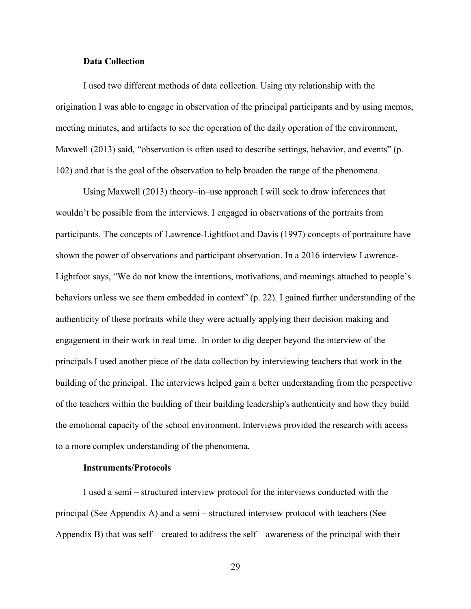## **Data Collection**

I used two different methods of data collection. Using my relationship with the origination I was able to engage in observation of the principal participants and by using memos, meeting minutes, and artifacts to see the operation of the daily operation of the environment, Maxwell (2013) said, "observation is often used to describe settings, behavior, and events" (p. 102) and that is the goal of the observation to help broaden the range of the phenomena.

Using Maxwell (2013) theory–in–use approach I will seek to draw inferences that wouldn't be possible from the interviews. I engaged in observations of the portraits from participants. The concepts of Lawrence-Lightfoot and Davis (1997) concepts of portraiture have shown the power of observations and participant observation. In a 2016 interview Lawrence-Lightfoot says, "We do not know the intentions, motivations, and meanings attached to people's behaviors unless we see them embedded in context" (p. 22). I gained further understanding of the authenticity of these portraits while they were actually applying their decision making and engagement in their work in real time. In order to dig deeper beyond the interview of the principals I used another piece of the data collection by interviewing teachers that work in the building of the principal. The interviews helped gain a better understanding from the perspective of the teachers within the building of their building leadership's authenticity and how they build the emotional capacity of the school environment. Interviews provided the research with access to a more complex understanding of the phenomena.

## **Instruments/Protocols**

I used a semi – structured interview protocol for the interviews conducted with the principal (See Appendix A) and a semi – structured interview protocol with teachers (See Appendix B) that was self – created to address the self – awareness of the principal with their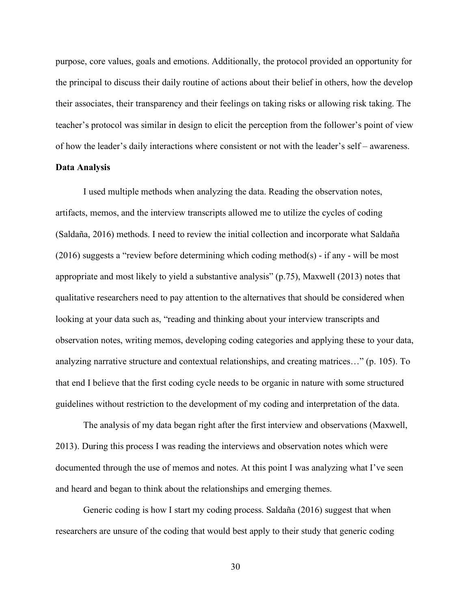purpose, core values, goals and emotions. Additionally, the protocol provided an opportunity for the principal to discuss their daily routine of actions about their belief in others, how the develop their associates, their transparency and their feelings on taking risks or allowing risk taking. The teacher's protocol was similar in design to elicit the perception from the follower's point of view of how the leader's daily interactions where consistent or not with the leader's self – awareness.

## **Data Analysis**

I used multiple methods when analyzing the data. Reading the observation notes, artifacts, memos, and the interview transcripts allowed me to utilize the cycles of coding (Saldaña, 2016) methods. I need to review the initial collection and incorporate what Saldaña (2016) suggests a "review before determining which coding method(s) - if any - will be most appropriate and most likely to yield a substantive analysis" (p.75), Maxwell (2013) notes that qualitative researchers need to pay attention to the alternatives that should be considered when looking at your data such as, "reading and thinking about your interview transcripts and observation notes, writing memos, developing coding categories and applying these to your data, analyzing narrative structure and contextual relationships, and creating matrices…" (p. 105). To that end I believe that the first coding cycle needs to be organic in nature with some structured guidelines without restriction to the development of my coding and interpretation of the data.

The analysis of my data began right after the first interview and observations (Maxwell, 2013). During this process I was reading the interviews and observation notes which were documented through the use of memos and notes. At this point I was analyzing what I've seen and heard and began to think about the relationships and emerging themes.

Generic coding is how I start my coding process. Saldaña (2016) suggest that when researchers are unsure of the coding that would best apply to their study that generic coding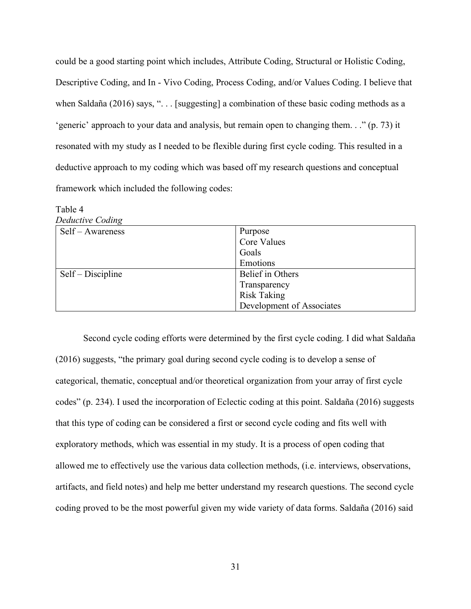could be a good starting point which includes, Attribute Coding, Structural or Holistic Coding, Descriptive Coding, and In - Vivo Coding, Process Coding, and/or Values Coding. I believe that when Saldaña (2016) says, "... [suggesting] a combination of these basic coding methods as a 'generic' approach to your data and analysis, but remain open to changing them. . ." (p. 73) it resonated with my study as I needed to be flexible during first cycle coding. This resulted in a deductive approach to my coding which was based off my research questions and conceptual framework which included the following codes:

| $1$ and $4$       |                           |
|-------------------|---------------------------|
| Deductive Coding  |                           |
| Self – Awareness  | Purpose                   |
|                   | Core Values               |
|                   | Goals                     |
|                   | Emotions                  |
| Self – Discipline | Belief in Others          |
|                   | Transparency              |
|                   | <b>Risk Taking</b>        |
|                   | Development of Associates |

 $Table 4$ 

Second cycle coding efforts were determined by the first cycle coding. I did what Saldaña (2016) suggests, "the primary goal during second cycle coding is to develop a sense of categorical, thematic, conceptual and/or theoretical organization from your array of first cycle codes" (p. 234). I used the incorporation of Eclectic coding at this point. Saldaña (2016) suggests that this type of coding can be considered a first or second cycle coding and fits well with exploratory methods, which was essential in my study. It is a process of open coding that allowed me to effectively use the various data collection methods, (i.e. interviews, observations, artifacts, and field notes) and help me better understand my research questions. The second cycle coding proved to be the most powerful given my wide variety of data forms. Saldaña (2016) said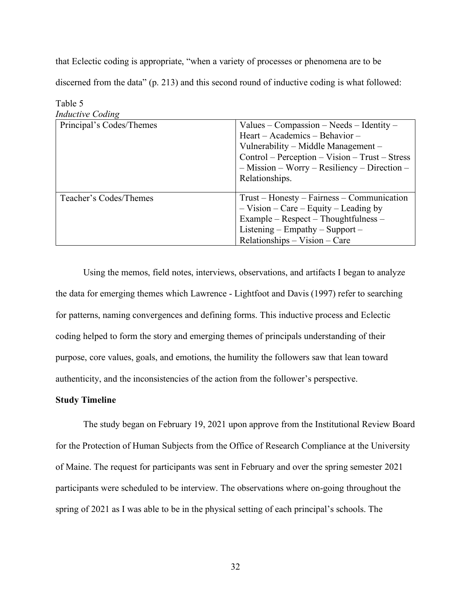that Eclectic coding is appropriate, "when a variety of processes or phenomena are to be discerned from the data" (p. 213) and this second round of inductive coding is what followed:

| <i>Inductive</i> County  |                                                |
|--------------------------|------------------------------------------------|
| Principal's Codes/Themes | Values – Compassion – Needs – Identity –       |
|                          | Heart – Academics – Behavior –                 |
|                          | Vulnerability – Middle Management –            |
|                          | Control – Perception – Vision – Trust – Stress |
|                          | $-$ Mission – Worry – Resiliency – Direction – |
|                          | Relationships.                                 |
|                          |                                                |
| Teacher's Codes/Themes   | Trust – Honesty – Fairness – Communication     |
|                          | $-$ Vision – Care – Equity – Leading by        |
|                          | Example – Respect – Thoughtfulness –           |
|                          | Listening – Empathy – Support –                |
|                          | $Relationships - Vision - Care$                |

Table 5 *Inductive Coding*

Using the memos, field notes, interviews, observations, and artifacts I began to analyze the data for emerging themes which Lawrence - Lightfoot and Davis (1997) refer to searching for patterns, naming convergences and defining forms. This inductive process and Eclectic coding helped to form the story and emerging themes of principals understanding of their purpose, core values, goals, and emotions, the humility the followers saw that lean toward authenticity, and the inconsistencies of the action from the follower's perspective.

## **Study Timeline**

The study began on February 19, 2021 upon approve from the Institutional Review Board for the Protection of Human Subjects from the Office of Research Compliance at the University of Maine. The request for participants was sent in February and over the spring semester 2021 participants were scheduled to be interview. The observations where on-going throughout the spring of 2021 as I was able to be in the physical setting of each principal's schools. The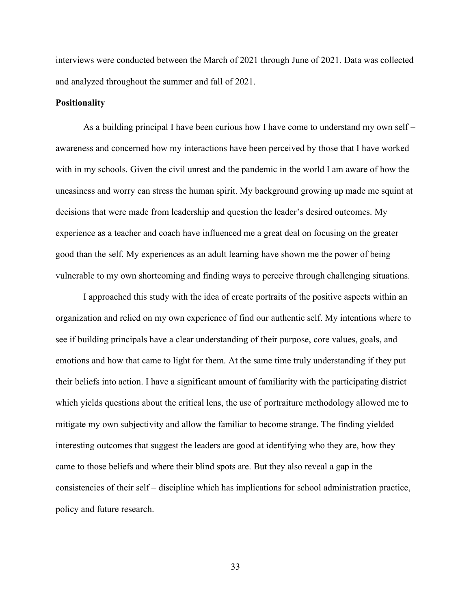interviews were conducted between the March of 2021 through June of 2021. Data was collected and analyzed throughout the summer and fall of 2021.

## **Positionality**

As a building principal I have been curious how I have come to understand my own self – awareness and concerned how my interactions have been perceived by those that I have worked with in my schools. Given the civil unrest and the pandemic in the world I am aware of how the uneasiness and worry can stress the human spirit. My background growing up made me squint at decisions that were made from leadership and question the leader's desired outcomes. My experience as a teacher and coach have influenced me a great deal on focusing on the greater good than the self. My experiences as an adult learning have shown me the power of being vulnerable to my own shortcoming and finding ways to perceive through challenging situations.

I approached this study with the idea of create portraits of the positive aspects within an organization and relied on my own experience of find our authentic self. My intentions where to see if building principals have a clear understanding of their purpose, core values, goals, and emotions and how that came to light for them. At the same time truly understanding if they put their beliefs into action. I have a significant amount of familiarity with the participating district which yields questions about the critical lens, the use of portraiture methodology allowed me to mitigate my own subjectivity and allow the familiar to become strange. The finding yielded interesting outcomes that suggest the leaders are good at identifying who they are, how they came to those beliefs and where their blind spots are. But they also reveal a gap in the consistencies of their self – discipline which has implications for school administration practice, policy and future research.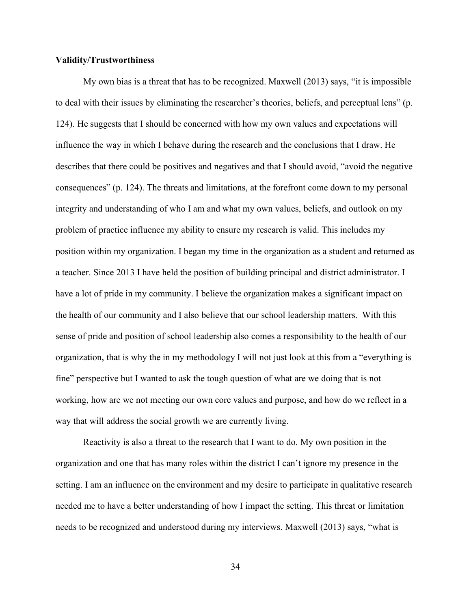## **Validity/Trustworthiness**

My own bias is a threat that has to be recognized. Maxwell (2013) says, "it is impossible to deal with their issues by eliminating the researcher's theories, beliefs, and perceptual lens" (p. 124). He suggests that I should be concerned with how my own values and expectations will influence the way in which I behave during the research and the conclusions that I draw. He describes that there could be positives and negatives and that I should avoid, "avoid the negative consequences" (p. 124). The threats and limitations, at the forefront come down to my personal integrity and understanding of who I am and what my own values, beliefs, and outlook on my problem of practice influence my ability to ensure my research is valid. This includes my position within my organization. I began my time in the organization as a student and returned as a teacher. Since 2013 I have held the position of building principal and district administrator. I have a lot of pride in my community. I believe the organization makes a significant impact on the health of our community and I also believe that our school leadership matters. With this sense of pride and position of school leadership also comes a responsibility to the health of our organization, that is why the in my methodology I will not just look at this from a "everything is fine" perspective but I wanted to ask the tough question of what are we doing that is not working, how are we not meeting our own core values and purpose, and how do we reflect in a way that will address the social growth we are currently living.

Reactivity is also a threat to the research that I want to do. My own position in the organization and one that has many roles within the district I can't ignore my presence in the setting. I am an influence on the environment and my desire to participate in qualitative research needed me to have a better understanding of how I impact the setting. This threat or limitation needs to be recognized and understood during my interviews. Maxwell (2013) says, "what is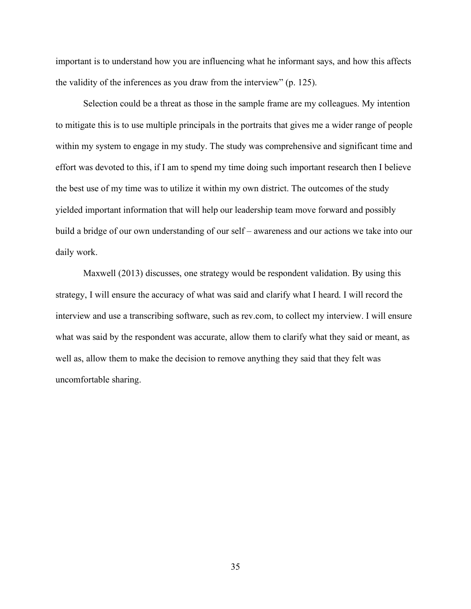important is to understand how you are influencing what he informant says, and how this affects the validity of the inferences as you draw from the interview" (p. 125).

Selection could be a threat as those in the sample frame are my colleagues. My intention to mitigate this is to use multiple principals in the portraits that gives me a wider range of people within my system to engage in my study. The study was comprehensive and significant time and effort was devoted to this, if I am to spend my time doing such important research then I believe the best use of my time was to utilize it within my own district. The outcomes of the study yielded important information that will help our leadership team move forward and possibly build a bridge of our own understanding of our self – awareness and our actions we take into our daily work.

Maxwell (2013) discusses, one strategy would be respondent validation. By using this strategy, I will ensure the accuracy of what was said and clarify what I heard. I will record the interview and use a transcribing software, such as rev.com, to collect my interview. I will ensure what was said by the respondent was accurate, allow them to clarify what they said or meant, as well as, allow them to make the decision to remove anything they said that they felt was uncomfortable sharing.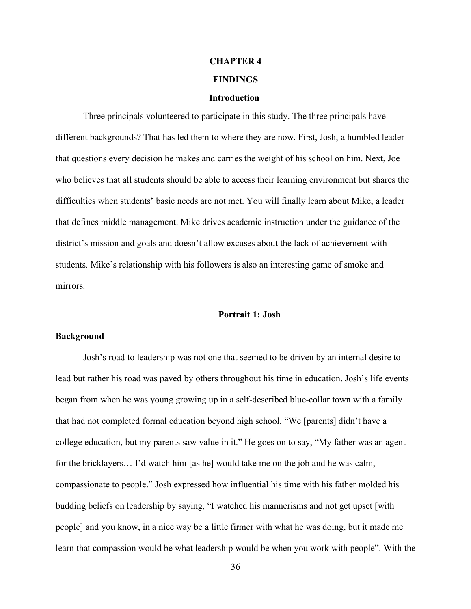# **CHAPTER 4 FINDINGS**

#### **Introduction**

Three principals volunteered to participate in this study. The three principals have different backgrounds? That has led them to where they are now. First, Josh, a humbled leader that questions every decision he makes and carries the weight of his school on him. Next, Joe who believes that all students should be able to access their learning environment but shares the difficulties when students' basic needs are not met. You will finally learn about Mike, a leader that defines middle management. Mike drives academic instruction under the guidance of the district's mission and goals and doesn't allow excuses about the lack of achievement with students. Mike's relationship with his followers is also an interesting game of smoke and mirrors.

## **Portrait 1: Josh**

## **Background**

Josh's road to leadership was not one that seemed to be driven by an internal desire to lead but rather his road was paved by others throughout his time in education. Josh's life events began from when he was young growing up in a self-described blue-collar town with a family that had not completed formal education beyond high school. "We [parents] didn't have a college education, but my parents saw value in it." He goes on to say, "My father was an agent for the bricklayers… I'd watch him [as he] would take me on the job and he was calm, compassionate to people." Josh expressed how influential his time with his father molded his budding beliefs on leadership by saying, "I watched his mannerisms and not get upset [with people] and you know, in a nice way be a little firmer with what he was doing, but it made me learn that compassion would be what leadership would be when you work with people". With the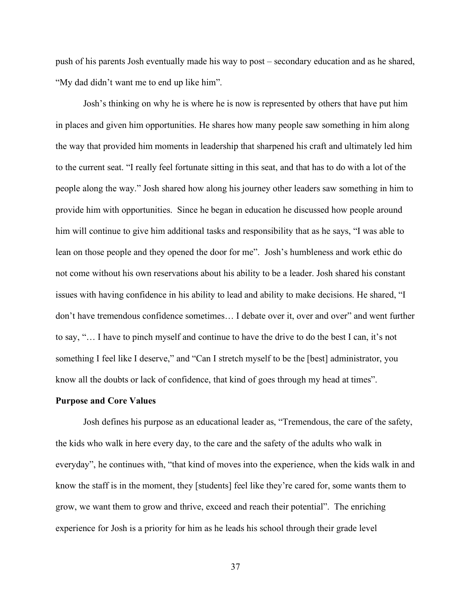push of his parents Josh eventually made his way to post – secondary education and as he shared, "My dad didn't want me to end up like him".

Josh's thinking on why he is where he is now is represented by others that have put him in places and given him opportunities. He shares how many people saw something in him along the way that provided him moments in leadership that sharpened his craft and ultimately led him to the current seat. "I really feel fortunate sitting in this seat, and that has to do with a lot of the people along the way." Josh shared how along his journey other leaders saw something in him to provide him with opportunities. Since he began in education he discussed how people around him will continue to give him additional tasks and responsibility that as he says, "I was able to lean on those people and they opened the door for me". Josh's humbleness and work ethic do not come without his own reservations about his ability to be a leader. Josh shared his constant issues with having confidence in his ability to lead and ability to make decisions. He shared, "I don't have tremendous confidence sometimes… I debate over it, over and over" and went further to say, "… I have to pinch myself and continue to have the drive to do the best I can, it's not something I feel like I deserve," and "Can I stretch myself to be the [best] administrator, you know all the doubts or lack of confidence, that kind of goes through my head at times".

#### **Purpose and Core Values**

Josh defines his purpose as an educational leader as, "Tremendous, the care of the safety, the kids who walk in here every day, to the care and the safety of the adults who walk in everyday", he continues with, "that kind of moves into the experience, when the kids walk in and know the staff is in the moment, they [students] feel like they're cared for, some wants them to grow, we want them to grow and thrive, exceed and reach their potential". The enriching experience for Josh is a priority for him as he leads his school through their grade level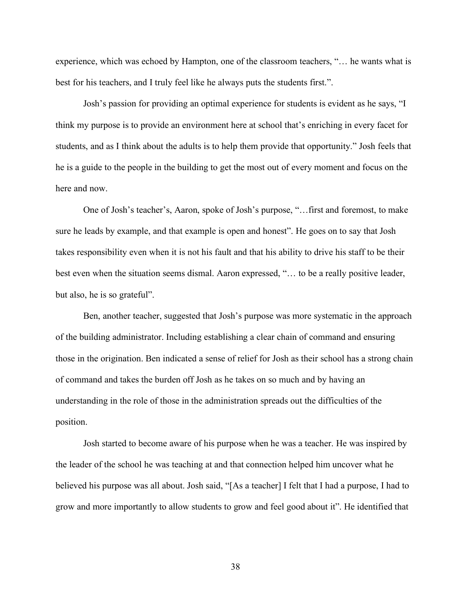experience, which was echoed by Hampton, one of the classroom teachers, "… he wants what is best for his teachers, and I truly feel like he always puts the students first.".

Josh's passion for providing an optimal experience for students is evident as he says, "I think my purpose is to provide an environment here at school that's enriching in every facet for students, and as I think about the adults is to help them provide that opportunity." Josh feels that he is a guide to the people in the building to get the most out of every moment and focus on the here and now.

One of Josh's teacher's, Aaron, spoke of Josh's purpose, "…first and foremost, to make sure he leads by example, and that example is open and honest". He goes on to say that Josh takes responsibility even when it is not his fault and that his ability to drive his staff to be their best even when the situation seems dismal. Aaron expressed, "… to be a really positive leader, but also, he is so grateful".

Ben, another teacher, suggested that Josh's purpose was more systematic in the approach of the building administrator. Including establishing a clear chain of command and ensuring those in the origination. Ben indicated a sense of relief for Josh as their school has a strong chain of command and takes the burden off Josh as he takes on so much and by having an understanding in the role of those in the administration spreads out the difficulties of the position.

Josh started to become aware of his purpose when he was a teacher. He was inspired by the leader of the school he was teaching at and that connection helped him uncover what he believed his purpose was all about. Josh said, "[As a teacher] I felt that I had a purpose, I had to grow and more importantly to allow students to grow and feel good about it". He identified that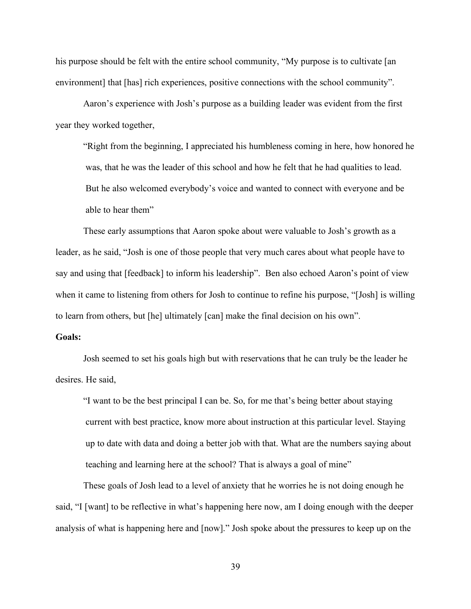his purpose should be felt with the entire school community, "My purpose is to cultivate [an] environment] that [has] rich experiences, positive connections with the school community".

Aaron's experience with Josh's purpose as a building leader was evident from the first year they worked together,

"Right from the beginning, I appreciated his humbleness coming in here, how honored he was, that he was the leader of this school and how he felt that he had qualities to lead. But he also welcomed everybody's voice and wanted to connect with everyone and be able to hear them"

These early assumptions that Aaron spoke about were valuable to Josh's growth as a leader, as he said, "Josh is one of those people that very much cares about what people have to say and using that [feedback] to inform his leadership". Ben also echoed Aaron's point of view when it came to listening from others for Josh to continue to refine his purpose, "[Josh] is willing to learn from others, but [he] ultimately [can] make the final decision on his own".

## **Goals:**

Josh seemed to set his goals high but with reservations that he can truly be the leader he desires. He said,

"I want to be the best principal I can be. So, for me that's being better about staying current with best practice, know more about instruction at this particular level. Staying up to date with data and doing a better job with that. What are the numbers saying about teaching and learning here at the school? That is always a goal of mine"

These goals of Josh lead to a level of anxiety that he worries he is not doing enough he said, "I [want] to be reflective in what's happening here now, am I doing enough with the deeper analysis of what is happening here and [now]." Josh spoke about the pressures to keep up on the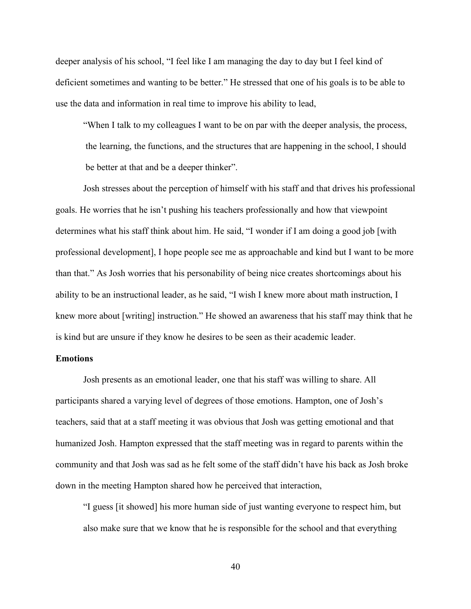deeper analysis of his school, "I feel like I am managing the day to day but I feel kind of deficient sometimes and wanting to be better." He stressed that one of his goals is to be able to use the data and information in real time to improve his ability to lead,

"When I talk to my colleagues I want to be on par with the deeper analysis, the process, the learning, the functions, and the structures that are happening in the school, I should be better at that and be a deeper thinker".

Josh stresses about the perception of himself with his staff and that drives his professional goals. He worries that he isn't pushing his teachers professionally and how that viewpoint determines what his staff think about him. He said, "I wonder if I am doing a good job [with professional development], I hope people see me as approachable and kind but I want to be more than that." As Josh worries that his personability of being nice creates shortcomings about his ability to be an instructional leader, as he said, "I wish I knew more about math instruction, I knew more about [writing] instruction." He showed an awareness that his staff may think that he is kind but are unsure if they know he desires to be seen as their academic leader.

## **Emotions**

Josh presents as an emotional leader, one that his staff was willing to share. All participants shared a varying level of degrees of those emotions. Hampton, one of Josh's teachers, said that at a staff meeting it was obvious that Josh was getting emotional and that humanized Josh. Hampton expressed that the staff meeting was in regard to parents within the community and that Josh was sad as he felt some of the staff didn't have his back as Josh broke down in the meeting Hampton shared how he perceived that interaction,

"I guess [it showed] his more human side of just wanting everyone to respect him, but also make sure that we know that he is responsible for the school and that everything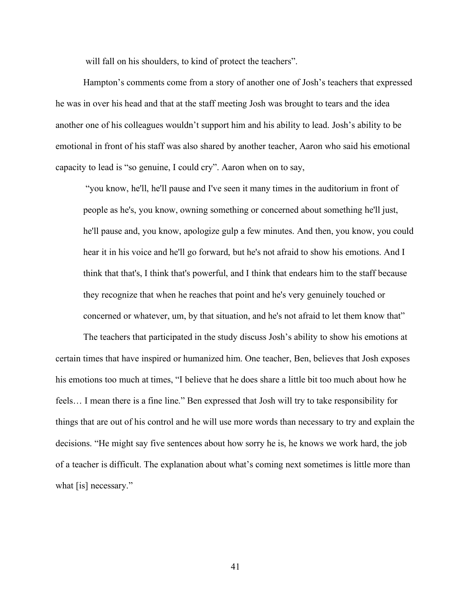will fall on his shoulders, to kind of protect the teachers".

Hampton's comments come from a story of another one of Josh's teachers that expressed he was in over his head and that at the staff meeting Josh was brought to tears and the idea another one of his colleagues wouldn't support him and his ability to lead. Josh's ability to be emotional in front of his staff was also shared by another teacher, Aaron who said his emotional capacity to lead is "so genuine, I could cry". Aaron when on to say,

"you know, he'll, he'll pause and I've seen it many times in the auditorium in front of people as he's, you know, owning something or concerned about something he'll just, he'll pause and, you know, apologize gulp a few minutes. And then, you know, you could hear it in his voice and he'll go forward, but he's not afraid to show his emotions. And I think that that's, I think that's powerful, and I think that endears him to the staff because they recognize that when he reaches that point and he's very genuinely touched or concerned or whatever, um, by that situation, and he's not afraid to let them know that"

The teachers that participated in the study discuss Josh's ability to show his emotions at certain times that have inspired or humanized him. One teacher, Ben, believes that Josh exposes his emotions too much at times, "I believe that he does share a little bit too much about how he feels… I mean there is a fine line." Ben expressed that Josh will try to take responsibility for things that are out of his control and he will use more words than necessary to try and explain the decisions. "He might say five sentences about how sorry he is, he knows we work hard, the job of a teacher is difficult. The explanation about what's coming next sometimes is little more than what [is] necessary."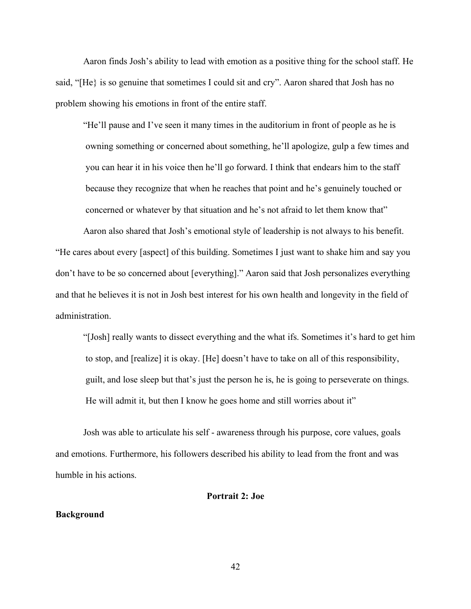Aaron finds Josh's ability to lead with emotion as a positive thing for the school staff. He said, "[He} is so genuine that sometimes I could sit and cry". Aaron shared that Josh has no problem showing his emotions in front of the entire staff.

"He'll pause and I've seen it many times in the auditorium in front of people as he is owning something or concerned about something, he'll apologize, gulp a few times and you can hear it in his voice then he'll go forward. I think that endears him to the staff because they recognize that when he reaches that point and he's genuinely touched or concerned or whatever by that situation and he's not afraid to let them know that"

Aaron also shared that Josh's emotional style of leadership is not always to his benefit. "He cares about every [aspect] of this building. Sometimes I just want to shake him and say you don't have to be so concerned about [everything]." Aaron said that Josh personalizes everything and that he believes it is not in Josh best interest for his own health and longevity in the field of administration.

"[Josh] really wants to dissect everything and the what ifs. Sometimes it's hard to get him to stop, and [realize] it is okay. [He] doesn't have to take on all of this responsibility, guilt, and lose sleep but that's just the person he is, he is going to perseverate on things. He will admit it, but then I know he goes home and still worries about it"

Josh was able to articulate his self - awareness through his purpose, core values, goals and emotions. Furthermore, his followers described his ability to lead from the front and was humble in his actions.

#### **Portrait 2: Joe**

#### **Background**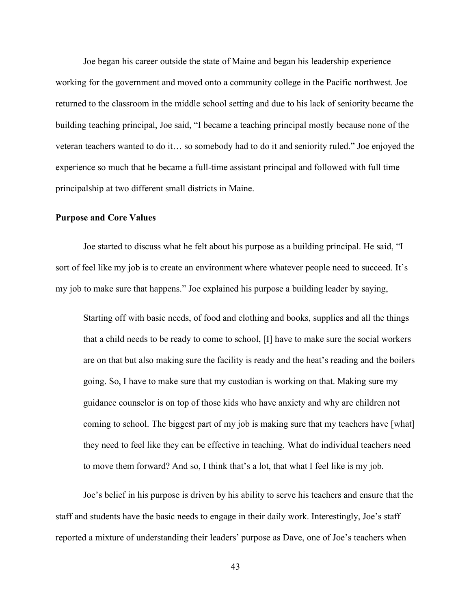Joe began his career outside the state of Maine and began his leadership experience working for the government and moved onto a community college in the Pacific northwest. Joe returned to the classroom in the middle school setting and due to his lack of seniority became the building teaching principal, Joe said, "I became a teaching principal mostly because none of the veteran teachers wanted to do it… so somebody had to do it and seniority ruled." Joe enjoyed the experience so much that he became a full-time assistant principal and followed with full time principalship at two different small districts in Maine.

## **Purpose and Core Values**

Joe started to discuss what he felt about his purpose as a building principal. He said, "I sort of feel like my job is to create an environment where whatever people need to succeed. It's my job to make sure that happens." Joe explained his purpose a building leader by saying,

Starting off with basic needs, of food and clothing and books, supplies and all the things that a child needs to be ready to come to school, [I] have to make sure the social workers are on that but also making sure the facility is ready and the heat's reading and the boilers going. So, I have to make sure that my custodian is working on that. Making sure my guidance counselor is on top of those kids who have anxiety and why are children not coming to school. The biggest part of my job is making sure that my teachers have [what] they need to feel like they can be effective in teaching. What do individual teachers need to move them forward? And so, I think that's a lot, that what I feel like is my job.

Joe's belief in his purpose is driven by his ability to serve his teachers and ensure that the staff and students have the basic needs to engage in their daily work. Interestingly, Joe's staff reported a mixture of understanding their leaders' purpose as Dave, one of Joe's teachers when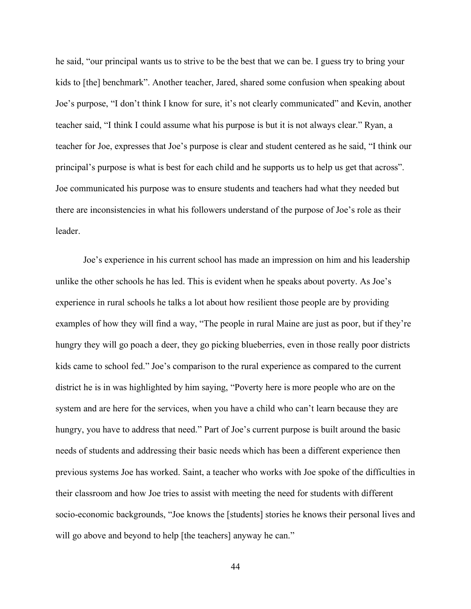he said, "our principal wants us to strive to be the best that we can be. I guess try to bring your kids to [the] benchmark". Another teacher, Jared, shared some confusion when speaking about Joe's purpose, "I don't think I know for sure, it's not clearly communicated" and Kevin, another teacher said, "I think I could assume what his purpose is but it is not always clear." Ryan, a teacher for Joe, expresses that Joe's purpose is clear and student centered as he said, "I think our principal's purpose is what is best for each child and he supports us to help us get that across". Joe communicated his purpose was to ensure students and teachers had what they needed but there are inconsistencies in what his followers understand of the purpose of Joe's role as their leader.

Joe's experience in his current school has made an impression on him and his leadership unlike the other schools he has led. This is evident when he speaks about poverty. As Joe's experience in rural schools he talks a lot about how resilient those people are by providing examples of how they will find a way, "The people in rural Maine are just as poor, but if they're hungry they will go poach a deer, they go picking blueberries, even in those really poor districts kids came to school fed." Joe's comparison to the rural experience as compared to the current district he is in was highlighted by him saying, "Poverty here is more people who are on the system and are here for the services, when you have a child who can't learn because they are hungry, you have to address that need." Part of Joe's current purpose is built around the basic needs of students and addressing their basic needs which has been a different experience then previous systems Joe has worked. Saint, a teacher who works with Joe spoke of the difficulties in their classroom and how Joe tries to assist with meeting the need for students with different socio-economic backgrounds, "Joe knows the [students] stories he knows their personal lives and will go above and beyond to help [the teachers] anyway he can."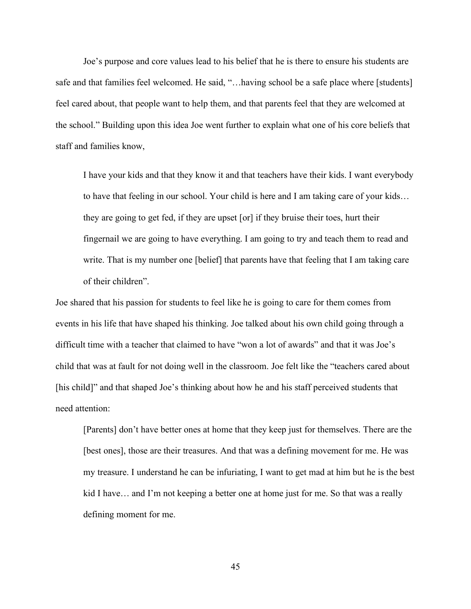Joe's purpose and core values lead to his belief that he is there to ensure his students are safe and that families feel welcomed. He said, "...baving school be a safe place where [students] feel cared about, that people want to help them, and that parents feel that they are welcomed at the school." Building upon this idea Joe went further to explain what one of his core beliefs that staff and families know,

I have your kids and that they know it and that teachers have their kids. I want everybody to have that feeling in our school. Your child is here and I am taking care of your kids… they are going to get fed, if they are upset [or] if they bruise their toes, hurt their fingernail we are going to have everything. I am going to try and teach them to read and write. That is my number one [belief] that parents have that feeling that I am taking care of their children".

Joe shared that his passion for students to feel like he is going to care for them comes from events in his life that have shaped his thinking. Joe talked about his own child going through a difficult time with a teacher that claimed to have "won a lot of awards" and that it was Joe's child that was at fault for not doing well in the classroom. Joe felt like the "teachers cared about [his child]" and that shaped Joe's thinking about how he and his staff perceived students that need attention:

[Parents] don't have better ones at home that they keep just for themselves. There are the [best ones], those are their treasures. And that was a defining movement for me. He was my treasure. I understand he can be infuriating, I want to get mad at him but he is the best kid I have… and I'm not keeping a better one at home just for me. So that was a really defining moment for me.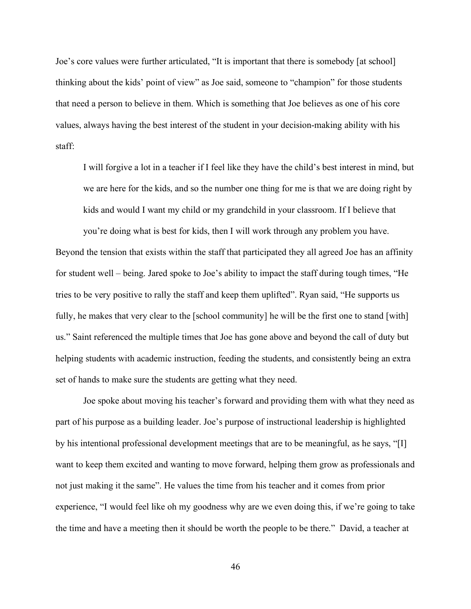Joe's core values were further articulated, "It is important that there is somebody [at school] thinking about the kids' point of view" as Joe said, someone to "champion" for those students that need a person to believe in them. Which is something that Joe believes as one of his core values, always having the best interest of the student in your decision-making ability with his staff:

I will forgive a lot in a teacher if I feel like they have the child's best interest in mind, but we are here for the kids, and so the number one thing for me is that we are doing right by kids and would I want my child or my grandchild in your classroom. If I believe that

you're doing what is best for kids, then I will work through any problem you have. Beyond the tension that exists within the staff that participated they all agreed Joe has an affinity for student well – being. Jared spoke to Joe's ability to impact the staff during tough times, "He tries to be very positive to rally the staff and keep them uplifted". Ryan said, "He supports us fully, he makes that very clear to the [school community] he will be the first one to stand [with] us." Saint referenced the multiple times that Joe has gone above and beyond the call of duty but helping students with academic instruction, feeding the students, and consistently being an extra set of hands to make sure the students are getting what they need.

Joe spoke about moving his teacher's forward and providing them with what they need as part of his purpose as a building leader. Joe's purpose of instructional leadership is highlighted by his intentional professional development meetings that are to be meaningful, as he says, "[I] want to keep them excited and wanting to move forward, helping them grow as professionals and not just making it the same". He values the time from his teacher and it comes from prior experience, "I would feel like oh my goodness why are we even doing this, if we're going to take the time and have a meeting then it should be worth the people to be there." David, a teacher at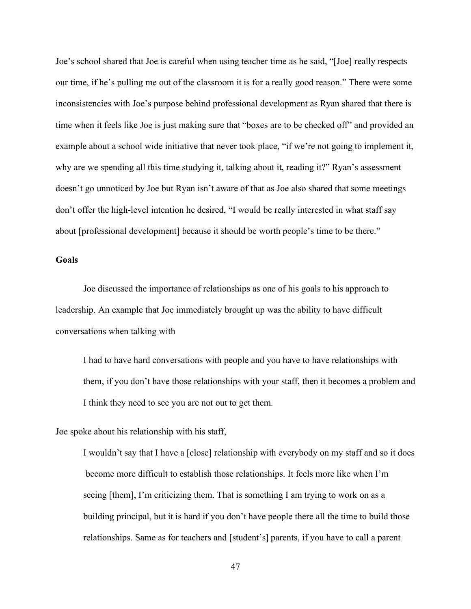Joe's school shared that Joe is careful when using teacher time as he said, "[Joe] really respects our time, if he's pulling me out of the classroom it is for a really good reason." There were some inconsistencies with Joe's purpose behind professional development as Ryan shared that there is time when it feels like Joe is just making sure that "boxes are to be checked off" and provided an example about a school wide initiative that never took place, "if we're not going to implement it, why are we spending all this time studying it, talking about it, reading it?" Ryan's assessment doesn't go unnoticed by Joe but Ryan isn't aware of that as Joe also shared that some meetings don't offer the high-level intention he desired, "I would be really interested in what staff say about [professional development] because it should be worth people's time to be there."

## **Goals**

Joe discussed the importance of relationships as one of his goals to his approach to leadership. An example that Joe immediately brought up was the ability to have difficult conversations when talking with

I had to have hard conversations with people and you have to have relationships with them, if you don't have those relationships with your staff, then it becomes a problem and I think they need to see you are not out to get them.

Joe spoke about his relationship with his staff,

I wouldn't say that I have a [close] relationship with everybody on my staff and so it does become more difficult to establish those relationships. It feels more like when I'm seeing [them], I'm criticizing them. That is something I am trying to work on as a building principal, but it is hard if you don't have people there all the time to build those relationships. Same as for teachers and [student's] parents, if you have to call a parent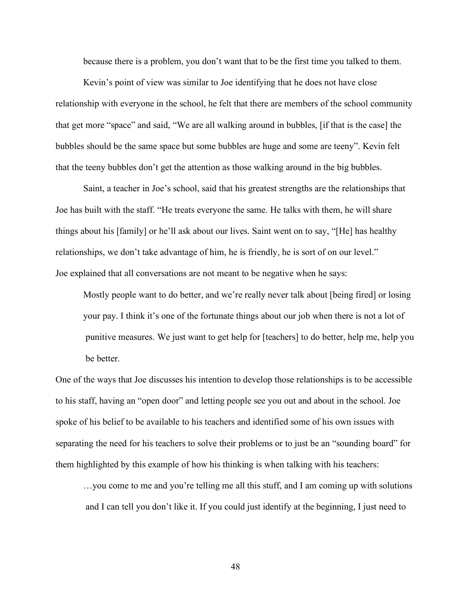because there is a problem, you don't want that to be the first time you talked to them.

Kevin's point of view was similar to Joe identifying that he does not have close relationship with everyone in the school, he felt that there are members of the school community that get more "space" and said, "We are all walking around in bubbles, [if that is the case] the bubbles should be the same space but some bubbles are huge and some are teeny". Kevin felt that the teeny bubbles don't get the attention as those walking around in the big bubbles.

Saint, a teacher in Joe's school, said that his greatest strengths are the relationships that Joe has built with the staff. "He treats everyone the same. He talks with them, he will share things about his [family] or he'll ask about our lives. Saint went on to say, "[He] has healthy relationships, we don't take advantage of him, he is friendly, he is sort of on our level." Joe explained that all conversations are not meant to be negative when he says:

Mostly people want to do better, and we're really never talk about [being fired] or losing your pay. I think it's one of the fortunate things about our job when there is not a lot of punitive measures. We just want to get help for [teachers] to do better, help me, help you be better.

One of the ways that Joe discusses his intention to develop those relationships is to be accessible to his staff, having an "open door" and letting people see you out and about in the school. Joe spoke of his belief to be available to his teachers and identified some of his own issues with separating the need for his teachers to solve their problems or to just be an "sounding board" for them highlighted by this example of how his thinking is when talking with his teachers:

…you come to me and you're telling me all this stuff, and I am coming up with solutions and I can tell you don't like it. If you could just identify at the beginning, I just need to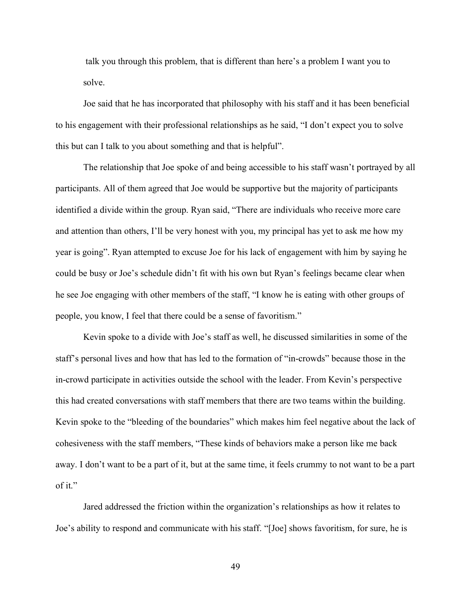talk you through this problem, that is different than here's a problem I want you to solve.

Joe said that he has incorporated that philosophy with his staff and it has been beneficial to his engagement with their professional relationships as he said, "I don't expect you to solve this but can I talk to you about something and that is helpful".

The relationship that Joe spoke of and being accessible to his staff wasn't portrayed by all participants. All of them agreed that Joe would be supportive but the majority of participants identified a divide within the group. Ryan said, "There are individuals who receive more care and attention than others, I'll be very honest with you, my principal has yet to ask me how my year is going". Ryan attempted to excuse Joe for his lack of engagement with him by saying he could be busy or Joe's schedule didn't fit with his own but Ryan's feelings became clear when he see Joe engaging with other members of the staff, "I know he is eating with other groups of people, you know, I feel that there could be a sense of favoritism."

Kevin spoke to a divide with Joe's staff as well, he discussed similarities in some of the staff's personal lives and how that has led to the formation of "in-crowds" because those in the in-crowd participate in activities outside the school with the leader. From Kevin's perspective this had created conversations with staff members that there are two teams within the building. Kevin spoke to the "bleeding of the boundaries" which makes him feel negative about the lack of cohesiveness with the staff members, "These kinds of behaviors make a person like me back away. I don't want to be a part of it, but at the same time, it feels crummy to not want to be a part of it."

Jared addressed the friction within the organization's relationships as how it relates to Joe's ability to respond and communicate with his staff. "[Joe] shows favoritism, for sure, he is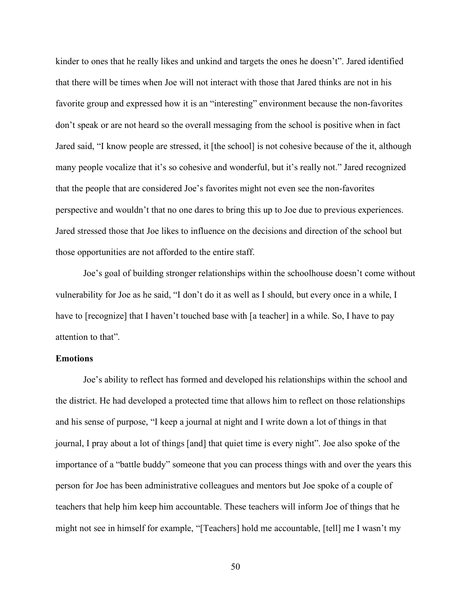kinder to ones that he really likes and unkind and targets the ones he doesn't". Jared identified that there will be times when Joe will not interact with those that Jared thinks are not in his favorite group and expressed how it is an "interesting" environment because the non-favorites don't speak or are not heard so the overall messaging from the school is positive when in fact Jared said, "I know people are stressed, it [the school] is not cohesive because of the it, although many people vocalize that it's so cohesive and wonderful, but it's really not." Jared recognized that the people that are considered Joe's favorites might not even see the non-favorites perspective and wouldn't that no one dares to bring this up to Joe due to previous experiences. Jared stressed those that Joe likes to influence on the decisions and direction of the school but those opportunities are not afforded to the entire staff.

Joe's goal of building stronger relationships within the schoolhouse doesn't come without vulnerability for Joe as he said, "I don't do it as well as I should, but every once in a while, I have to [recognize] that I haven't touched base with [a teacher] in a while. So, I have to pay attention to that".

# **Emotions**

Joe's ability to reflect has formed and developed his relationships within the school and the district. He had developed a protected time that allows him to reflect on those relationships and his sense of purpose, "I keep a journal at night and I write down a lot of things in that journal, I pray about a lot of things [and] that quiet time is every night". Joe also spoke of the importance of a "battle buddy" someone that you can process things with and over the years this person for Joe has been administrative colleagues and mentors but Joe spoke of a couple of teachers that help him keep him accountable. These teachers will inform Joe of things that he might not see in himself for example, "[Teachers] hold me accountable, [tell] me I wasn't my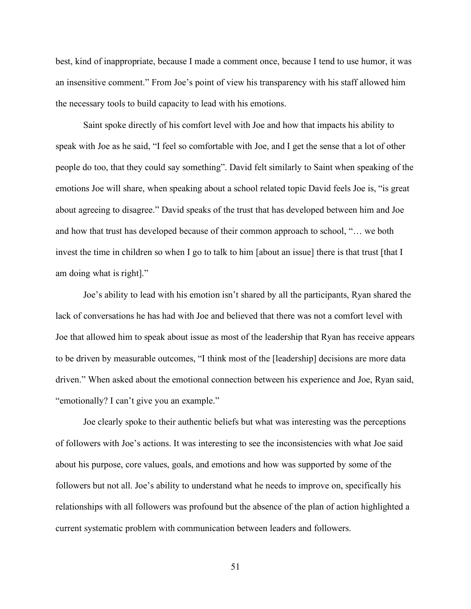best, kind of inappropriate, because I made a comment once, because I tend to use humor, it was an insensitive comment." From Joe's point of view his transparency with his staff allowed him the necessary tools to build capacity to lead with his emotions.

Saint spoke directly of his comfort level with Joe and how that impacts his ability to speak with Joe as he said, "I feel so comfortable with Joe, and I get the sense that a lot of other people do too, that they could say something". David felt similarly to Saint when speaking of the emotions Joe will share, when speaking about a school related topic David feels Joe is, "is great about agreeing to disagree." David speaks of the trust that has developed between him and Joe and how that trust has developed because of their common approach to school, "… we both invest the time in children so when I go to talk to him [about an issue] there is that trust [that I am doing what is right]."

Joe's ability to lead with his emotion isn't shared by all the participants, Ryan shared the lack of conversations he has had with Joe and believed that there was not a comfort level with Joe that allowed him to speak about issue as most of the leadership that Ryan has receive appears to be driven by measurable outcomes, "I think most of the [leadership] decisions are more data driven." When asked about the emotional connection between his experience and Joe, Ryan said, "emotionally? I can't give you an example."

Joe clearly spoke to their authentic beliefs but what was interesting was the perceptions of followers with Joe's actions. It was interesting to see the inconsistencies with what Joe said about his purpose, core values, goals, and emotions and how was supported by some of the followers but not all. Joe's ability to understand what he needs to improve on, specifically his relationships with all followers was profound but the absence of the plan of action highlighted a current systematic problem with communication between leaders and followers.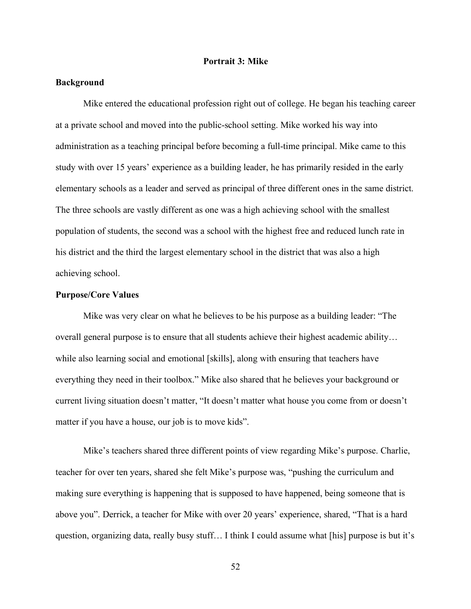## **Portrait 3: Mike**

## **Background**

Mike entered the educational profession right out of college. He began his teaching career at a private school and moved into the public-school setting. Mike worked his way into administration as a teaching principal before becoming a full-time principal. Mike came to this study with over 15 years' experience as a building leader, he has primarily resided in the early elementary schools as a leader and served as principal of three different ones in the same district. The three schools are vastly different as one was a high achieving school with the smallest population of students, the second was a school with the highest free and reduced lunch rate in his district and the third the largest elementary school in the district that was also a high achieving school.

## **Purpose/Core Values**

Mike was very clear on what he believes to be his purpose as a building leader: "The overall general purpose is to ensure that all students achieve their highest academic ability… while also learning social and emotional [skills], along with ensuring that teachers have everything they need in their toolbox." Mike also shared that he believes your background or current living situation doesn't matter, "It doesn't matter what house you come from or doesn't matter if you have a house, our job is to move kids".

Mike's teachers shared three different points of view regarding Mike's purpose. Charlie, teacher for over ten years, shared she felt Mike's purpose was, "pushing the curriculum and making sure everything is happening that is supposed to have happened, being someone that is above you". Derrick, a teacher for Mike with over 20 years' experience, shared, "That is a hard question, organizing data, really busy stuff… I think I could assume what [his] purpose is but it's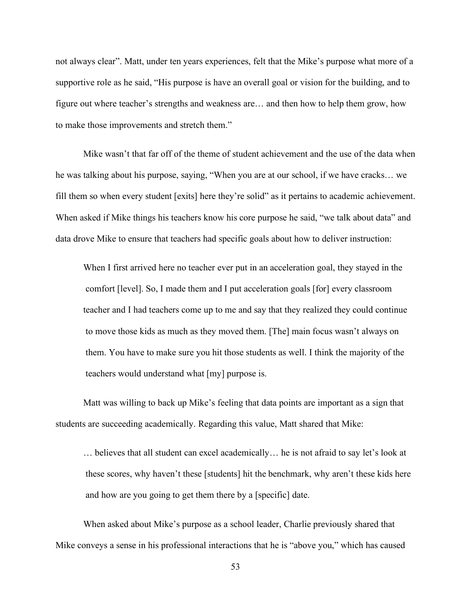not always clear". Matt, under ten years experiences, felt that the Mike's purpose what more of a supportive role as he said, "His purpose is have an overall goal or vision for the building, and to figure out where teacher's strengths and weakness are… and then how to help them grow, how to make those improvements and stretch them."

Mike wasn't that far off of the theme of student achievement and the use of the data when he was talking about his purpose, saying, "When you are at our school, if we have cracks… we fill them so when every student [exits] here they're solid" as it pertains to academic achievement. When asked if Mike things his teachers know his core purpose he said, "we talk about data" and data drove Mike to ensure that teachers had specific goals about how to deliver instruction:

When I first arrived here no teacher ever put in an acceleration goal, they stayed in the comfort [level]. So, I made them and I put acceleration goals [for] every classroom teacher and I had teachers come up to me and say that they realized they could continue to move those kids as much as they moved them. [The] main focus wasn't always on them. You have to make sure you hit those students as well. I think the majority of the teachers would understand what [my] purpose is.

Matt was willing to back up Mike's feeling that data points are important as a sign that students are succeeding academically. Regarding this value, Matt shared that Mike:

… believes that all student can excel academically… he is not afraid to say let's look at these scores, why haven't these [students] hit the benchmark, why aren't these kids here and how are you going to get them there by a [specific] date.

When asked about Mike's purpose as a school leader, Charlie previously shared that Mike conveys a sense in his professional interactions that he is "above you," which has caused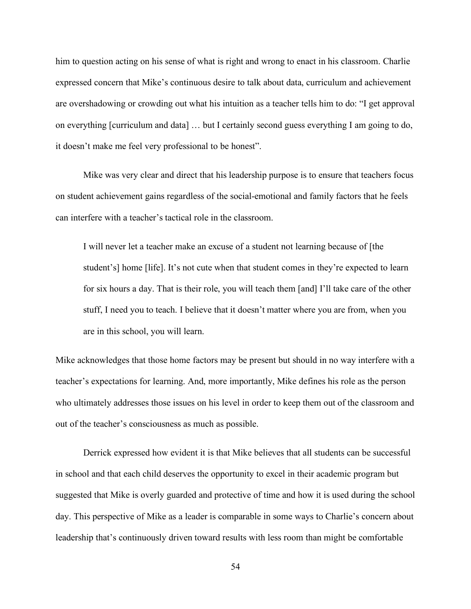him to question acting on his sense of what is right and wrong to enact in his classroom. Charlie expressed concern that Mike's continuous desire to talk about data, curriculum and achievement are overshadowing or crowding out what his intuition as a teacher tells him to do: "I get approval on everything [curriculum and data] … but I certainly second guess everything I am going to do, it doesn't make me feel very professional to be honest".

Mike was very clear and direct that his leadership purpose is to ensure that teachers focus on student achievement gains regardless of the social-emotional and family factors that he feels can interfere with a teacher's tactical role in the classroom.

I will never let a teacher make an excuse of a student not learning because of [the student's] home [life]. It's not cute when that student comes in they're expected to learn for six hours a day. That is their role, you will teach them [and] I'll take care of the other stuff, I need you to teach. I believe that it doesn't matter where you are from, when you are in this school, you will learn.

Mike acknowledges that those home factors may be present but should in no way interfere with a teacher's expectations for learning. And, more importantly, Mike defines his role as the person who ultimately addresses those issues on his level in order to keep them out of the classroom and out of the teacher's consciousness as much as possible.

Derrick expressed how evident it is that Mike believes that all students can be successful in school and that each child deserves the opportunity to excel in their academic program but suggested that Mike is overly guarded and protective of time and how it is used during the school day. This perspective of Mike as a leader is comparable in some ways to Charlie's concern about leadership that's continuously driven toward results with less room than might be comfortable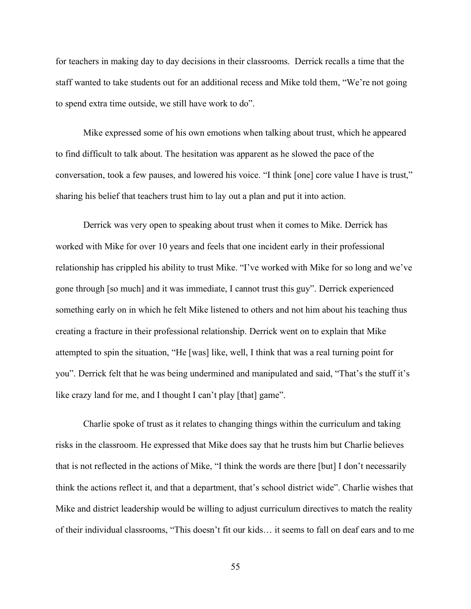for teachers in making day to day decisions in their classrooms. Derrick recalls a time that the staff wanted to take students out for an additional recess and Mike told them, "We're not going to spend extra time outside, we still have work to do".

Mike expressed some of his own emotions when talking about trust, which he appeared to find difficult to talk about. The hesitation was apparent as he slowed the pace of the conversation, took a few pauses, and lowered his voice. "I think [one] core value I have is trust," sharing his belief that teachers trust him to lay out a plan and put it into action.

Derrick was very open to speaking about trust when it comes to Mike. Derrick has worked with Mike for over 10 years and feels that one incident early in their professional relationship has crippled his ability to trust Mike. "I've worked with Mike for so long and we've gone through [so much] and it was immediate, I cannot trust this guy". Derrick experienced something early on in which he felt Mike listened to others and not him about his teaching thus creating a fracture in their professional relationship. Derrick went on to explain that Mike attempted to spin the situation, "He [was] like, well, I think that was a real turning point for you". Derrick felt that he was being undermined and manipulated and said, "That's the stuff it's like crazy land for me, and I thought I can't play [that] game".

Charlie spoke of trust as it relates to changing things within the curriculum and taking risks in the classroom. He expressed that Mike does say that he trusts him but Charlie believes that is not reflected in the actions of Mike, "I think the words are there [but] I don't necessarily think the actions reflect it, and that a department, that's school district wide". Charlie wishes that Mike and district leadership would be willing to adjust curriculum directives to match the reality of their individual classrooms, "This doesn't fit our kids… it seems to fall on deaf ears and to me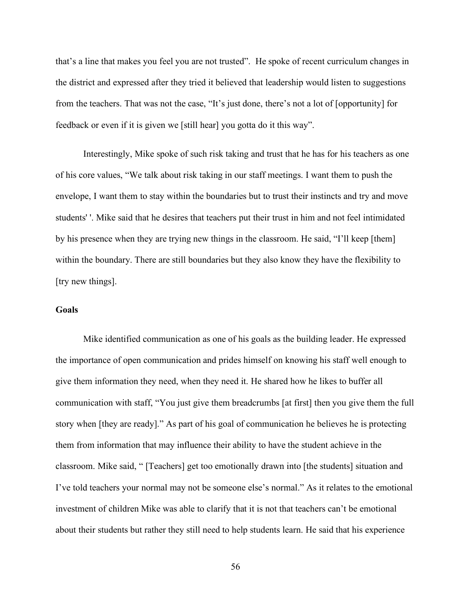that's a line that makes you feel you are not trusted". He spoke of recent curriculum changes in the district and expressed after they tried it believed that leadership would listen to suggestions from the teachers. That was not the case, "It's just done, there's not a lot of [opportunity] for feedback or even if it is given we [still hear] you gotta do it this way".

Interestingly, Mike spoke of such risk taking and trust that he has for his teachers as one of his core values, "We talk about risk taking in our staff meetings. I want them to push the envelope, I want them to stay within the boundaries but to trust their instincts and try and move students' '. Mike said that he desires that teachers put their trust in him and not feel intimidated by his presence when they are trying new things in the classroom. He said, "I'll keep [them] within the boundary. There are still boundaries but they also know they have the flexibility to [try new things].

# **Goals**

Mike identified communication as one of his goals as the building leader. He expressed the importance of open communication and prides himself on knowing his staff well enough to give them information they need, when they need it. He shared how he likes to buffer all communication with staff, "You just give them breadcrumbs [at first] then you give them the full story when [they are ready]." As part of his goal of communication he believes he is protecting them from information that may influence their ability to have the student achieve in the classroom. Mike said, " [Teachers] get too emotionally drawn into [the students] situation and I've told teachers your normal may not be someone else's normal." As it relates to the emotional investment of children Mike was able to clarify that it is not that teachers can't be emotional about their students but rather they still need to help students learn. He said that his experience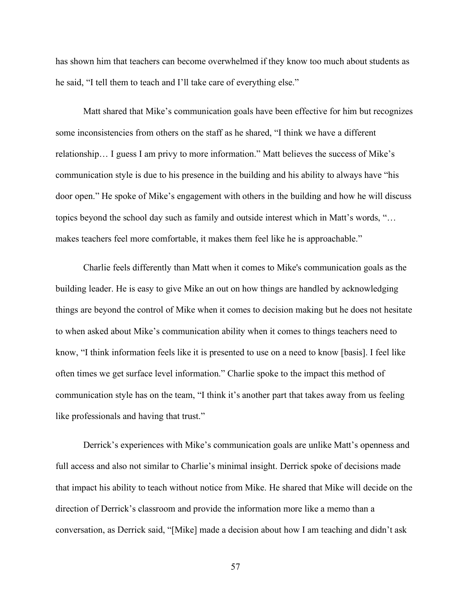has shown him that teachers can become overwhelmed if they know too much about students as he said, "I tell them to teach and I'll take care of everything else."

Matt shared that Mike's communication goals have been effective for him but recognizes some inconsistencies from others on the staff as he shared, "I think we have a different relationship… I guess I am privy to more information." Matt believes the success of Mike's communication style is due to his presence in the building and his ability to always have "his door open." He spoke of Mike's engagement with others in the building and how he will discuss topics beyond the school day such as family and outside interest which in Matt's words, "… makes teachers feel more comfortable, it makes them feel like he is approachable."

Charlie feels differently than Matt when it comes to Mike's communication goals as the building leader. He is easy to give Mike an out on how things are handled by acknowledging things are beyond the control of Mike when it comes to decision making but he does not hesitate to when asked about Mike's communication ability when it comes to things teachers need to know, "I think information feels like it is presented to use on a need to know [basis]. I feel like often times we get surface level information." Charlie spoke to the impact this method of communication style has on the team, "I think it's another part that takes away from us feeling like professionals and having that trust."

Derrick's experiences with Mike's communication goals are unlike Matt's openness and full access and also not similar to Charlie's minimal insight. Derrick spoke of decisions made that impact his ability to teach without notice from Mike. He shared that Mike will decide on the direction of Derrick's classroom and provide the information more like a memo than a conversation, as Derrick said, "[Mike] made a decision about how I am teaching and didn't ask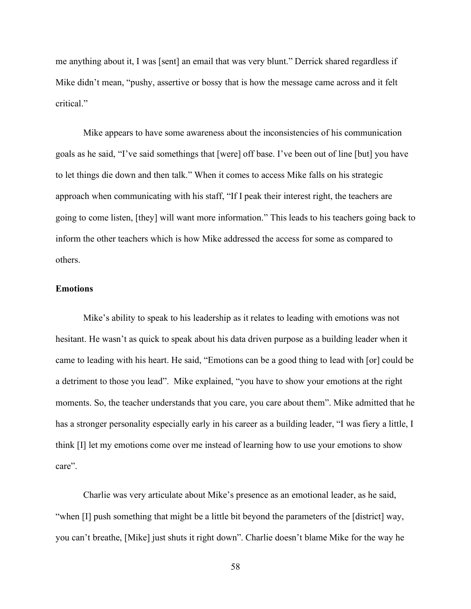me anything about it, I was [sent] an email that was very blunt." Derrick shared regardless if Mike didn't mean, "pushy, assertive or bossy that is how the message came across and it felt critical"

Mike appears to have some awareness about the inconsistencies of his communication goals as he said, "I've said somethings that [were] off base. I've been out of line [but] you have to let things die down and then talk." When it comes to access Mike falls on his strategic approach when communicating with his staff, "If I peak their interest right, the teachers are going to come listen, [they] will want more information." This leads to his teachers going back to inform the other teachers which is how Mike addressed the access for some as compared to others.

## **Emotions**

Mike's ability to speak to his leadership as it relates to leading with emotions was not hesitant. He wasn't as quick to speak about his data driven purpose as a building leader when it came to leading with his heart. He said, "Emotions can be a good thing to lead with [or] could be a detriment to those you lead". Mike explained, "you have to show your emotions at the right moments. So, the teacher understands that you care, you care about them". Mike admitted that he has a stronger personality especially early in his career as a building leader, "I was fiery a little, I think [I] let my emotions come over me instead of learning how to use your emotions to show care".

Charlie was very articulate about Mike's presence as an emotional leader, as he said, "when [I] push something that might be a little bit beyond the parameters of the [district] way, you can't breathe, [Mike] just shuts it right down". Charlie doesn't blame Mike for the way he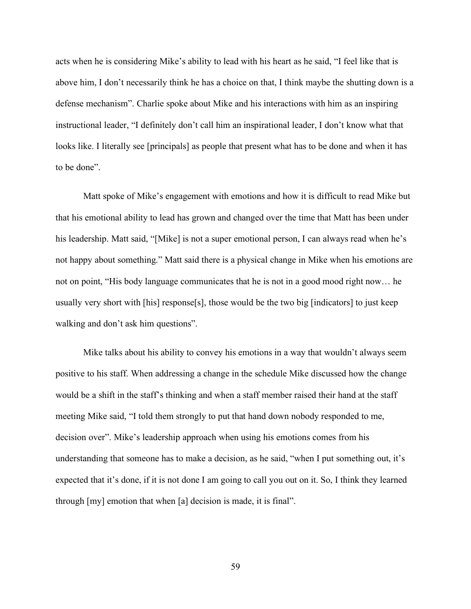acts when he is considering Mike's ability to lead with his heart as he said, "I feel like that is above him, I don't necessarily think he has a choice on that, I think maybe the shutting down is a defense mechanism". Charlie spoke about Mike and his interactions with him as an inspiring instructional leader, "I definitely don't call him an inspirational leader, I don't know what that looks like. I literally see [principals] as people that present what has to be done and when it has to be done".

Matt spoke of Mike's engagement with emotions and how it is difficult to read Mike but that his emotional ability to lead has grown and changed over the time that Matt has been under his leadership. Matt said, "[Mike] is not a super emotional person, I can always read when he's not happy about something." Matt said there is a physical change in Mike when his emotions are not on point, "His body language communicates that he is not in a good mood right now… he usually very short with [his] response[s], those would be the two big [indicators] to just keep walking and don't ask him questions".

Mike talks about his ability to convey his emotions in a way that wouldn't always seem positive to his staff. When addressing a change in the schedule Mike discussed how the change would be a shift in the staff's thinking and when a staff member raised their hand at the staff meeting Mike said, "I told them strongly to put that hand down nobody responded to me, decision over". Mike's leadership approach when using his emotions comes from his understanding that someone has to make a decision, as he said, "when I put something out, it's expected that it's done, if it is not done I am going to call you out on it. So, I think they learned through [my] emotion that when [a] decision is made, it is final".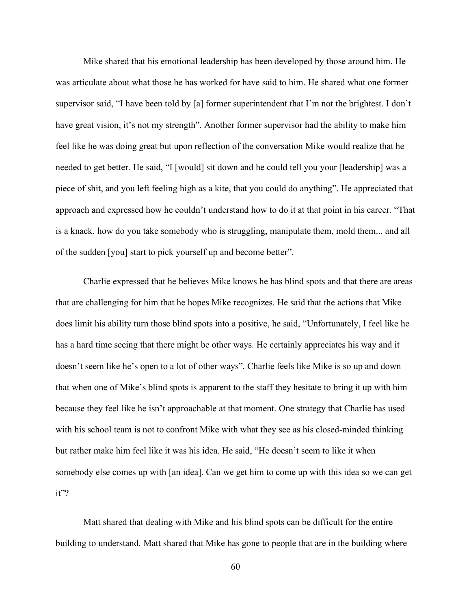Mike shared that his emotional leadership has been developed by those around him. He was articulate about what those he has worked for have said to him. He shared what one former supervisor said, "I have been told by [a] former superintendent that I'm not the brightest. I don't have great vision, it's not my strength". Another former supervisor had the ability to make him feel like he was doing great but upon reflection of the conversation Mike would realize that he needed to get better. He said, "I [would] sit down and he could tell you your [leadership] was a piece of shit, and you left feeling high as a kite, that you could do anything". He appreciated that approach and expressed how he couldn't understand how to do it at that point in his career. "That is a knack, how do you take somebody who is struggling, manipulate them, mold them... and all of the sudden [you] start to pick yourself up and become better".

Charlie expressed that he believes Mike knows he has blind spots and that there are areas that are challenging for him that he hopes Mike recognizes. He said that the actions that Mike does limit his ability turn those blind spots into a positive, he said, "Unfortunately, I feel like he has a hard time seeing that there might be other ways. He certainly appreciates his way and it doesn't seem like he's open to a lot of other ways". Charlie feels like Mike is so up and down that when one of Mike's blind spots is apparent to the staff they hesitate to bring it up with him because they feel like he isn't approachable at that moment. One strategy that Charlie has used with his school team is not to confront Mike with what they see as his closed-minded thinking but rather make him feel like it was his idea. He said, "He doesn't seem to like it when somebody else comes up with [an idea]. Can we get him to come up with this idea so we can get it"?

Matt shared that dealing with Mike and his blind spots can be difficult for the entire building to understand. Matt shared that Mike has gone to people that are in the building where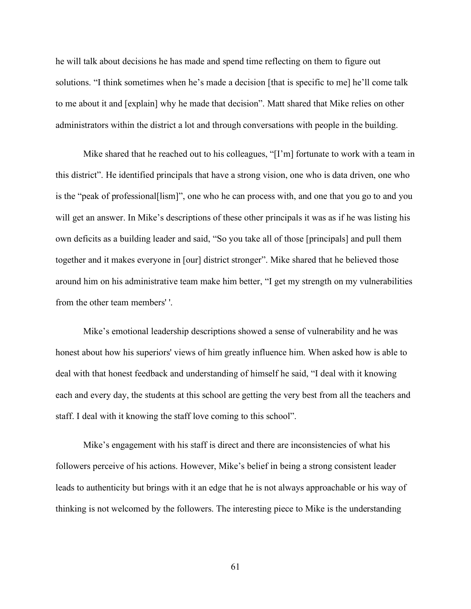he will talk about decisions he has made and spend time reflecting on them to figure out solutions. "I think sometimes when he's made a decision [that is specific to me] he'll come talk to me about it and [explain] why he made that decision". Matt shared that Mike relies on other administrators within the district a lot and through conversations with people in the building.

Mike shared that he reached out to his colleagues, "[I'm] fortunate to work with a team in this district". He identified principals that have a strong vision, one who is data driven, one who is the "peak of professional[lism]", one who he can process with, and one that you go to and you will get an answer. In Mike's descriptions of these other principals it was as if he was listing his own deficits as a building leader and said, "So you take all of those [principals] and pull them together and it makes everyone in [our] district stronger". Mike shared that he believed those around him on his administrative team make him better, "I get my strength on my vulnerabilities from the other team members' '.

Mike's emotional leadership descriptions showed a sense of vulnerability and he was honest about how his superiors' views of him greatly influence him. When asked how is able to deal with that honest feedback and understanding of himself he said, "I deal with it knowing each and every day, the students at this school are getting the very best from all the teachers and staff. I deal with it knowing the staff love coming to this school".

Mike's engagement with his staff is direct and there are inconsistencies of what his followers perceive of his actions. However, Mike's belief in being a strong consistent leader leads to authenticity but brings with it an edge that he is not always approachable or his way of thinking is not welcomed by the followers. The interesting piece to Mike is the understanding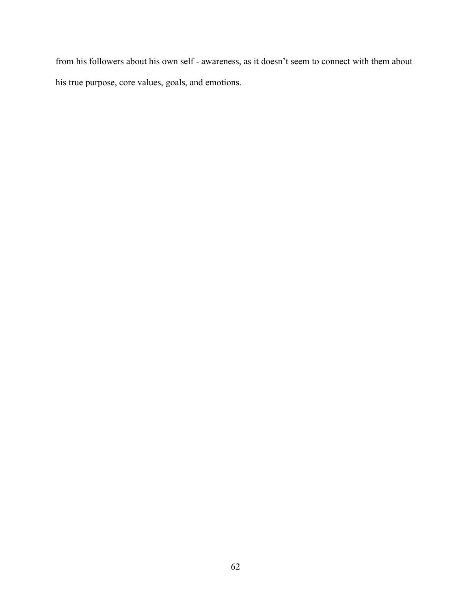from his followers about his own self - awareness, as it doesn't seem to connect with them about his true purpose, core values, goals, and emotions.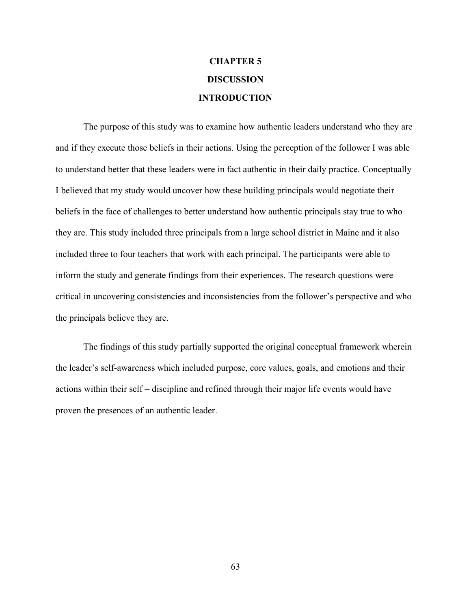# **CHAPTER 5 DISCUSSION INTRODUCTION**

The purpose of this study was to examine how authentic leaders understand who they are and if they execute those beliefs in their actions. Using the perception of the follower I was able to understand better that these leaders were in fact authentic in their daily practice. Conceptually I believed that my study would uncover how these building principals would negotiate their beliefs in the face of challenges to better understand how authentic principals stay true to who they are. This study included three principals from a large school district in Maine and it also included three to four teachers that work with each principal. The participants were able to inform the study and generate findings from their experiences. The research questions were critical in uncovering consistencies and inconsistencies from the follower's perspective and who the principals believe they are.

The findings of this study partially supported the original conceptual framework wherein the leader's self-awareness which included purpose, core values, goals, and emotions and their actions within their self – discipline and refined through their major life events would have proven the presences of an authentic leader.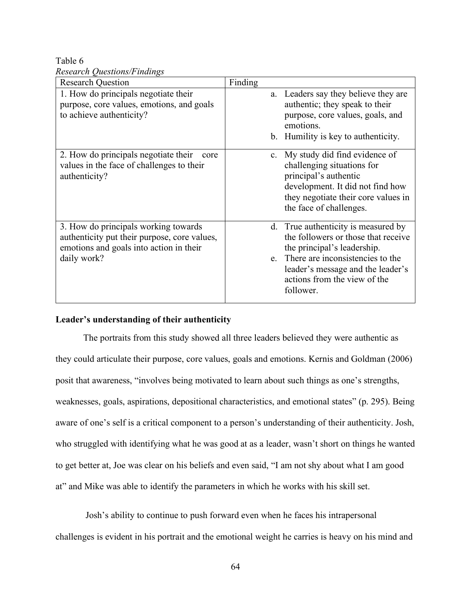Table 6 *Research Questions/Findings*

| <b>Research Question</b>                                                                                                                       | Finding                                                                                                                                                                                                                            |
|------------------------------------------------------------------------------------------------------------------------------------------------|------------------------------------------------------------------------------------------------------------------------------------------------------------------------------------------------------------------------------------|
| 1. How do principals negotiate their<br>purpose, core values, emotions, and goals<br>to achieve authenticity?                                  | a. Leaders say they believe they are<br>authentic; they speak to their<br>purpose, core values, goals, and<br>emotions.<br>b. Humility is key to authenticity.                                                                     |
| 2. How do principals negotiate their<br>core<br>values in the face of challenges to their<br>authenticity?                                     | My study did find evidence of<br>$c_{\cdot}$<br>challenging situations for<br>principal's authentic<br>development. It did not find how<br>they negotiate their core values in<br>the face of challenges.                          |
| 3. How do principals working towards<br>authenticity put their purpose, core values,<br>emotions and goals into action in their<br>daily work? | d. True authenticity is measured by<br>the followers or those that receive<br>the principal's leadership.<br>e. There are inconsistencies to the<br>leader's message and the leader's<br>actions from the view of the<br>follower. |

## **Leader's understanding of their authenticity**

The portraits from this study showed all three leaders believed they were authentic as they could articulate their purpose, core values, goals and emotions. Kernis and Goldman (2006) posit that awareness, "involves being motivated to learn about such things as one's strengths, weaknesses, goals, aspirations, depositional characteristics, and emotional states" (p. 295). Being aware of one's self is a critical component to a person's understanding of their authenticity. Josh, who struggled with identifying what he was good at as a leader, wasn't short on things he wanted to get better at, Joe was clear on his beliefs and even said, "I am not shy about what I am good at" and Mike was able to identify the parameters in which he works with his skill set.

Josh's ability to continue to push forward even when he faces his intrapersonal challenges is evident in his portrait and the emotional weight he carries is heavy on his mind and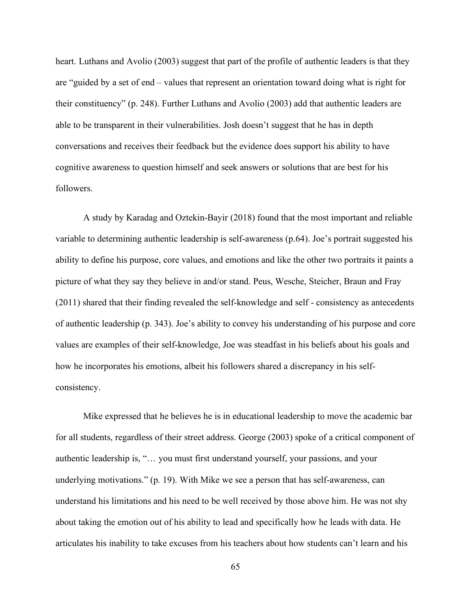heart. Luthans and Avolio (2003) suggest that part of the profile of authentic leaders is that they are "guided by a set of end – values that represent an orientation toward doing what is right for their constituency" (p. 248). Further Luthans and Avolio (2003) add that authentic leaders are able to be transparent in their vulnerabilities. Josh doesn't suggest that he has in depth conversations and receives their feedback but the evidence does support his ability to have cognitive awareness to question himself and seek answers or solutions that are best for his followers.

A study by Karadag and Oztekin-Bayir (2018) found that the most important and reliable variable to determining authentic leadership is self-awareness (p.64). Joe's portrait suggested his ability to define his purpose, core values, and emotions and like the other two portraits it paints a picture of what they say they believe in and/or stand. Peus, Wesche, Steicher, Braun and Fray (2011) shared that their finding revealed the self-knowledge and self - consistency as antecedents of authentic leadership (p. 343). Joe's ability to convey his understanding of his purpose and core values are examples of their self-knowledge, Joe was steadfast in his beliefs about his goals and how he incorporates his emotions, albeit his followers shared a discrepancy in his selfconsistency.

Mike expressed that he believes he is in educational leadership to move the academic bar for all students, regardless of their street address. George (2003) spoke of a critical component of authentic leadership is, "… you must first understand yourself, your passions, and your underlying motivations." (p. 19). With Mike we see a person that has self-awareness, can understand his limitations and his need to be well received by those above him. He was not shy about taking the emotion out of his ability to lead and specifically how he leads with data. He articulates his inability to take excuses from his teachers about how students can't learn and his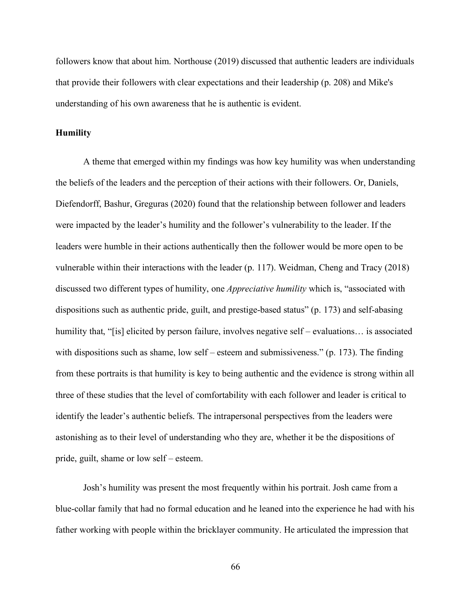followers know that about him. Northouse (2019) discussed that authentic leaders are individuals that provide their followers with clear expectations and their leadership (p. 208) and Mike's understanding of his own awareness that he is authentic is evident.

## **Humility**

A theme that emerged within my findings was how key humility was when understanding the beliefs of the leaders and the perception of their actions with their followers. Or, Daniels, Diefendorff, Bashur, Greguras (2020) found that the relationship between follower and leaders were impacted by the leader's humility and the follower's vulnerability to the leader. If the leaders were humble in their actions authentically then the follower would be more open to be vulnerable within their interactions with the leader (p. 117). Weidman, Cheng and Tracy (2018) discussed two different types of humility, one *Appreciative humility* which is, "associated with dispositions such as authentic pride, guilt, and prestige-based status" (p. 173) and self-abasing humility that, "[is] elicited by person failure, involves negative self – evaluations... is associated with dispositions such as shame, low self – esteem and submissiveness." (p. 173). The finding from these portraits is that humility is key to being authentic and the evidence is strong within all three of these studies that the level of comfortability with each follower and leader is critical to identify the leader's authentic beliefs. The intrapersonal perspectives from the leaders were astonishing as to their level of understanding who they are, whether it be the dispositions of pride, guilt, shame or low self – esteem.

Josh's humility was present the most frequently within his portrait. Josh came from a blue-collar family that had no formal education and he leaned into the experience he had with his father working with people within the bricklayer community. He articulated the impression that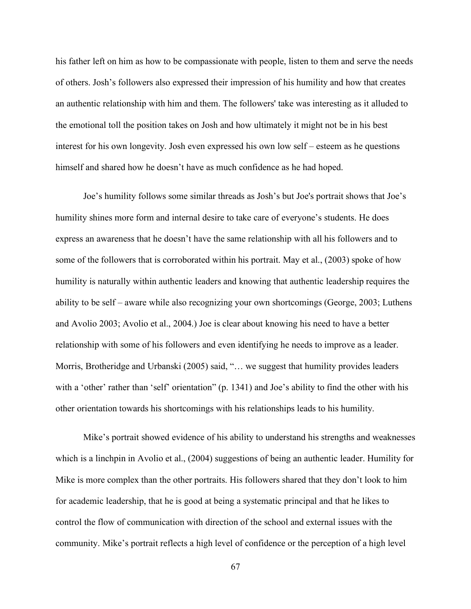his father left on him as how to be compassionate with people, listen to them and serve the needs of others. Josh's followers also expressed their impression of his humility and how that creates an authentic relationship with him and them. The followers' take was interesting as it alluded to the emotional toll the position takes on Josh and how ultimately it might not be in his best interest for his own longevity. Josh even expressed his own low self – esteem as he questions himself and shared how he doesn't have as much confidence as he had hoped.

Joe's humility follows some similar threads as Josh's but Joe's portrait shows that Joe's humility shines more form and internal desire to take care of everyone's students. He does express an awareness that he doesn't have the same relationship with all his followers and to some of the followers that is corroborated within his portrait. May et al., (2003) spoke of how humility is naturally within authentic leaders and knowing that authentic leadership requires the ability to be self – aware while also recognizing your own shortcomings (George, 2003; Luthens and Avolio 2003; Avolio et al., 2004.) Joe is clear about knowing his need to have a better relationship with some of his followers and even identifying he needs to improve as a leader. Morris, Brotheridge and Urbanski (2005) said, "… we suggest that humility provides leaders with a 'other' rather than 'self' orientation" (p. 1341) and Joe's ability to find the other with his other orientation towards his shortcomings with his relationships leads to his humility.

Mike's portrait showed evidence of his ability to understand his strengths and weaknesses which is a linchpin in Avolio et al., (2004) suggestions of being an authentic leader. Humility for Mike is more complex than the other portraits. His followers shared that they don't look to him for academic leadership, that he is good at being a systematic principal and that he likes to control the flow of communication with direction of the school and external issues with the community. Mike's portrait reflects a high level of confidence or the perception of a high level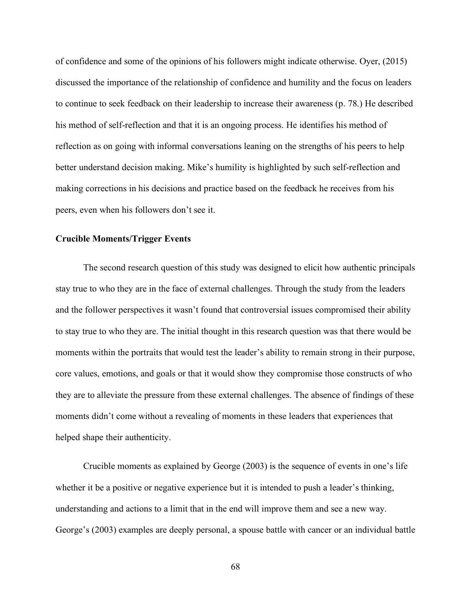of confidence and some of the opinions of his followers might indicate otherwise. Oyer, (2015) discussed the importance of the relationship of confidence and humility and the focus on leaders to continue to seek feedback on their leadership to increase their awareness (p. 78.) He described his method of self-reflection and that it is an ongoing process. He identifies his method of reflection as on going with informal conversations leaning on the strengths of his peers to help better understand decision making. Mike's humility is highlighted by such self-reflection and making corrections in his decisions and practice based on the feedback he receives from his peers, even when his followers don't see it.

### **Crucible Moments/Trigger Events**

The second research question of this study was designed to elicit how authentic principals stay true to who they are in the face of external challenges. Through the study from the leaders and the follower perspectives it wasn't found that controversial issues compromised their ability to stay true to who they are. The initial thought in this research question was that there would be moments within the portraits that would test the leader's ability to remain strong in their purpose, core values, emotions, and goals or that it would show they compromise those constructs of who they are to alleviate the pressure from these external challenges. The absence of findings of these moments didn't come without a revealing of moments in these leaders that experiences that helped shape their authenticity.

Crucible moments as explained by George (2003) is the sequence of events in one's life whether it be a positive or negative experience but it is intended to push a leader's thinking, understanding and actions to a limit that in the end will improve them and see a new way. George's (2003) examples are deeply personal, a spouse battle with cancer or an individual battle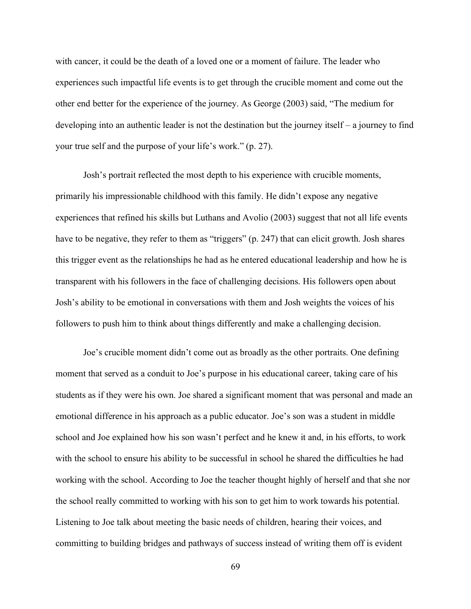with cancer, it could be the death of a loved one or a moment of failure. The leader who experiences such impactful life events is to get through the crucible moment and come out the other end better for the experience of the journey. As George (2003) said, "The medium for developing into an authentic leader is not the destination but the journey itself – a journey to find your true self and the purpose of your life's work." (p. 27).

Josh's portrait reflected the most depth to his experience with crucible moments, primarily his impressionable childhood with this family. He didn't expose any negative experiences that refined his skills but Luthans and Avolio (2003) suggest that not all life events have to be negative, they refer to them as "triggers" (p. 247) that can elicit growth. Josh shares this trigger event as the relationships he had as he entered educational leadership and how he is transparent with his followers in the face of challenging decisions. His followers open about Josh's ability to be emotional in conversations with them and Josh weights the voices of his followers to push him to think about things differently and make a challenging decision.

Joe's crucible moment didn't come out as broadly as the other portraits. One defining moment that served as a conduit to Joe's purpose in his educational career, taking care of his students as if they were his own. Joe shared a significant moment that was personal and made an emotional difference in his approach as a public educator. Joe's son was a student in middle school and Joe explained how his son wasn't perfect and he knew it and, in his efforts, to work with the school to ensure his ability to be successful in school he shared the difficulties he had working with the school. According to Joe the teacher thought highly of herself and that she nor the school really committed to working with his son to get him to work towards his potential. Listening to Joe talk about meeting the basic needs of children, hearing their voices, and committing to building bridges and pathways of success instead of writing them off is evident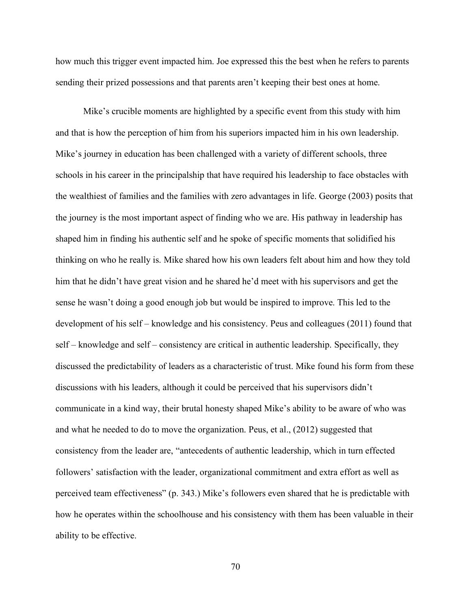how much this trigger event impacted him. Joe expressed this the best when he refers to parents sending their prized possessions and that parents aren't keeping their best ones at home.

Mike's crucible moments are highlighted by a specific event from this study with him and that is how the perception of him from his superiors impacted him in his own leadership. Mike's journey in education has been challenged with a variety of different schools, three schools in his career in the principalship that have required his leadership to face obstacles with the wealthiest of families and the families with zero advantages in life. George (2003) posits that the journey is the most important aspect of finding who we are. His pathway in leadership has shaped him in finding his authentic self and he spoke of specific moments that solidified his thinking on who he really is. Mike shared how his own leaders felt about him and how they told him that he didn't have great vision and he shared he'd meet with his supervisors and get the sense he wasn't doing a good enough job but would be inspired to improve. This led to the development of his self – knowledge and his consistency. Peus and colleagues (2011) found that self – knowledge and self – consistency are critical in authentic leadership. Specifically, they discussed the predictability of leaders as a characteristic of trust. Mike found his form from these discussions with his leaders, although it could be perceived that his supervisors didn't communicate in a kind way, their brutal honesty shaped Mike's ability to be aware of who was and what he needed to do to move the organization. Peus, et al., (2012) suggested that consistency from the leader are, "antecedents of authentic leadership, which in turn effected followers' satisfaction with the leader, organizational commitment and extra effort as well as perceived team effectiveness" (p. 343.) Mike's followers even shared that he is predictable with how he operates within the schoolhouse and his consistency with them has been valuable in their ability to be effective.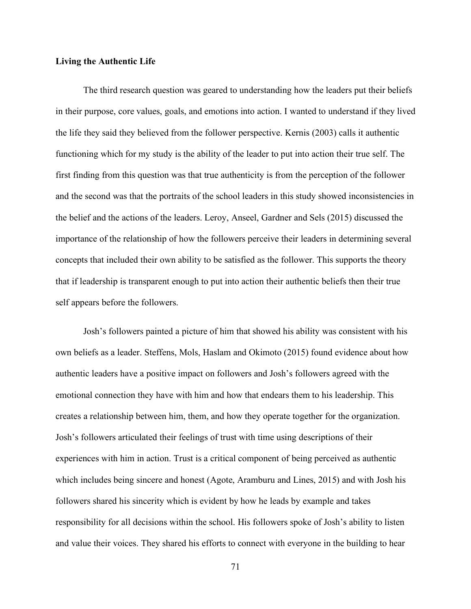#### **Living the Authentic Life**

The third research question was geared to understanding how the leaders put their beliefs in their purpose, core values, goals, and emotions into action. I wanted to understand if they lived the life they said they believed from the follower perspective. Kernis (2003) calls it authentic functioning which for my study is the ability of the leader to put into action their true self. The first finding from this question was that true authenticity is from the perception of the follower and the second was that the portraits of the school leaders in this study showed inconsistencies in the belief and the actions of the leaders. Leroy, Anseel, Gardner and Sels (2015) discussed the importance of the relationship of how the followers perceive their leaders in determining several concepts that included their own ability to be satisfied as the follower. This supports the theory that if leadership is transparent enough to put into action their authentic beliefs then their true self appears before the followers.

Josh's followers painted a picture of him that showed his ability was consistent with his own beliefs as a leader. Steffens, Mols, Haslam and Okimoto (2015) found evidence about how authentic leaders have a positive impact on followers and Josh's followers agreed with the emotional connection they have with him and how that endears them to his leadership. This creates a relationship between him, them, and how they operate together for the organization. Josh's followers articulated their feelings of trust with time using descriptions of their experiences with him in action. Trust is a critical component of being perceived as authentic which includes being sincere and honest (Agote, Aramburu and Lines, 2015) and with Josh his followers shared his sincerity which is evident by how he leads by example and takes responsibility for all decisions within the school. His followers spoke of Josh's ability to listen and value their voices. They shared his efforts to connect with everyone in the building to hear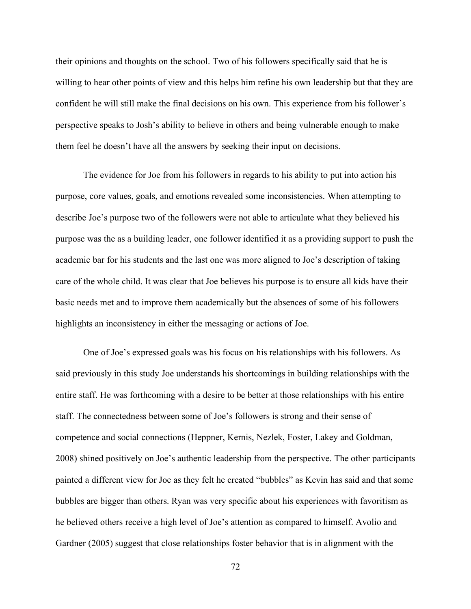their opinions and thoughts on the school. Two of his followers specifically said that he is willing to hear other points of view and this helps him refine his own leadership but that they are confident he will still make the final decisions on his own. This experience from his follower's perspective speaks to Josh's ability to believe in others and being vulnerable enough to make them feel he doesn't have all the answers by seeking their input on decisions.

The evidence for Joe from his followers in regards to his ability to put into action his purpose, core values, goals, and emotions revealed some inconsistencies. When attempting to describe Joe's purpose two of the followers were not able to articulate what they believed his purpose was the as a building leader, one follower identified it as a providing support to push the academic bar for his students and the last one was more aligned to Joe's description of taking care of the whole child. It was clear that Joe believes his purpose is to ensure all kids have their basic needs met and to improve them academically but the absences of some of his followers highlights an inconsistency in either the messaging or actions of Joe.

One of Joe's expressed goals was his focus on his relationships with his followers. As said previously in this study Joe understands his shortcomings in building relationships with the entire staff. He was forthcoming with a desire to be better at those relationships with his entire staff. The connectedness between some of Joe's followers is strong and their sense of competence and social connections (Heppner, Kernis, Nezlek, Foster, Lakey and Goldman, 2008) shined positively on Joe's authentic leadership from the perspective. The other participants painted a different view for Joe as they felt he created "bubbles" as Kevin has said and that some bubbles are bigger than others. Ryan was very specific about his experiences with favoritism as he believed others receive a high level of Joe's attention as compared to himself. Avolio and Gardner (2005) suggest that close relationships foster behavior that is in alignment with the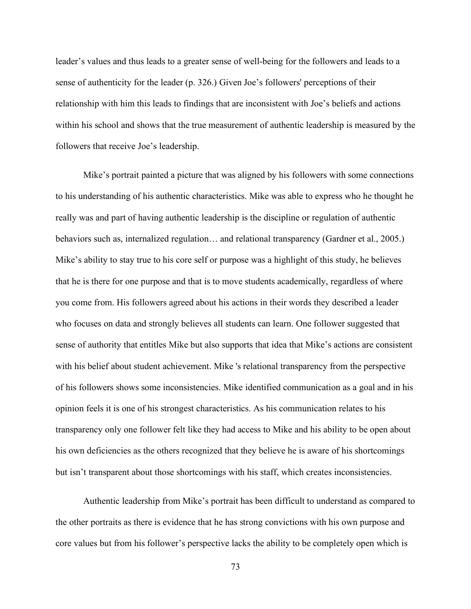leader's values and thus leads to a greater sense of well-being for the followers and leads to a sense of authenticity for the leader (p. 326.) Given Joe's followers' perceptions of their relationship with him this leads to findings that are inconsistent with Joe's beliefs and actions within his school and shows that the true measurement of authentic leadership is measured by the followers that receive Joe's leadership.

Mike's portrait painted a picture that was aligned by his followers with some connections to his understanding of his authentic characteristics. Mike was able to express who he thought he really was and part of having authentic leadership is the discipline or regulation of authentic behaviors such as, internalized regulation… and relational transparency (Gardner et al., 2005.) Mike's ability to stay true to his core self or purpose was a highlight of this study, he believes that he is there for one purpose and that is to move students academically, regardless of where you come from. His followers agreed about his actions in their words they described a leader who focuses on data and strongly believes all students can learn. One follower suggested that sense of authority that entitles Mike but also supports that idea that Mike's actions are consistent with his belief about student achievement. Mike 's relational transparency from the perspective of his followers shows some inconsistencies. Mike identified communication as a goal and in his opinion feels it is one of his strongest characteristics. As his communication relates to his transparency only one follower felt like they had access to Mike and his ability to be open about his own deficiencies as the others recognized that they believe he is aware of his shortcomings but isn't transparent about those shortcomings with his staff, which creates inconsistencies.

Authentic leadership from Mike's portrait has been difficult to understand as compared to the other portraits as there is evidence that he has strong convictions with his own purpose and core values but from his follower's perspective lacks the ability to be completely open which is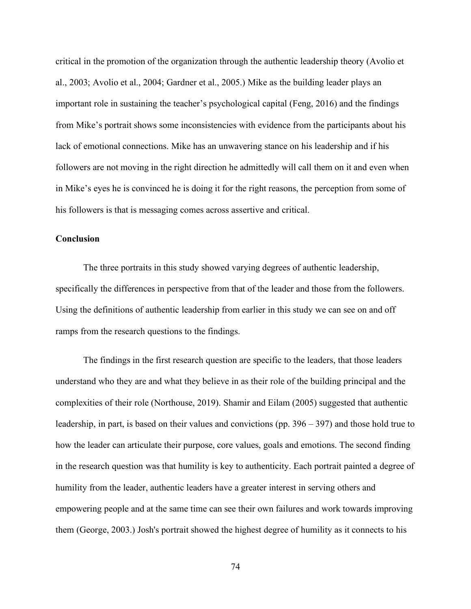critical in the promotion of the organization through the authentic leadership theory (Avolio et al., 2003; Avolio et al., 2004; Gardner et al., 2005.) Mike as the building leader plays an important role in sustaining the teacher's psychological capital (Feng, 2016) and the findings from Mike's portrait shows some inconsistencies with evidence from the participants about his lack of emotional connections. Mike has an unwavering stance on his leadership and if his followers are not moving in the right direction he admittedly will call them on it and even when in Mike's eyes he is convinced he is doing it for the right reasons, the perception from some of his followers is that is messaging comes across assertive and critical.

## **Conclusion**

The three portraits in this study showed varying degrees of authentic leadership, specifically the differences in perspective from that of the leader and those from the followers. Using the definitions of authentic leadership from earlier in this study we can see on and off ramps from the research questions to the findings.

The findings in the first research question are specific to the leaders, that those leaders understand who they are and what they believe in as their role of the building principal and the complexities of their role (Northouse, 2019). Shamir and Eilam (2005) suggested that authentic leadership, in part, is based on their values and convictions (pp. 396 – 397) and those hold true to how the leader can articulate their purpose, core values, goals and emotions. The second finding in the research question was that humility is key to authenticity. Each portrait painted a degree of humility from the leader, authentic leaders have a greater interest in serving others and empowering people and at the same time can see their own failures and work towards improving them (George, 2003.) Josh's portrait showed the highest degree of humility as it connects to his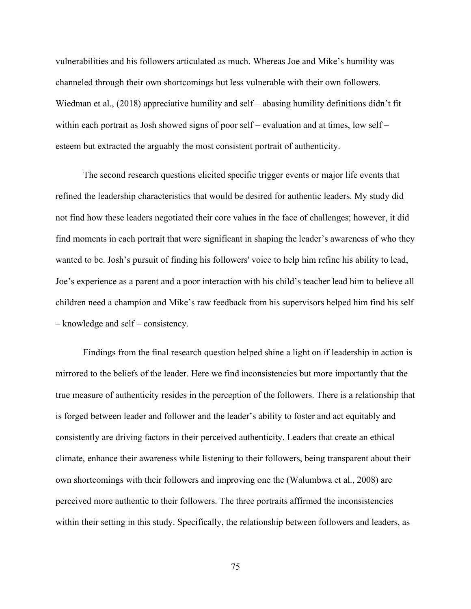vulnerabilities and his followers articulated as much. Whereas Joe and Mike's humility was channeled through their own shortcomings but less vulnerable with their own followers. Wiedman et al., (2018) appreciative humility and self – abasing humility definitions didn't fit within each portrait as Josh showed signs of poor self – evaluation and at times, low self – esteem but extracted the arguably the most consistent portrait of authenticity.

The second research questions elicited specific trigger events or major life events that refined the leadership characteristics that would be desired for authentic leaders. My study did not find how these leaders negotiated their core values in the face of challenges; however, it did find moments in each portrait that were significant in shaping the leader's awareness of who they wanted to be. Josh's pursuit of finding his followers' voice to help him refine his ability to lead, Joe's experience as a parent and a poor interaction with his child's teacher lead him to believe all children need a champion and Mike's raw feedback from his supervisors helped him find his self – knowledge and self – consistency.

Findings from the final research question helped shine a light on if leadership in action is mirrored to the beliefs of the leader. Here we find inconsistencies but more importantly that the true measure of authenticity resides in the perception of the followers. There is a relationship that is forged between leader and follower and the leader's ability to foster and act equitably and consistently are driving factors in their perceived authenticity. Leaders that create an ethical climate, enhance their awareness while listening to their followers, being transparent about their own shortcomings with their followers and improving one the (Walumbwa et al., 2008) are perceived more authentic to their followers. The three portraits affirmed the inconsistencies within their setting in this study. Specifically, the relationship between followers and leaders, as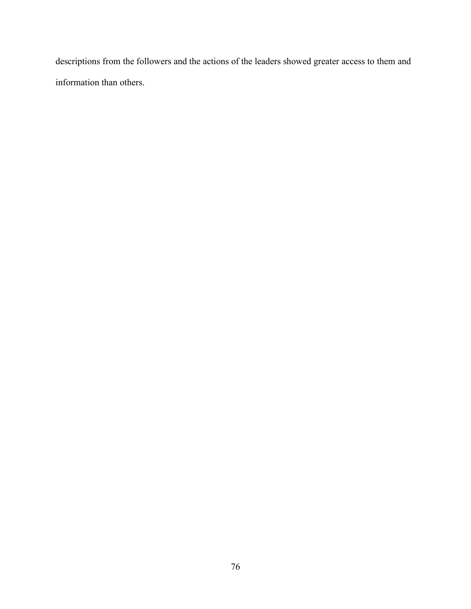descriptions from the followers and the actions of the leaders showed greater access to them and information than others.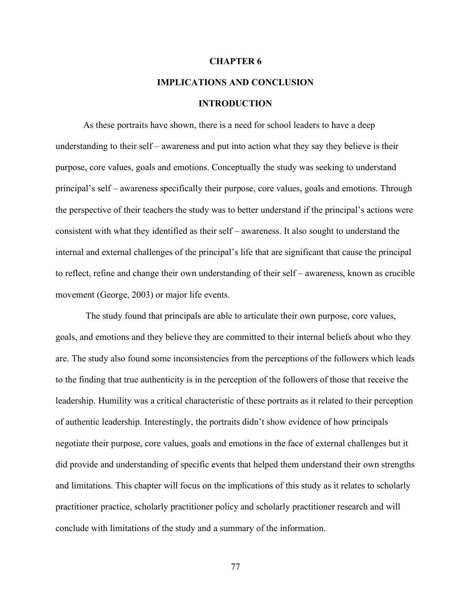#### **CHAPTER 6**

# **IMPLICATIONS AND CONCLUSION**

#### **INTRODUCTION**

As these portraits have shown, there is a need for school leaders to have a deep understanding to their self – awareness and put into action what they say they believe is their purpose, core values, goals and emotions. Conceptually the study was seeking to understand principal's self – awareness specifically their purpose, core values, goals and emotions. Through the perspective of their teachers the study was to better understand if the principal's actions were consistent with what they identified as their self – awareness. It also sought to understand the internal and external challenges of the principal's life that are significant that cause the principal to reflect, refine and change their own understanding of their self – awareness, known as crucible movement (George, 2003) or major life events.

The study found that principals are able to articulate their own purpose, core values, goals, and emotions and they believe they are committed to their internal beliefs about who they are. The study also found some inconsistencies from the perceptions of the followers which leads to the finding that true authenticity is in the perception of the followers of those that receive the leadership. Humility was a critical characteristic of these portraits as it related to their perception of authentic leadership. Interestingly, the portraits didn't show evidence of how principals negotiate their purpose, core values, goals and emotions in the face of external challenges but it did provide and understanding of specific events that helped them understand their own strengths and limitations. This chapter will focus on the implications of this study as it relates to scholarly practitioner practice, scholarly practitioner policy and scholarly practitioner research and will conclude with limitations of the study and a summary of the information.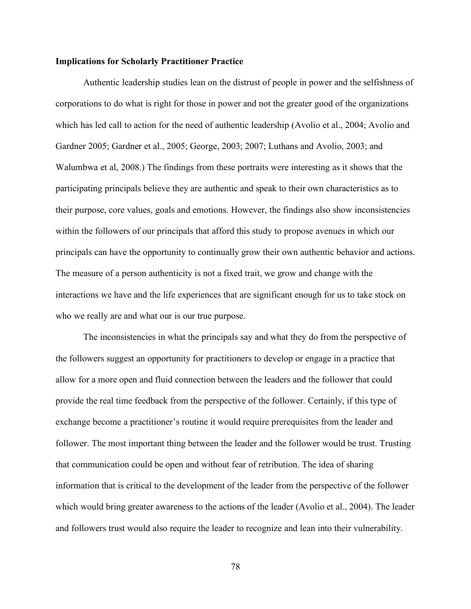#### **Implications for Scholarly Practitioner Practice**

Authentic leadership studies lean on the distrust of people in power and the selfishness of corporations to do what is right for those in power and not the greater good of the organizations which has led call to action for the need of authentic leadership (Avolio et al., 2004; Avolio and Gardner 2005; Gardner et al., 2005; George, 2003; 2007; Luthans and Avolio, 2003; and Walumbwa et al, 2008.) The findings from these portraits were interesting as it shows that the participating principals believe they are authentic and speak to their own characteristics as to their purpose, core values, goals and emotions. However, the findings also show inconsistencies within the followers of our principals that afford this study to propose avenues in which our principals can have the opportunity to continually grow their own authentic behavior and actions. The measure of a person authenticity is not a fixed trait, we grow and change with the interactions we have and the life experiences that are significant enough for us to take stock on who we really are and what our is our true purpose.

The inconsistencies in what the principals say and what they do from the perspective of the followers suggest an opportunity for practitioners to develop or engage in a practice that allow for a more open and fluid connection between the leaders and the follower that could provide the real time feedback from the perspective of the follower. Certainly, if this type of exchange become a practitioner's routine it would require prerequisites from the leader and follower. The most important thing between the leader and the follower would be trust. Trusting that communication could be open and without fear of retribution. The idea of sharing information that is critical to the development of the leader from the perspective of the follower which would bring greater awareness to the actions of the leader (Avolio et al., 2004). The leader and followers trust would also require the leader to recognize and lean into their vulnerability.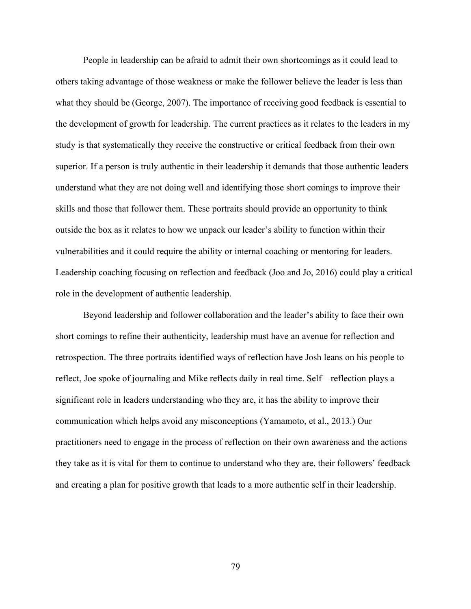People in leadership can be afraid to admit their own shortcomings as it could lead to others taking advantage of those weakness or make the follower believe the leader is less than what they should be (George, 2007). The importance of receiving good feedback is essential to the development of growth for leadership. The current practices as it relates to the leaders in my study is that systematically they receive the constructive or critical feedback from their own superior. If a person is truly authentic in their leadership it demands that those authentic leaders understand what they are not doing well and identifying those short comings to improve their skills and those that follower them. These portraits should provide an opportunity to think outside the box as it relates to how we unpack our leader's ability to function within their vulnerabilities and it could require the ability or internal coaching or mentoring for leaders. Leadership coaching focusing on reflection and feedback (Joo and Jo, 2016) could play a critical role in the development of authentic leadership.

Beyond leadership and follower collaboration and the leader's ability to face their own short comings to refine their authenticity, leadership must have an avenue for reflection and retrospection. The three portraits identified ways of reflection have Josh leans on his people to reflect, Joe spoke of journaling and Mike reflects daily in real time. Self – reflection plays a significant role in leaders understanding who they are, it has the ability to improve their communication which helps avoid any misconceptions (Yamamoto, et al., 2013.) Our practitioners need to engage in the process of reflection on their own awareness and the actions they take as it is vital for them to continue to understand who they are, their followers' feedback and creating a plan for positive growth that leads to a more authentic self in their leadership.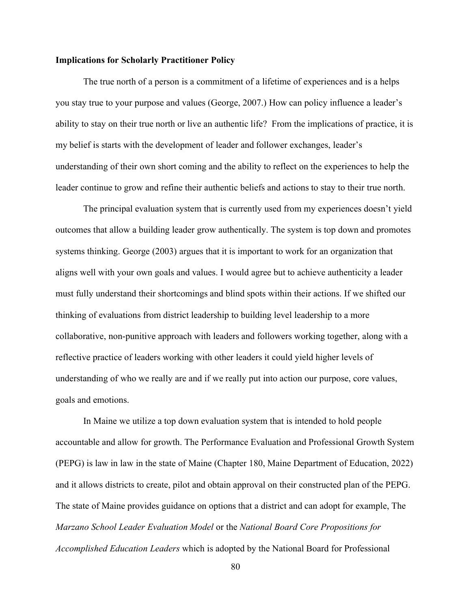### **Implications for Scholarly Practitioner Policy**

The true north of a person is a commitment of a lifetime of experiences and is a helps you stay true to your purpose and values (George, 2007.) How can policy influence a leader's ability to stay on their true north or live an authentic life? From the implications of practice, it is my belief is starts with the development of leader and follower exchanges, leader's understanding of their own short coming and the ability to reflect on the experiences to help the leader continue to grow and refine their authentic beliefs and actions to stay to their true north.

The principal evaluation system that is currently used from my experiences doesn't yield outcomes that allow a building leader grow authentically. The system is top down and promotes systems thinking. George (2003) argues that it is important to work for an organization that aligns well with your own goals and values. I would agree but to achieve authenticity a leader must fully understand their shortcomings and blind spots within their actions. If we shifted our thinking of evaluations from district leadership to building level leadership to a more collaborative, non-punitive approach with leaders and followers working together, along with a reflective practice of leaders working with other leaders it could yield higher levels of understanding of who we really are and if we really put into action our purpose, core values, goals and emotions.

In Maine we utilize a top down evaluation system that is intended to hold people accountable and allow for growth. The Performance Evaluation and Professional Growth System (PEPG) is law in law in the state of Maine (Chapter 180, Maine Department of Education, 2022) and it allows districts to create, pilot and obtain approval on their constructed plan of the PEPG. The state of Maine provides guidance on options that a district and can adopt for example, The *Marzano School Leader Evaluation Model* or the *National Board Core Propositions for Accomplished Education Leaders* which is adopted by the National Board for Professional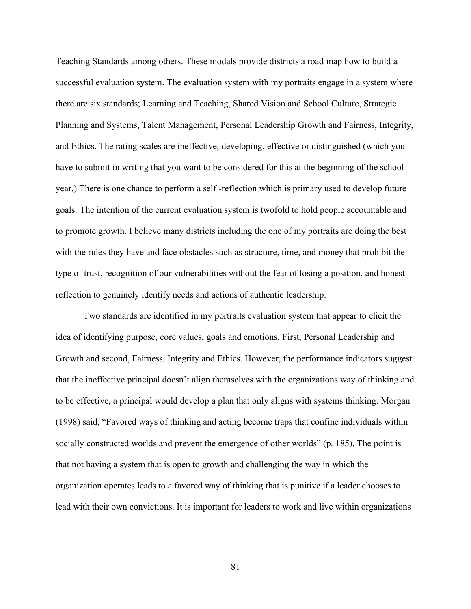Teaching Standards among others. These modals provide districts a road map how to build a successful evaluation system. The evaluation system with my portraits engage in a system where there are six standards; Learning and Teaching, Shared Vision and School Culture, Strategic Planning and Systems, Talent Management, Personal Leadership Growth and Fairness, Integrity, and Ethics. The rating scales are ineffective, developing, effective or distinguished (which you have to submit in writing that you want to be considered for this at the beginning of the school year.) There is one chance to perform a self -reflection which is primary used to develop future goals. The intention of the current evaluation system is twofold to hold people accountable and to promote growth. I believe many districts including the one of my portraits are doing the best with the rules they have and face obstacles such as structure, time, and money that prohibit the type of trust, recognition of our vulnerabilities without the fear of losing a position, and honest reflection to genuinely identify needs and actions of authentic leadership.

Two standards are identified in my portraits evaluation system that appear to elicit the idea of identifying purpose, core values, goals and emotions. First, Personal Leadership and Growth and second, Fairness, Integrity and Ethics. However, the performance indicators suggest that the ineffective principal doesn't align themselves with the organizations way of thinking and to be effective, a principal would develop a plan that only aligns with systems thinking. Morgan (1998) said, "Favored ways of thinking and acting become traps that confine individuals within socially constructed worlds and prevent the emergence of other worlds" (p. 185). The point is that not having a system that is open to growth and challenging the way in which the organization operates leads to a favored way of thinking that is punitive if a leader chooses to lead with their own convictions. It is important for leaders to work and live within organizations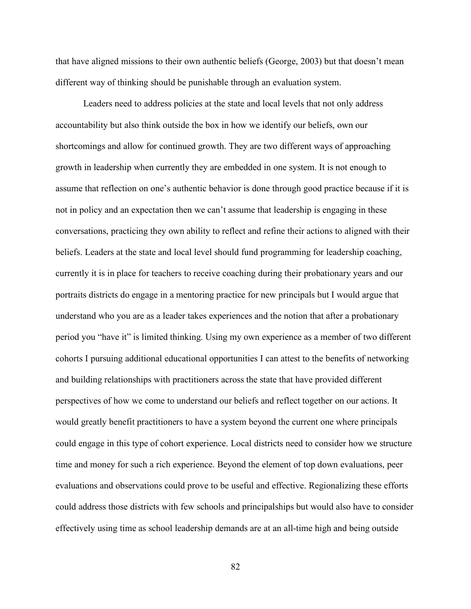that have aligned missions to their own authentic beliefs (George, 2003) but that doesn't mean different way of thinking should be punishable through an evaluation system.

Leaders need to address policies at the state and local levels that not only address accountability but also think outside the box in how we identify our beliefs, own our shortcomings and allow for continued growth. They are two different ways of approaching growth in leadership when currently they are embedded in one system. It is not enough to assume that reflection on one's authentic behavior is done through good practice because if it is not in policy and an expectation then we can't assume that leadership is engaging in these conversations, practicing they own ability to reflect and refine their actions to aligned with their beliefs. Leaders at the state and local level should fund programming for leadership coaching, currently it is in place for teachers to receive coaching during their probationary years and our portraits districts do engage in a mentoring practice for new principals but I would argue that understand who you are as a leader takes experiences and the notion that after a probationary period you "have it" is limited thinking. Using my own experience as a member of two different cohorts I pursuing additional educational opportunities I can attest to the benefits of networking and building relationships with practitioners across the state that have provided different perspectives of how we come to understand our beliefs and reflect together on our actions. It would greatly benefit practitioners to have a system beyond the current one where principals could engage in this type of cohort experience. Local districts need to consider how we structure time and money for such a rich experience. Beyond the element of top down evaluations, peer evaluations and observations could prove to be useful and effective. Regionalizing these efforts could address those districts with few schools and principalships but would also have to consider effectively using time as school leadership demands are at an all-time high and being outside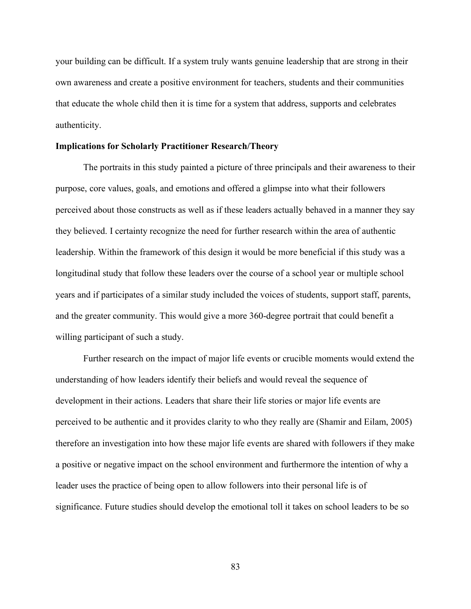your building can be difficult. If a system truly wants genuine leadership that are strong in their own awareness and create a positive environment for teachers, students and their communities that educate the whole child then it is time for a system that address, supports and celebrates authenticity.

## **Implications for Scholarly Practitioner Research/Theory**

The portraits in this study painted a picture of three principals and their awareness to their purpose, core values, goals, and emotions and offered a glimpse into what their followers perceived about those constructs as well as if these leaders actually behaved in a manner they say they believed. I certainty recognize the need for further research within the area of authentic leadership. Within the framework of this design it would be more beneficial if this study was a longitudinal study that follow these leaders over the course of a school year or multiple school years and if participates of a similar study included the voices of students, support staff, parents, and the greater community. This would give a more 360-degree portrait that could benefit a willing participant of such a study.

Further research on the impact of major life events or crucible moments would extend the understanding of how leaders identify their beliefs and would reveal the sequence of development in their actions. Leaders that share their life stories or major life events are perceived to be authentic and it provides clarity to who they really are (Shamir and Eilam, 2005) therefore an investigation into how these major life events are shared with followers if they make a positive or negative impact on the school environment and furthermore the intention of why a leader uses the practice of being open to allow followers into their personal life is of significance. Future studies should develop the emotional toll it takes on school leaders to be so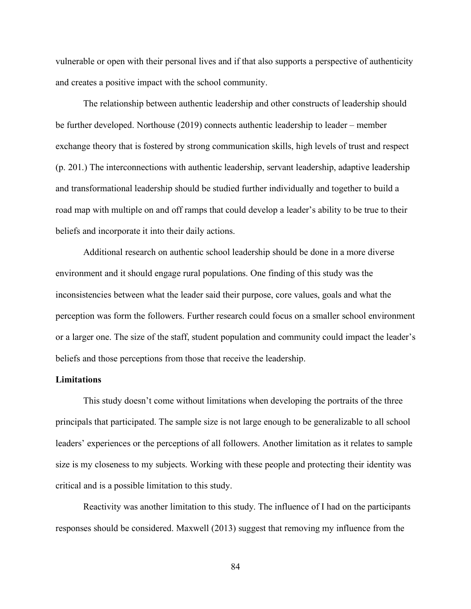vulnerable or open with their personal lives and if that also supports a perspective of authenticity and creates a positive impact with the school community.

The relationship between authentic leadership and other constructs of leadership should be further developed. Northouse (2019) connects authentic leadership to leader – member exchange theory that is fostered by strong communication skills, high levels of trust and respect (p. 201.) The interconnections with authentic leadership, servant leadership, adaptive leadership and transformational leadership should be studied further individually and together to build a road map with multiple on and off ramps that could develop a leader's ability to be true to their beliefs and incorporate it into their daily actions.

Additional research on authentic school leadership should be done in a more diverse environment and it should engage rural populations. One finding of this study was the inconsistencies between what the leader said their purpose, core values, goals and what the perception was form the followers. Further research could focus on a smaller school environment or a larger one. The size of the staff, student population and community could impact the leader's beliefs and those perceptions from those that receive the leadership.

### **Limitations**

This study doesn't come without limitations when developing the portraits of the three principals that participated. The sample size is not large enough to be generalizable to all school leaders' experiences or the perceptions of all followers. Another limitation as it relates to sample size is my closeness to my subjects. Working with these people and protecting their identity was critical and is a possible limitation to this study.

Reactivity was another limitation to this study. The influence of I had on the participants responses should be considered. Maxwell (2013) suggest that removing my influence from the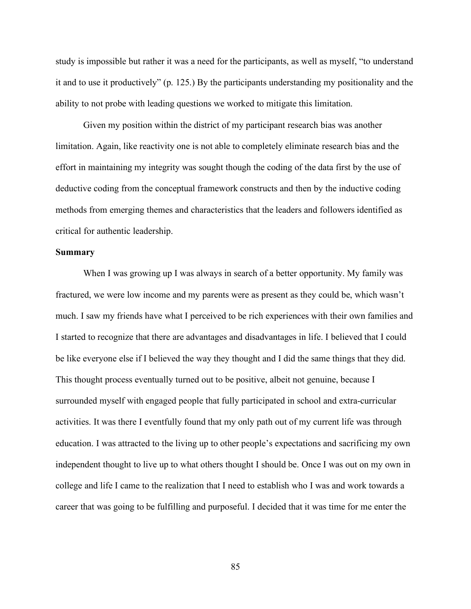study is impossible but rather it was a need for the participants, as well as myself, "to understand it and to use it productively" (p. 125.) By the participants understanding my positionality and the ability to not probe with leading questions we worked to mitigate this limitation.

Given my position within the district of my participant research bias was another limitation. Again, like reactivity one is not able to completely eliminate research bias and the effort in maintaining my integrity was sought though the coding of the data first by the use of deductive coding from the conceptual framework constructs and then by the inductive coding methods from emerging themes and characteristics that the leaders and followers identified as critical for authentic leadership.

## **Summary**

When I was growing up I was always in search of a better opportunity. My family was fractured, we were low income and my parents were as present as they could be, which wasn't much. I saw my friends have what I perceived to be rich experiences with their own families and I started to recognize that there are advantages and disadvantages in life. I believed that I could be like everyone else if I believed the way they thought and I did the same things that they did. This thought process eventually turned out to be positive, albeit not genuine, because I surrounded myself with engaged people that fully participated in school and extra-curricular activities. It was there I eventfully found that my only path out of my current life was through education. I was attracted to the living up to other people's expectations and sacrificing my own independent thought to live up to what others thought I should be. Once I was out on my own in college and life I came to the realization that I need to establish who I was and work towards a career that was going to be fulfilling and purposeful. I decided that it was time for me enter the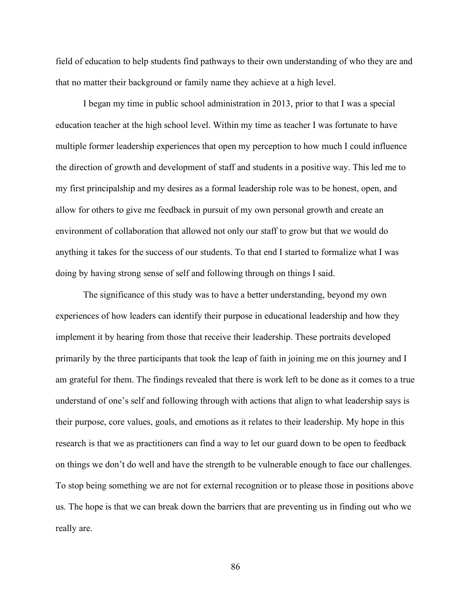field of education to help students find pathways to their own understanding of who they are and that no matter their background or family name they achieve at a high level.

I began my time in public school administration in 2013, prior to that I was a special education teacher at the high school level. Within my time as teacher I was fortunate to have multiple former leadership experiences that open my perception to how much I could influence the direction of growth and development of staff and students in a positive way. This led me to my first principalship and my desires as a formal leadership role was to be honest, open, and allow for others to give me feedback in pursuit of my own personal growth and create an environment of collaboration that allowed not only our staff to grow but that we would do anything it takes for the success of our students. To that end I started to formalize what I was doing by having strong sense of self and following through on things I said.

The significance of this study was to have a better understanding, beyond my own experiences of how leaders can identify their purpose in educational leadership and how they implement it by hearing from those that receive their leadership. These portraits developed primarily by the three participants that took the leap of faith in joining me on this journey and I am grateful for them. The findings revealed that there is work left to be done as it comes to a true understand of one's self and following through with actions that align to what leadership says is their purpose, core values, goals, and emotions as it relates to their leadership. My hope in this research is that we as practitioners can find a way to let our guard down to be open to feedback on things we don't do well and have the strength to be vulnerable enough to face our challenges. To stop being something we are not for external recognition or to please those in positions above us. The hope is that we can break down the barriers that are preventing us in finding out who we really are.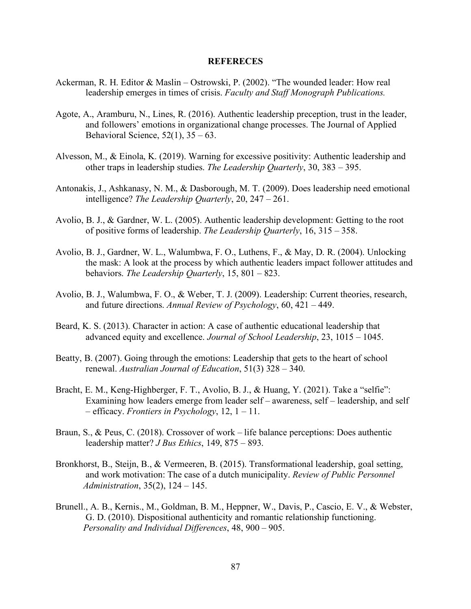### **REFERECES**

- Ackerman, R. H. Editor & Maslin Ostrowski, P. (2002). "The wounded leader: How real leadership emerges in times of crisis. *Faculty and Staff Monograph Publications.*
- Agote, A., Aramburu, N., Lines, R. (2016). Authentic leadership preception, trust in the leader, and followers' emotions in organizational change processes. The Journal of Applied Behavioral Science,  $52(1)$ ,  $35 - 63$ .
- Alvesson, M., & Einola, K. (2019). Warning for excessive positivity: Authentic leadership and other traps in leadership studies. *The Leadership Quarterly*, 30, 383 – 395.
- Antonakis, J., Ashkanasy, N. M., & Dasborough, M. T. (2009). Does leadership need emotional intelligence? *The Leadership Quarterly*, 20, 247 – 261.
- Avolio, B. J., & Gardner, W. L. (2005). Authentic leadership development: Getting to the root of positive forms of leadership. *The Leadership Quarterly*, 16, 315 – 358.
- Avolio, B. J., Gardner, W. L., Walumbwa, F. O., Luthens, F., & May, D. R. (2004). Unlocking the mask: A look at the process by which authentic leaders impact follower attitudes and behaviors. *The Leadership Quarterly*, 15, 801 – 823.
- Avolio, B. J., Walumbwa, F. O., & Weber, T. J. (2009). Leadership: Current theories, research, and future directions. *Annual Review of Psychology*, 60, 421 – 449.
- Beard, K. S. (2013). Character in action: A case of authentic educational leadership that advanced equity and excellence. *Journal of School Leadership*, 23, 1015 – 1045.
- Beatty, B. (2007). Going through the emotions: Leadership that gets to the heart of school renewal. *Australian Journal of Education*, 51(3) 328 – 340.
- Bracht, E. M., Keng-Highberger, F. T., Avolio, B. J., & Huang, Y. (2021). Take a "selfie": Examining how leaders emerge from leader self – awareness, self – leadership, and self – efficacy. *Frontiers in Psychology*, 12, 1 – 11.
- Braun, S., & Peus, C. (2018). Crossover of work life balance perceptions: Does authentic leadership matter? *J Bus Ethics*, 149, 875 – 893.
- Bronkhorst, B., Steijn, B., & Vermeeren, B. (2015). Transformational leadership, goal setting, and work motivation: The case of a dutch municipality. *Review of Public Personnel Administration*, 35(2), 124 – 145.
- Brunell., A. B., Kernis., M., Goldman, B. M., Heppner, W., Davis, P., Cascio, E. V., & Webster, G. D. (2010). Dispositional authenticity and romantic relationship functioning. *Personality and Individual Differences*, 48, 900 – 905.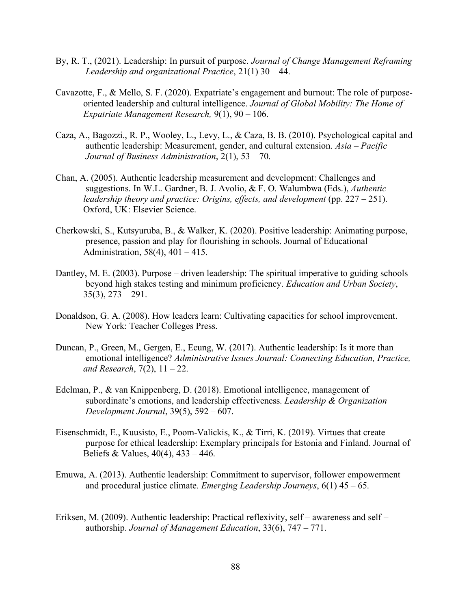- By, R. T., (2021). Leadership: In pursuit of purpose. *Journal of Change Management Reframing Leadership and organizational Practice*, 21(1) 30 – 44.
- Cavazotte, F., & Mello, S. F. (2020). Expatriate's engagement and burnout: The role of purposeoriented leadership and cultural intelligence. *Journal of Global Mobility: The Home of Expatriate Management Research,* 9(1), 90 – 106.
- Caza, A., Bagozzi., R. P., Wooley, L., Levy, L., & Caza, B. B. (2010). Psychological capital and authentic leadership: Measurement, gender, and cultural extension. *Asia – Pacific Journal of Business Administration*, 2(1), 53 – 70.
- Chan, A. (2005). Authentic leadership measurement and development: Challenges and suggestions. In W.L. Gardner, B. J. Avolio, & F. O. Walumbwa (Eds.), *Authentic leadership theory and practice: Origins, effects, and development* (pp. 227 – 251). Oxford, UK: Elsevier Science.
- Cherkowski, S., Kutsyuruba, B., & Walker, K. (2020). Positive leadership: Animating purpose, presence, passion and play for flourishing in schools. Journal of Educational Administration, 58(4), 401 – 415.
- Dantley, M. E. (2003). Purpose driven leadership: The spiritual imperative to guiding schools beyond high stakes testing and minimum proficiency. *Education and Urban Society*,  $35(3)$ ,  $273 - 291$ .
- Donaldson, G. A. (2008). How leaders learn: Cultivating capacities for school improvement. New York: Teacher Colleges Press.
- Duncan, P., Green, M., Gergen, E., Ecung, W. (2017). Authentic leadership: Is it more than emotional intelligence? *Administrative Issues Journal: Connecting Education, Practice, and Research*, 7(2), 11 – 22.
- Edelman, P., & van Knippenberg, D. (2018). Emotional intelligence, management of subordinate's emotions, and leadership effectiveness. *Leadership & Organization Development Journal*, 39(5), 592 – 607.
- Eisenschmidt, E., Kuusisto, E., Poom-Valickis, K., & Tirri, K. (2019). Virtues that create purpose for ethical leadership: Exemplary principals for Estonia and Finland. Journal of Beliefs & Values, 40(4), 433 – 446.
- Emuwa, A. (2013). Authentic leadership: Commitment to supervisor, follower empowerment and procedural justice climate. *Emerging Leadership Journeys*, 6(1) 45 – 65.
- Eriksen, M. (2009). Authentic leadership: Practical reflexivity, self awareness and self authorship. *Journal of Management Education*, 33(6), 747 – 771.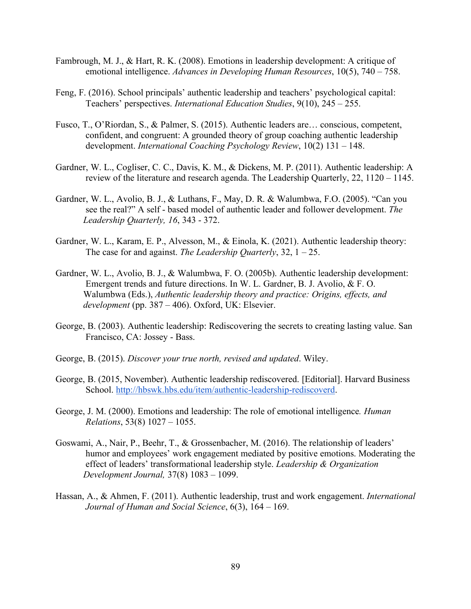- Fambrough, M. J., & Hart, R. K. (2008). Emotions in leadership development: A critique of emotional intelligence. *Advances in Developing Human Resources*, 10(5), 740 – 758.
- Feng, F. (2016). School principals' authentic leadership and teachers' psychological capital: Teachers' perspectives. *International Education Studies*, 9(10), 245 – 255.
- Fusco, T., O'Riordan, S., & Palmer, S. (2015). Authentic leaders are… conscious, competent, confident, and congruent: A grounded theory of group coaching authentic leadership development. *International Coaching Psychology Review*, 10(2) 131 – 148.
- Gardner, W. L., Cogliser, C. C., Davis, K. M., & Dickens, M. P. (2011). Authentic leadership: A review of the literature and research agenda. The Leadership Quarterly, 22, 1120 – 1145.
- Gardner, W. L., Avolio, B. J., & Luthans, F., May, D. R. & Walumbwa, F.O. (2005). "Can you see the real?" A self - based model of authentic leader and follower development. *The Leadership Quarterly, 16*, 343 - 372.
- Gardner, W. L., Karam, E. P., Alvesson, M., & Einola, K. (2021). Authentic leadership theory: The case for and against. *The Leadership Quarterly*, 32, 1 – 25.
- Gardner, W. L., Avolio, B. J., & Walumbwa, F. O. (2005b). Authentic leadership development: Emergent trends and future directions. In W. L. Gardner, B. J. Avolio, & F. O. Walumbwa (Eds.), *Authentic leadership theory and practice: Origins, effects, and development* (pp. 387 – 406). Oxford, UK: Elsevier.
- George, B. (2003). Authentic leadership: Rediscovering the secrets to creating lasting value. San Francisco, CA: Jossey - Bass.
- George, B. (2015). *Discover your true north, revised and updated*. Wiley.
- George, B. (2015, November). Authentic leadership rediscovered. [Editorial]. Harvard Business School. http://hbswk.hbs.edu/item/authentic-leadership-rediscoverd.
- George, J. M. (2000). Emotions and leadership: The role of emotional intelligence*. Human Relations*, 53(8) 1027 – 1055.
- Goswami, A., Nair, P., Beehr, T., & Grossenbacher, M. (2016). The relationship of leaders' humor and employees' work engagement mediated by positive emotions. Moderating the effect of leaders' transformational leadership style. *Leadership & Organization Development Journal,* 37(8) 1083 – 1099.
- Hassan, A., & Ahmen, F. (2011). Authentic leadership, trust and work engagement. *International Journal of Human and Social Science*, 6(3), 164 – 169.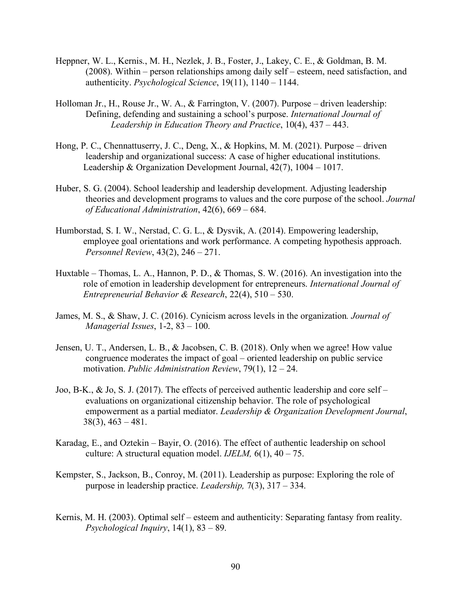- Heppner, W. L., Kernis., M. H., Nezlek, J. B., Foster, J., Lakey, C. E., & Goldman, B. M. (2008). Within – person relationships among daily self – esteem, need satisfaction, and authenticity. *Psychological Science*, 19(11), 1140 – 1144.
- Holloman Jr., H., Rouse Jr., W. A., & Farrington, V. (2007). Purpose driven leadership: Defining, defending and sustaining a school's purpose. *International Journal of Leadership in Education Theory and Practice*, 10(4), 437 – 443.
- Hong, P. C., Chennattuserry, J. C., Deng, X., & Hopkins, M. M. (2021). Purpose driven leadership and organizational success: A case of higher educational institutions. Leadership & Organization Development Journal, 42(7), 1004 – 1017.
- Huber, S. G. (2004). School leadership and leadership development. Adjusting leadership theories and development programs to values and the core purpose of the school. *Journal of Educational Administration*, 42(6), 669 – 684.
- Humborstad, S. I. W., Nerstad, C. G. L., & Dysvik, A. (2014). Empowering leadership, employee goal orientations and work performance. A competing hypothesis approach. *Personnel Review*, 43(2), 246 – 271.
- Huxtable Thomas, L. A., Hannon, P. D., & Thomas, S. W. (2016). An investigation into the role of emotion in leadership development for entrepreneurs. *International Journal of Entrepreneurial Behavior & Research*, 22(4), 510 – 530.
- James, M. S., & Shaw, J. C. (2016). Cynicism across levels in the organization*. Journal of Managerial Issues*, 1-2, 83 – 100.
- Jensen, U. T., Andersen, L. B., & Jacobsen, C. B. (2018). Only when we agree! How value congruence moderates the impact of goal – oriented leadership on public service motivation. *Public Administration Review*, 79(1), 12 – 24.
- Joo, B-K., & Jo, S. J. (2017). The effects of perceived authentic leadership and core self evaluations on organizational citizenship behavior. The role of psychological empowerment as a partial mediator. *Leadership & Organization Development Journal*,  $38(3)$ ,  $463 - 481$ .
- Karadag, E., and Oztekin Bayir, O. (2016). The effect of authentic leadership on school culture: A structural equation model. *IJELM*,  $6(1)$ ,  $40 - 75$ .
- Kempster, S., Jackson, B., Conroy, M. (2011). Leadership as purpose: Exploring the role of purpose in leadership practice. *Leadership,* 7(3), 317 – 334.
- Kernis, M. H. (2003). Optimal self esteem and authenticity: Separating fantasy from reality. *Psychological Inquiry*, 14(1), 83 – 89.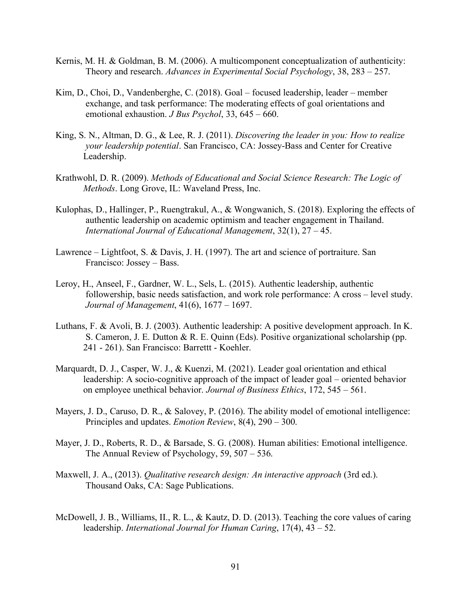- Kernis, M. H. & Goldman, B. M. (2006). A multicomponent conceptualization of authenticity: Theory and research. *Advances in Experimental Social Psychology*, 38, 283 – 257.
- Kim, D., Choi, D., Vandenberghe, C. (2018). Goal focused leadership, leader member exchange, and task performance: The moderating effects of goal orientations and emotional exhaustion. *J Bus Psychol*, 33, 645 – 660.
- King, S. N., Altman, D. G., & Lee, R. J. (2011). *Discovering the leader in you: How to realize your leadership potential*. San Francisco, CA: Jossey-Bass and Center for Creative Leadership.
- Krathwohl, D. R. (2009). *Methods of Educational and Social Science Research: The Logic of Methods*. Long Grove, IL: Waveland Press, Inc.
- Kulophas, D., Hallinger, P., Ruengtrakul, A., & Wongwanich, S. (2018). Exploring the effects of authentic leadership on academic optimism and teacher engagement in Thailand. *International Journal of Educational Management*, 32(1), 27 – 45.
- Lawrence Lightfoot, S. & Davis, J. H. (1997). The art and science of portraiture. San Francisco: Jossey – Bass.
- Leroy, H., Anseel, F., Gardner, W. L., Sels, L. (2015). Authentic leadership, authentic followership, basic needs satisfaction, and work role performance: A cross – level study. *Journal of Management*, 41(6), 1677 – 1697.
- Luthans, F. & Avoli, B. J. (2003). Authentic leadership: A positive development approach. In K. S. Cameron, J. E. Dutton & R. E. Quinn (Eds). Positive organizational scholarship (pp. 241 - 261). San Francisco: Barrettt - Koehler.
- Marquardt, D. J., Casper, W. J., & Kuenzi, M. (2021). Leader goal orientation and ethical leadership: A socio-cognitive approach of the impact of leader goal – oriented behavior on employee unethical behavior. *Journal of Business Ethics*, 172, 545 – 561.
- Mayers, J. D., Caruso, D. R., & Salovey, P. (2016). The ability model of emotional intelligence: Principles and updates. *Emotion Review*, 8(4), 290 – 300.
- Mayer, J. D., Roberts, R. D., & Barsade, S. G. (2008). Human abilities: Emotional intelligence. The Annual Review of Psychology, 59, 507 – 536.
- Maxwell, J. A., (2013). *Qualitative research design: An interactive approach* (3rd ed.). Thousand Oaks, CA: Sage Publications.
- McDowell, J. B., Williams, II., R. L., & Kautz, D. D. (2013). Teaching the core values of caring leadership. *International Journal for Human Caring*, 17(4), 43 – 52.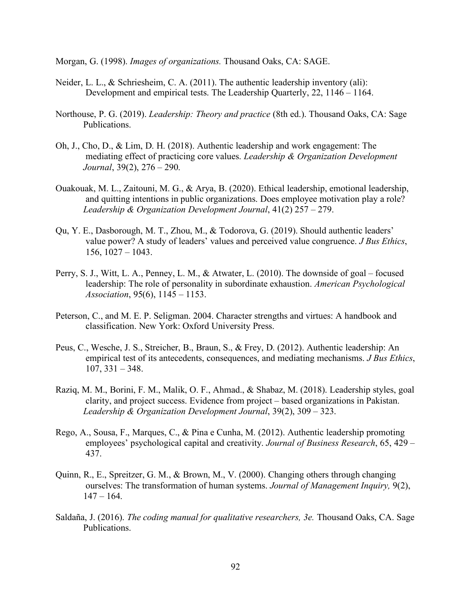Morgan, G. (1998). *Images of organizations.* Thousand Oaks, CA: SAGE.

- Neider, L. L., & Schriesheim, C. A. (2011). The authentic leadership inventory (ali): Development and empirical tests. The Leadership Quarterly, 22, 1146 – 1164.
- Northouse, P. G. (2019). *Leadership: Theory and practice* (8th ed.). Thousand Oaks, CA: Sage Publications.
- Oh, J., Cho, D., & Lim, D. H. (2018). Authentic leadership and work engagement: The mediating effect of practicing core values. *Leadership & Organization Development Journal*, 39(2), 276 – 290.
- Ouakouak, M. L., Zaitouni, M. G., & Arya, B. (2020). Ethical leadership, emotional leadership, and quitting intentions in public organizations. Does employee motivation play a role? *Leadership & Organization Development Journal*, 41(2) 257 – 279.
- Qu, Y. E., Dasborough, M. T., Zhou, M., & Todorova, G. (2019). Should authentic leaders' value power? A study of leaders' values and perceived value congruence. *J Bus Ethics*, 156, 1027 – 1043.
- Perry, S. J., Witt, L. A., Penney, L. M., & Atwater, L. (2010). The downside of goal focused leadership: The role of personality in subordinate exhaustion. *American Psychological Association*, 95(6), 1145 – 1153.
- Peterson, C., and M. E. P. Seligman. 2004. Character strengths and virtues: A handbook and classification. New York: Oxford University Press.
- Peus, C., Wesche, J. S., Streicher, B., Braun, S., & Frey, D. (2012). Authentic leadership: An empirical test of its antecedents, consequences, and mediating mechanisms. *J Bus Ethics*,  $107, 331 - 348.$
- Raziq, M. M., Borini, F. M., Malik, O. F., Ahmad., & Shabaz, M. (2018). Leadership styles, goal clarity, and project success. Evidence from project – based organizations in Pakistan. *Leadership & Organization Development Journal*, 39(2), 309 – 323.
- Rego, A., Sousa, F., Marques, C., & Pina e Cunha, M. (2012). Authentic leadership promoting employees' psychological capital and creativity. *Journal of Business Research*, 65, 429 – 437.
- Quinn, R., E., Spreitzer, G. M., & Brown, M., V. (2000). Changing others through changing ourselves: The transformation of human systems. *Journal of Management Inquiry,* 9(2),  $147 - 164$ .
- Saldaña, J. (2016). *The coding manual for qualitative researchers, 3e.* Thousand Oaks, CA. Sage Publications.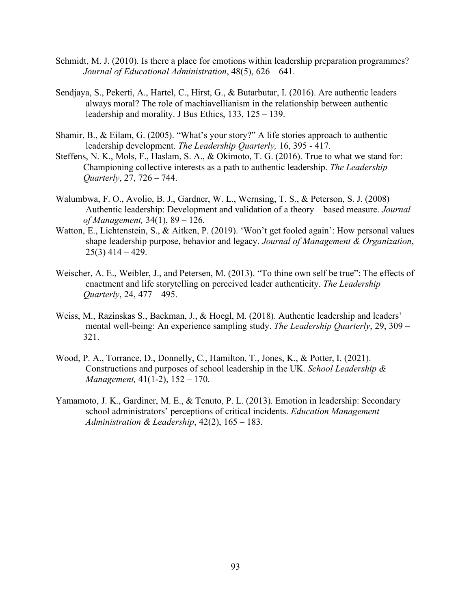- Schmidt, M. J. (2010). Is there a place for emotions within leadership preparation programmes? *Journal of Educational Administration*, 48(5), 626 – 641.
- Sendjaya, S., Pekerti, A., Hartel, C., Hirst, G., & Butarbutar, I. (2016). Are authentic leaders always moral? The role of machiavellianism in the relationship between authentic leadership and morality. J Bus Ethics, 133, 125 – 139.
- Shamir, B., & Eilam, G. (2005). "What's your story?" A life stories approach to authentic leadership development. *The Leadership Quarterly,* 16, 395 - 417.
- Steffens, N. K., Mols, F., Haslam, S. A., & Okimoto, T. G. (2016). True to what we stand for: Championing collective interests as a path to authentic leadership. *The Leadership Quarterly*, 27, 726 – 744.
- Walumbwa, F. O., Avolio, B. J., Gardner, W. L., Wernsing, T. S., & Peterson, S. J. (2008) Authentic leadership: Development and validation of a theory – based measure. *Journal of Management,* 34(1), 89 – 126.
- Watton, E., Lichtenstein, S., & Aitken, P. (2019). 'Won't get fooled again': How personal values shape leadership purpose, behavior and legacy. *Journal of Management & Organization*,  $25(3)$  414 – 429.
- Weischer, A. E., Weibler, J., and Petersen, M. (2013). "To thine own self be true": The effects of enactment and life storytelling on perceived leader authenticity. *The Leadership Quarterly*, 24, 477 – 495.
- Weiss, M., Razinskas S., Backman, J., & Hoegl, M. (2018). Authentic leadership and leaders' mental well-being: An experience sampling study. *The Leadership Quarterly*, 29, 309 – 321.
- Wood, P. A., Torrance, D., Donnelly, C., Hamilton, T., Jones, K., & Potter, I. (2021). Constructions and purposes of school leadership in the UK. *School Leadership & Management,* 41(1-2), 152 – 170.
- Yamamoto, J. K., Gardiner, M. E., & Tenuto, P. L. (2013). Emotion in leadership: Secondary school administrators' perceptions of critical incidents. *Education Management Administration & Leadership*, 42(2), 165 – 183.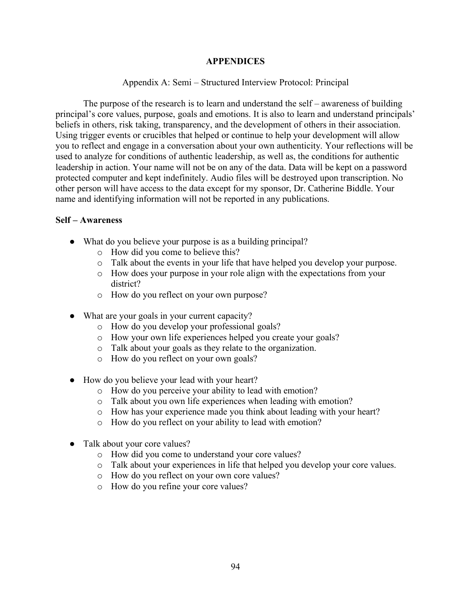## **APPENDICES**

# Appendix A: Semi – Structured Interview Protocol: Principal

The purpose of the research is to learn and understand the self – awareness of building principal's core values, purpose, goals and emotions. It is also to learn and understand principals' beliefs in others, risk taking, transparency, and the development of others in their association. Using trigger events or crucibles that helped or continue to help your development will allow you to reflect and engage in a conversation about your own authenticity. Your reflections will be used to analyze for conditions of authentic leadership, as well as, the conditions for authentic leadership in action. Your name will not be on any of the data. Data will be kept on a password protected computer and kept indefinitely. Audio files will be destroyed upon transcription. No other person will have access to the data except for my sponsor, Dr. Catherine Biddle. Your name and identifying information will not be reported in any publications.

## **Self – Awareness**

- What do you believe your purpose is as a building principal?
	- o How did you come to believe this?
	- o Talk about the events in your life that have helped you develop your purpose.
	- o How does your purpose in your role align with the expectations from your district?
	- o How do you reflect on your own purpose?
- What are your goals in your current capacity?
	- o How do you develop your professional goals?
	- o How your own life experiences helped you create your goals?
	- o Talk about your goals as they relate to the organization.
	- o How do you reflect on your own goals?
- How do you believe your lead with your heart?
	- o How do you perceive your ability to lead with emotion?
	- o Talk about you own life experiences when leading with emotion?
	- o How has your experience made you think about leading with your heart?
	- o How do you reflect on your ability to lead with emotion?
- Talk about your core values?
	- o How did you come to understand your core values?
	- o Talk about your experiences in life that helped you develop your core values.
	- o How do you reflect on your own core values?
	- o How do you refine your core values?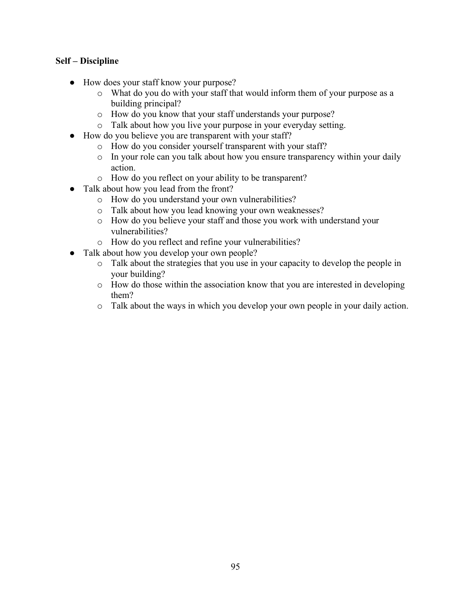# **Self – Discipline**

- How does your staff know your purpose?
	- o What do you do with your staff that would inform them of your purpose as a building principal?
	- o How do you know that your staff understands your purpose?
	- o Talk about how you live your purpose in your everyday setting.
- How do you believe you are transparent with your staff?
	- o How do you consider yourself transparent with your staff?
	- o In your role can you talk about how you ensure transparency within your daily action.
	- o How do you reflect on your ability to be transparent?
- Talk about how you lead from the front?
	- o How do you understand your own vulnerabilities?
	- o Talk about how you lead knowing your own weaknesses?
	- o How do you believe your staff and those you work with understand your vulnerabilities?
	- o How do you reflect and refine your vulnerabilities?
- Talk about how you develop your own people?
	- o Talk about the strategies that you use in your capacity to develop the people in your building?
	- o How do those within the association know that you are interested in developing them?
	- o Talk about the ways in which you develop your own people in your daily action.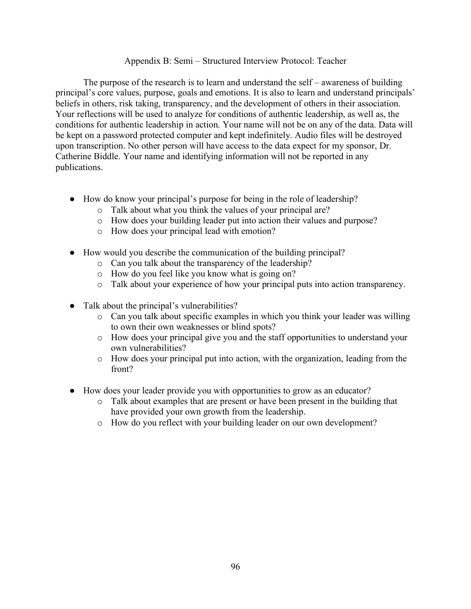## Appendix B: Semi – Structured Interview Protocol: Teacher

The purpose of the research is to learn and understand the self – awareness of building principal's core values, purpose, goals and emotions. It is also to learn and understand principals' beliefs in others, risk taking, transparency, and the development of others in their association. Your reflections will be used to analyze for conditions of authentic leadership, as well as, the conditions for authentic leadership in action. Your name will not be on any of the data. Data will be kept on a password protected computer and kept indefinitely. Audio files will be destroyed upon transcription. No other person will have access to the data expect for my sponsor, Dr. Catherine Biddle. Your name and identifying information will not be reported in any publications.

- How do know your principal's purpose for being in the role of leadership?
	- o Talk about what you think the values of your principal are?
	- o How does your building leader put into action their values and purpose?
	- o How does your principal lead with emotion?
- How would you describe the communication of the building principal?
	- o Can you talk about the transparency of the leadership?
	- o How do you feel like you know what is going on?
	- o Talk about your experience of how your principal puts into action transparency.
- Talk about the principal's vulnerabilities?
	- o Can you talk about specific examples in which you think your leader was willing to own their own weaknesses or blind spots?
	- o How does your principal give you and the staff opportunities to understand your own vulnerabilities?
	- o How does your principal put into action, with the organization, leading from the front?
- How does your leader provide you with opportunities to grow as an educator?
	- o Talk about examples that are present or have been present in the building that have provided your own growth from the leadership.
	- o How do you reflect with your building leader on our own development?